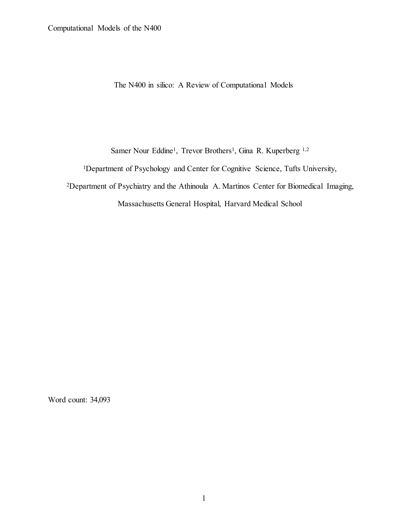The N400 in silico: A Review of Computational Models

Samer Nour Eddine<sup>1</sup>, Trevor Brothers<sup>1</sup>, Gina R. Kuperberg <sup>1,2</sup>

<sup>1</sup>Department of Psychology and Center for Cognitive Science, Tufts University,

2Department of Psychiatry and the Athinoula A. Martinos Center for Biomedical Imaging,

Massachusetts General Hospital, Harvard Medical School

Word count: 34,093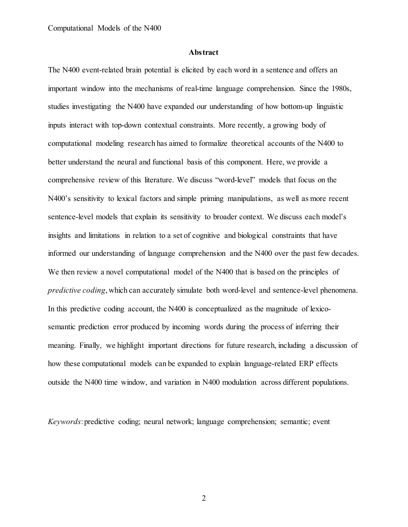# **Abstract**

The N400 event-related brain potential is elicited by each word in a sentence and offers an important window into the mechanisms of real-time language comprehension. Since the 1980s, studies investigating the N400 have expanded our understanding of how bottom-up linguistic inputs interact with top-down contextual constraints. More recently, a growing body of computational modeling research has aimed to formalize theoretical accounts of the N400 to better understand the neural and functional basis of this component. Here, we provide a comprehensive review of this literature. We discuss "word-level" models that focus on the N400's sensitivity to lexical factors and simple priming manipulations, as well as more recent sentence-level models that explain its sensitivity to broader context. We discuss each model's insights and limitations in relation to a set of cognitive and biological constraints that have informed our understanding of language comprehension and the N400 over the past few decades. We then review a novel computational model of the N400 that is based on the principles of *predictive coding*, which can accurately simulate both word-level and sentence-level phenomena. In this predictive coding account, the N400 is conceptualized as the magnitude of lexicosemantic prediction error produced by incoming words during the process of inferring their meaning. Finally, we highlight important directions for future research, including a discussion of how these computational models can be expanded to explain language-related ERP effects outside the N400 time window, and variation in N400 modulation across different populations.

*Keywords*: predictive coding; neural network; language comprehension; semantic; event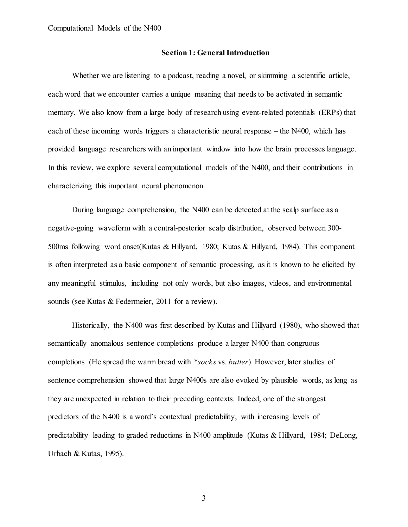# **Section 1: General Introduction**

Whether we are listening to a podcast, reading a novel, or skimming a scientific article, each word that we encounter carries a unique meaning that needs to be activated in semantic memory. We also know from a large body of research using event-related potentials (ERPs) that each of these incoming words triggers a characteristic neural response – the N400, which has provided language researchers with an important window into how the brain processes language. In this review, we explore several computational models of the N400, and their contributions in characterizing this important neural phenomenon.

During language comprehension, the N400 can be detected at the scalp surface as a negative-going waveform with a central-posterior scalp distribution, observed between 300- 500ms following word onset(Kutas & Hillyard, 1980; Kutas & Hillyard, 1984). This component is often interpreted as a basic component of semantic processing, as it is known to be elicited by any meaningful stimulus, including not only words, but also images, videos, and environmental sounds (see Kutas & Federmeier, 2011 for a review).

Historically, the N400 was first described by Kutas and Hillyard (1980), who showed that semantically anomalous sentence completions produce a larger N400 than congruous completions (He spread the warm bread with \**socks* vs. *butter*). However, later studies of sentence comprehension showed that large N400s are also evoked by plausible words, as long as they are unexpected in relation to their preceding contexts. Indeed, one of the strongest predictors of the N400 is a word's contextual predictability, with increasing levels of predictability leading to graded reductions in N400 amplitude (Kutas & Hillyard, 1984; DeLong, Urbach & Kutas, 1995).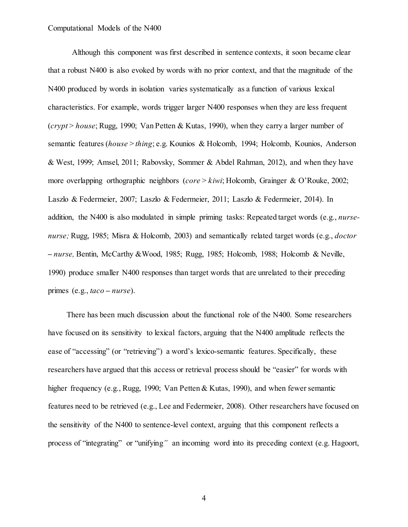Although this component was first described in sentence contexts, it soon became clear that a robust N400 is also evoked by words with no prior context, and that the magnitude of the N400 produced by words in isolation varies systematically as a function of various lexical characteristics. For example, words trigger larger N400 responses when they are less frequent (*crypt* > *house*; Rugg, 1990; Van Petten & Kutas, 1990), when they carry a larger number of semantic features (*house* > *thing*; e.g. Kounios & Holcomb, 1994; Holcomb, Kounios, Anderson & West, 1999; Amsel, 2011; Rabovsky, Sommer & Abdel Rahman, 2012), and when they have more overlapping orthographic neighbors (*core* > *kiwi*; Holcomb, Grainger & O'Rouke, 2002; Laszlo & Federmeier, 2007; Laszlo & Federmeier, 2011; Laszlo & Federmeier, 2014). In addition, the N400 is also modulated in simple priming tasks: Repeated target words (e.g., *nursenurse;* Rugg, 1985; Misra & Holcomb, 2003) and semantically related target words (e.g., *doctor* **–** *nurse,* Bentin, McCarthy &Wood, 1985; Rugg, 1985; Holcomb, 1988; Holcomb & Neville, 1990) produce smaller N400 responses than target words that are unrelated to their preceding primes (e.g., *taco* **–** *nurse*).

There has been much discussion about the functional role of the N400. Some researchers have focused on its sensitivity to lexical factors, arguing that the N400 amplitude reflects the ease of "accessing" (or "retrieving") a word's lexico-semantic features. Specifically, these researchers have argued that this access or retrieval process should be "easier" for words with higher frequency (e.g., Rugg, 1990; Van Petten & Kutas, 1990), and when fewer semantic features need to be retrieved (e.g., Lee and Federmeier, 2008). Other researchers have focused on the sensitivity of the N400 to sentence-level context, arguing that this component reflects a process of "integrating" or "unifying*"* an incoming word into its preceding context (e.g. Hagoort,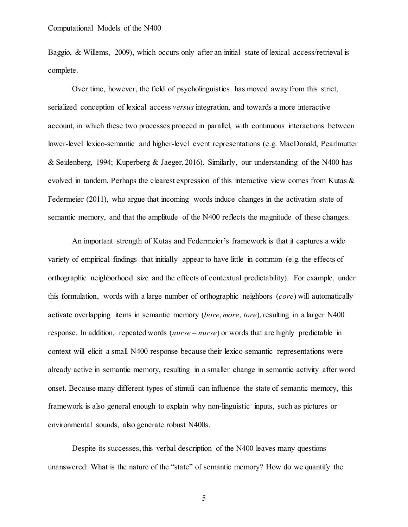Baggio, & Willems, 2009), which occurs only after an initial state of lexical access/retrieval is complete.

Over time, however, the field of psycholinguistics has moved away from this strict, serialized conception of lexical access *versus* integration, and towards a more interactive account, in which these two processes proceed in parallel, with continuous interactions between lower-level lexico-semantic and higher-level event representations (e.g. MacDonald, Pearlmutter & Seidenberg, 1994; Kuperberg & Jaeger, 2016). Similarly, our understanding of the N400 has evolved in tandem. Perhaps the clearest expression of this interactive view comes from Kutas  $\&$ Federmeier (2011), who argue that incoming words induce changes in the activation state of semantic memory, and that the amplitude of the N400 reflects the magnitude of these changes.

An important strength of Kutas and Federmeier**'**s framework is that it captures a wide variety of empirical findings that initially appear to have little in common (e.g. the effects of orthographic neighborhood size and the effects of contextual predictability). For example, under this formulation, words with a large number of orthographic neighbors (*core*) will automatically activate overlapping items in semantic memory (*bore*, *more*, *tore*), resulting in a larger N400 response. In addition, repeated words (*nurse* **–** *nurse*) or words that are highly predictable in context will elicit a small N400 response because their lexico-semantic representations were already active in semantic memory, resulting in a smaller change in semantic activity after word onset. Because many different types of stimuli can influence the state of semantic memory, this framework is also general enough to explain why non-linguistic inputs, such as pictures or environmental sounds, also generate robust N400s.

Despite its successes, this verbal description of the N400 leaves many questions unanswered: What is the nature of the "state" of semantic memory? How do we quantify the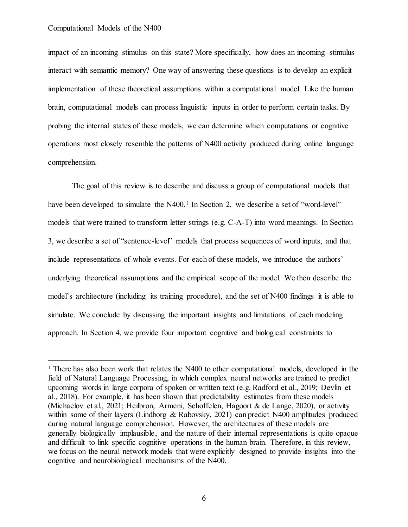impact of an incoming stimulus on this state? More specifically, how does an incoming stimulus interact with semantic memory? One way of answering these questions is to develop an explicit implementation of these theoretical assumptions within a computational model. Like the human brain, computational models can process linguistic inputs in order to perform certain tasks. By probing the internal states of these models, we can determine which computations or cognitive operations most closely resemble the patterns of N400 activity produced during online language comprehension.

The goal of this review is to describe and discuss a group of computational models that have been developed to simulate the N400.<sup>1</sup> In Section 2, we describe a set of "word-level" models that were trained to transform letter strings (e.g. C-A-T) into word meanings. In Section 3, we describe a set of "sentence-level" models that process sequences of word inputs, and that include representations of whole events. For each of these models, we introduce the authors' underlying theoretical assumptions and the empirical scope of the model. We then describe the model's architecture (including its training procedure), and the set of N400 findings it is able to simulate. We conclude by discussing the important insights and limitations of each modeling approach. In Section 4, we provide four important cognitive and biological constraints to

<sup>&</sup>lt;sup>1</sup> There has also been work that relates the N400 to other computational models, developed in the field of Natural Language Processing, in which complex neural networks are trained to predict upcoming words in large corpora of spoken or written text (e.g. Radford et al., 2019; Devlin et al., 2018). For example, it has been shown that predictability estimates from these models (Michaelov et al., 2021; Heilbron, Armeni, Schoffelen, Hagoort & de Lange, 2020), or activity within some of their layers (Lindborg & Rabovsky, 2021) can predict N400 amplitudes produced during natural language comprehension. However, the architectures of these models are generally biologically implausible, and the nature of their internal representations is quite opaque and difficult to link specific cognitive operations in the human brain. Therefore, in this review, we focus on the neural network models that were explicitly designed to provide insights into the cognitive and neurobiological mechanisms of the N400.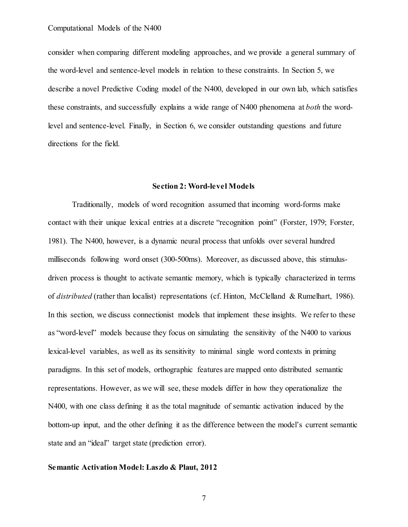consider when comparing different modeling approaches, and we provide a general summary of the word-level and sentence-level models in relation to these constraints. In Section 5, we describe a novel Predictive Coding model of the N400, developed in our own lab, which satisfies these constraints, and successfully explains a wide range of N400 phenomena at *both* the wordlevel and sentence-level. Finally, in Section 6, we consider outstanding questions and future directions for the field.

# **Section 2: Word-level Models**

Traditionally, models of word recognition assumed that incoming word-forms make contact with their unique lexical entries at a discrete "recognition point" (Forster, 1979; Forster, 1981). The N400, however, is a dynamic neural process that unfolds over several hundred milliseconds following word onset (300-500ms). Moreover, as discussed above, this stimulusdriven process is thought to activate semantic memory, which is typically characterized in terms of *distributed* (rather than localist) representations (cf. Hinton, McClelland & Rumelhart, 1986). In this section, we discuss connectionist models that implement these insights. We refer to these as "word-level" models because they focus on simulating the sensitivity of the N400 to various lexical-level variables, as well as its sensitivity to minimal single word contexts in priming paradigms. In this set of models, orthographic features are mapped onto distributed semantic representations. However, as we will see, these models differ in how they operationalize the N400, with one class defining it as the total magnitude of semantic activation induced by the bottom-up input, and the other defining it as the difference between the model's current semantic state and an "ideal" target state (prediction error).

# **Semantic Activation Model: Laszlo & Plaut, 2012**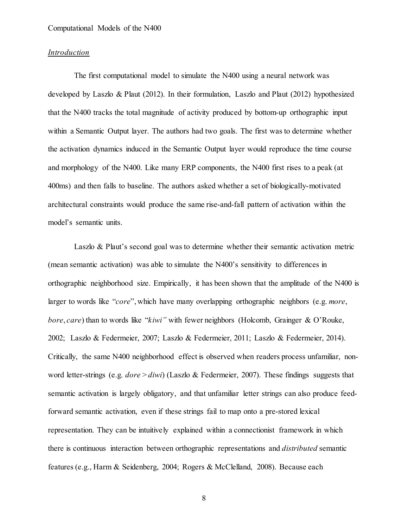# *Introduction*

The first computational model to simulate the N400 using a neural network was developed by Laszlo & Plaut (2012). In their formulation, Laszlo and Plaut (2012) hypothesized that the N400 tracks the total magnitude of activity produced by bottom-up orthographic input within a Semantic Output layer. The authors had two goals. The first was to determine whether the activation dynamics induced in the Semantic Output layer would reproduce the time course and morphology of the N400. Like many ERP components, the N400 first rises to a peak (at 400ms) and then falls to baseline. The authors asked whether a set of biologically-motivated architectural constraints would produce the same rise-and-fall pattern of activation within the model's semantic units.

Laszlo & Plaut's second goal was to determine whether their semantic activation metric (mean semantic activation) was able to simulate the N400's sensitivity to differences in orthographic neighborhood size. Empirically, it has been shown that the amplitude of the N400 is larger to words like "*core*", which have many overlapping orthographic neighbors (e.g. *more*, *bore*, *care*) than to words like "*kiwi"* with fewer neighbors (Holcomb, Grainger & O'Rouke, 2002; Laszlo & Federmeier, 2007; Laszlo & Federmeier, 2011; Laszlo & Federmeier, 2014). Critically, the same N400 neighborhood effect is observed when readers process unfamiliar, nonword letter-strings (e.g. *dore* > *diwi*) (Laszlo & Federmeier, 2007). These findings suggests that semantic activation is largely obligatory, and that unfamiliar letter strings can also produce feedforward semantic activation, even if these strings fail to map onto a pre-stored lexical representation. They can be intuitively explained within a connectionist framework in which there is continuous interaction between orthographic representations and *distributed* semantic features (e.g., Harm & Seidenberg, 2004; Rogers & McClelland, 2008). Because each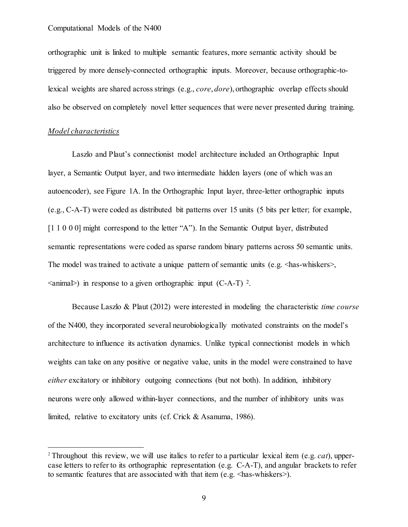orthographic unit is linked to multiple semantic features, more semantic activity should be triggered by more densely-connected orthographic inputs. Moreover, because orthographic-tolexical weights are shared across strings (e.g., *core*, *dore*), orthographic overlap effects should also be observed on completely novel letter sequences that were never presented during training.

# *Model characteristics*

Laszlo and Plaut's connectionist model architecture included an Orthographic Input layer, a Semantic Output layer, and two intermediate hidden layers (one of which was an autoencoder), see Figure 1A. In the Orthographic Input layer, three-letter orthographic inputs (e.g., C-A-T) were coded as distributed bit patterns over 15 units (5 bits per letter; for example, [1 1 0 0 0] might correspond to the letter "A"). In the Semantic Output layer, distributed semantic representations were coded as sparse random binary patterns across 50 semantic units. The model was trained to activate a unique pattern of semantic units (e.g.  $\langle$ has-whiskers>,  $\langle$ animal>) in response to a given orthographic input (C-A-T)  $^2$ .

Because Laszlo & Plaut (2012) were interested in modeling the characteristic *time course* of the N400, they incorporated several neurobiologically motivated constraints on the model's architecture to influence its activation dynamics. Unlike typical connectionist models in which weights can take on any positive or negative value, units in the model were constrained to have *either* excitatory or inhibitory outgoing connections (but not both). In addition, inhibitory neurons were only allowed within-layer connections, and the number of inhibitory units was limited, relative to excitatory units (cf. Crick & Asanuma, 1986).

 <sup>2</sup> Throughout this review, we will use italics to refer to a particular lexical item (e.g. *cat*), uppercase letters to refer to its orthographic representation (e.g. C-A-T), and angular brackets to refer to semantic features that are associated with that item (e.g.  $\langle$ has-whiskers>).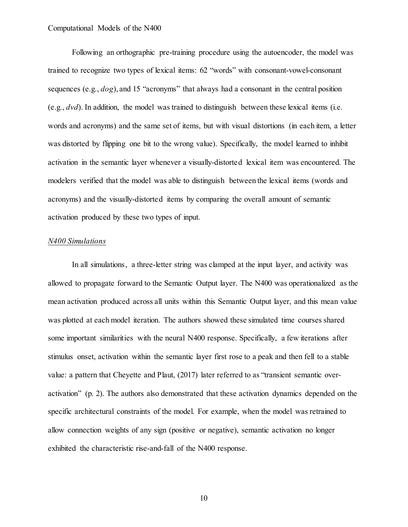Following an orthographic pre-training procedure using the autoencoder, the model was trained to recognize two types of lexical items: 62 "words" with consonant-vowel-consonant sequences (e.g., *dog*), and 15 "acronyms" that always had a consonant in the central position (e.g., *dvd*). In addition, the model was trained to distinguish between these lexical items (i.e. words and acronyms) and the same set of items, but with visual distortions (in each item, a letter was distorted by flipping one bit to the wrong value). Specifically, the model learned to inhibit activation in the semantic layer whenever a visually-distorted lexical item was encountered. The modelers verified that the model was able to distinguish between the lexical items (words and acronyms) and the visually-distorted items by comparing the overall amount of semantic activation produced by these two types of input.

# *N400 Simulations*

In all simulations, a three-letter string was clamped at the input layer, and activity was allowed to propagate forward to the Semantic Output layer. The N400 was operationalized as the mean activation produced across all units within this Semantic Output layer, and this mean value was plotted at each model iteration. The authors showed these simulated time courses shared some important similarities with the neural N400 response. Specifically, a few iterations after stimulus onset, activation within the semantic layer first rose to a peak and then fell to a stable value: a pattern that Cheyette and Plaut, (2017) later referred to as "transient semantic overactivation" (p. 2). The authors also demonstrated that these activation dynamics depended on the specific architectural constraints of the model. For example, when the model was retrained to allow connection weights of any sign (positive or negative), semantic activation no longer exhibited the characteristic rise-and-fall of the N400 response.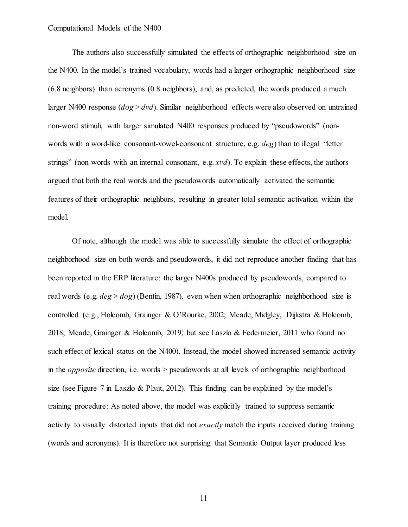The authors also successfully simulated the effects of orthographic neighborhood size on the N400. In the model's trained vocabulary, words had a larger orthographic neighborhood size (6.8 neighbors) than acronyms (0.8 neighbors), and, as predicted, the words produced a much larger N400 response (*dog* > *dvd*). Similar neighborhood effects were also observed on untrained non-word stimuli, with larger simulated N400 responses produced by "pseudowords" (nonwords with a word-like consonant-vowel-consonant structure, e.g. *deg*) than to illegal "letter strings" (non-words with an internal consonant, e.g. *xvd*). To explain these effects, the authors argued that both the real words and the pseudowords automatically activated the semantic features of their orthographic neighbors, resulting in greater total semantic activation within the model.

Of note, although the model was able to successfully simulate the effect of orthographic neighborhood size on both words and pseudowords, it did not reproduce another finding that has been reported in the ERP literature: the larger N400s produced by pseudowords, compared to real words (e.g. *deg* > *dog*) (Bentin, 1987), even when when orthographic neighborhood size is controlled (e.g., Holcomb, Grainger & O'Rourke, 2002; Meade, Midgley, Dijkstra & Holcomb, 2018; Meade, Grainger & Holcomb, 2019; but see Laszlo & Federmeier, 2011 who found no such effect of lexical status on the N400). Instead, the model showed increased semantic activity in the *opposite* direction, i.e. words > pseudowords at all levels of orthographic neighborhood size (see Figure 7 in Laszlo & Plaut, 2012). This finding can be explained by the model's training procedure: As noted above, the model was explicitly trained to suppress semantic activity to visually distorted inputs that did not *exactly* match the inputs received during training (words and acronyms). It is therefore not surprising that Semantic Output layer produced less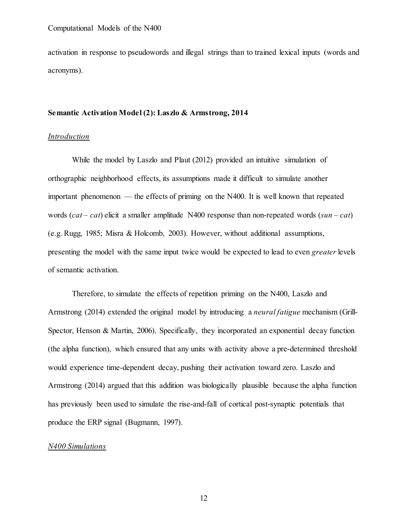activation in response to pseudowords and illegal strings than to trained lexical inputs (words and acronyms).

# **Semantic Activation Model (2): Laszlo & Armstrong, 2014**

# *Introduction*

While the model by Laszlo and Plaut (2012) provided an intuitive simulation of orthographic neighborhood effects, its assumptions made it difficult to simulate another important phenomenon — the effects of priming on the N400. It is well known that repeated words (*cat – cat*) elicit a smaller amplitude N400 response than non-repeated words (*sun – cat*) (e.g. Rugg, 1985; Misra & Holcomb, 2003). However, without additional assumptions, presenting the model with the same input twice would be expected to lead to even *greater* levels of semantic activation.

Therefore, to simulate the effects of repetition priming on the N400, Laszlo and Armstrong (2014) extended the original model by introducing a *neural fatigue* mechanism (Grill-Spector, Henson & Martin, 2006). Specifically, they incorporated an exponential decay function (the alpha function), which ensured that any units with activity above a pre-determined threshold would experience time-dependent decay, pushing their activation toward zero. Laszlo and Armstrong (2014) argued that this addition was biologically plausible because the alpha function has previously been used to simulate the rise-and-fall of cortical post-synaptic potentials that produce the ERP signal (Bugmann, 1997).

# *N400 Simulations*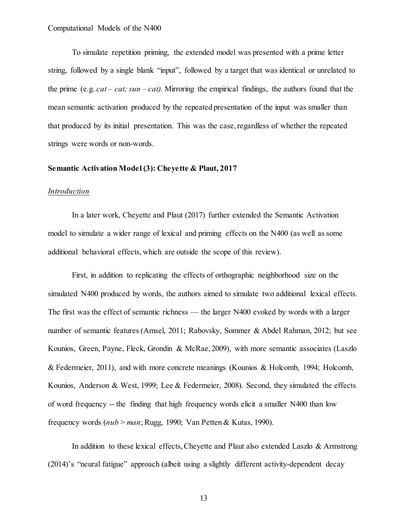To simulate repetition priming, the extended model was presented with a prime letter string, followed by a single blank "input", followed by a target that was identical or unrelated to the prime (e.g. *cat – cat; sun – cat).* Mirroring the empirical findings, the authors found that the mean semantic activation produced by the repeated presentation of the input was smaller than that produced by its initial presentation. This was the case, regardless of whether the repeated strings were words or non-words.

# **Semantic Activation Model (3): Cheyette & Plaut, 2017**

# *Introduction*

In a later work, Cheyette and Plaut (2017) further extended the Semantic Activation model to simulate a wider range of lexical and priming effects on the N400 (as well as some additional behavioral effects, which are outside the scope of this review).

First, in addition to replicating the effects of orthographic neighborhood size on the simulated N400 produced by words, the authors aimed to simulate two additional lexical effects. The first was the effect of semantic richness — the larger N400 evoked by words with a larger number of semantic features (Amsel, 2011; Rabovsky, Sommer & Abdel Rahman, 2012; but see Kounios, Green, Payne, Fleck, Grondin & McRae, 2009), with more semantic associates (Laszlo & Federmeier, 2011), and with more concrete meanings (Kounios & Holcomb, 1994; Holcomb, Kounios, Anderson & West, 1999; Lee & Federmeier, 2008). Second, they simulated the effects of word frequency -- the finding that high frequency words elicit a smaller N400 than low frequency words (*nub* > *man*; Rugg, 1990; Van Petten & Kutas, 1990).

In addition to these lexical effects, Cheyette and Plaut also extended Laszlo & Armstrong (2014)'s "neural fatigue" approach (albeit using a slightly different activity-dependent decay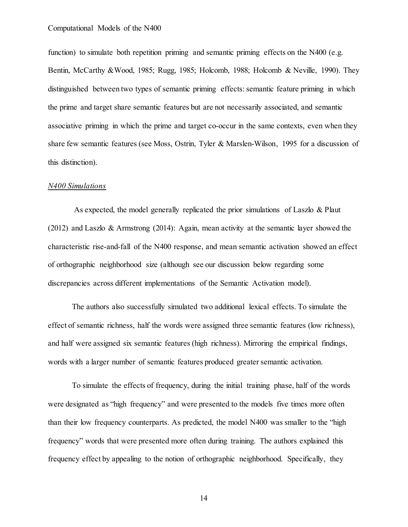function) to simulate both repetition priming and semantic priming effects on the N400 (e.g. Bentin, McCarthy &Wood, 1985; Rugg, 1985; Holcomb, 1988; Holcomb & Neville, 1990). They distinguished between two types of semantic priming effects: semantic feature priming in which the prime and target share semantic features but are not necessarily associated, and semantic associative priming in which the prime and target co-occur in the same contexts, even when they share few semantic features (see Moss, Ostrin, Tyler & Marslen-Wilson, 1995 for a discussion of this distinction).

# *N400 Simulations*

As expected, the model generally replicated the prior simulations of Laszlo & Plaut (2012) and Laszlo & Armstrong (2014): Again, mean activity at the semantic layer showed the characteristic rise-and-fall of the N400 response, and mean semantic activation showed an effect of orthographic neighborhood size (although see our discussion below regarding some discrepancies across different implementations of the Semantic Activation model).

The authors also successfully simulated two additional lexical effects. To simulate the effect of semantic richness, half the words were assigned three semantic features (low richness), and half were assigned six semantic features (high richness). Mirroring the empirical findings, words with a larger number of semantic features produced greater semantic activation.

To simulate the effects of frequency, during the initial training phase, half of the words were designated as "high frequency" and were presented to the models five times more often than their low frequency counterparts. As predicted, the model N400 was smaller to the "high frequency" words that were presented more often during training. The authors explained this frequency effect by appealing to the notion of orthographic neighborhood. Specifically, they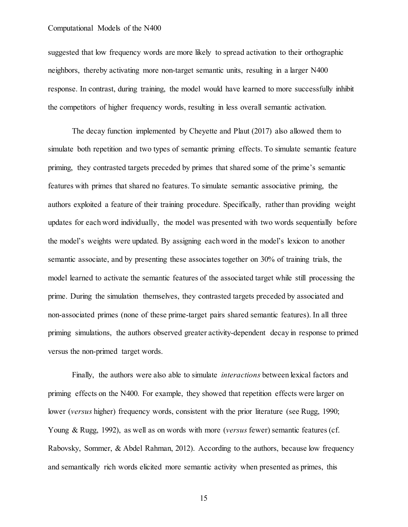suggested that low frequency words are more likely to spread activation to their orthographic neighbors, thereby activating more non-target semantic units, resulting in a larger N400 response. In contrast, during training, the model would have learned to more successfully inhibit the competitors of higher frequency words, resulting in less overall semantic activation.

The decay function implemented by Cheyette and Plaut (2017) also allowed them to simulate both repetition and two types of semantic priming effects. To simulate semantic feature priming, they contrasted targets preceded by primes that shared some of the prime's semantic features with primes that shared no features. To simulate semantic associative priming, the authors exploited a feature of their training procedure. Specifically, rather than providing weight updates for each word individually, the model was presented with two words sequentially before the model's weights were updated. By assigning each word in the model's lexicon to another semantic associate, and by presenting these associates together on 30% of training trials, the model learned to activate the semantic features of the associated target while still processing the prime. During the simulation themselves, they contrasted targets preceded by associated and non-associated primes (none of these prime-target pairs shared semantic features). In all three priming simulations, the authors observed greater activity-dependent decay in response to primed versus the non-primed target words.

Finally, the authors were also able to simulate *interactions* between lexical factors and priming effects on the N400. For example, they showed that repetition effects were larger on lower (*versus* higher) frequency words, consistent with the prior literature (see Rugg, 1990; Young & Rugg, 1992), as well as on words with more (*versus* fewer) semantic features (cf. Rabovsky, Sommer, & Abdel Rahman, 2012). According to the authors, because low frequency and semantically rich words elicited more semantic activity when presented as primes, this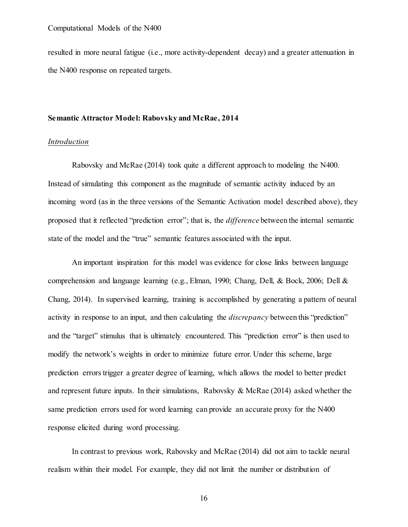resulted in more neural fatigue (i.e., more activity-dependent decay) and a greater attenuation in the N400 response on repeated targets.

## **Semantic Attractor Model: Rabovsky and McRae, 2014**

# *Introduction*

Rabovsky and McRae (2014) took quite a different approach to modeling the N400. Instead of simulating this component as the magnitude of semantic activity induced by an incoming word (as in the three versions of the Semantic Activation model described above), they proposed that it reflected "prediction error"; that is, the *difference* between the internal semantic state of the model and the "true" semantic features associated with the input.

An important inspiration for this model was evidence for close links between language comprehension and language learning (e.g., Elman, 1990; Chang, Dell, & Bock, 2006; Dell & Chang, 2014). In supervised learning, training is accomplished by generating a pattern of neural activity in response to an input, and then calculating the *discrepancy* between this "prediction" and the "target" stimulus that is ultimately encountered. This "prediction error" is then used to modify the network's weights in order to minimize future error. Under this scheme, large prediction errors trigger a greater degree of learning, which allows the model to better predict and represent future inputs. In their simulations, Rabovsky & McRae  $(2014)$  asked whether the same prediction errors used for word learning can provide an accurate proxy for the N400 response elicited during word processing.

In contrast to previous work, Rabovsky and McRae (2014) did not aim to tackle neural realism within their model. For example, they did not limit the number or distribution of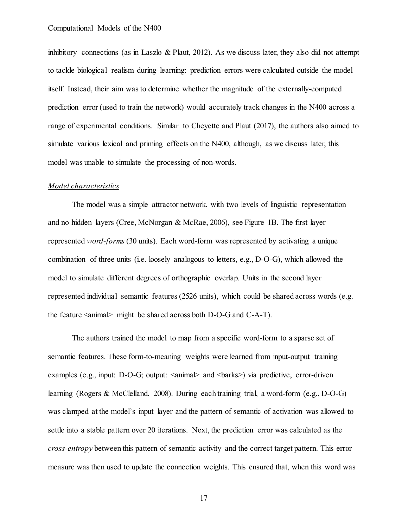inhibitory connections (as in Laszlo & Plaut, 2012). As we discuss later, they also did not attempt to tackle biological realism during learning: prediction errors were calculated outside the model itself. Instead, their aim was to determine whether the magnitude of the externally-computed prediction error (used to train the network) would accurately track changes in the N400 across a range of experimental conditions. Similar to Cheyette and Plaut (2017), the authors also aimed to simulate various lexical and priming effects on the N400, although, as we discuss later, this model was unable to simulate the processing of non-words.

# *Model characteristics*

The model was a simple attractor network, with two levels of linguistic representation and no hidden layers (Cree, McNorgan & McRae, 2006), see Figure 1B. The first layer represented *word-forms* (30 units). Each word-form was represented by activating a unique combination of three units (i.e. loosely analogous to letters, e.g., D-O-G), which allowed the model to simulate different degrees of orthographic overlap. Units in the second layer represented individual semantic features (2526 units), which could be shared across words (e.g. the feature  $\langle$  animal $\rangle$  might be shared across both D-O-G and C-A-T).

The authors trained the model to map from a specific word-form to a sparse set of semantic features. These form-to-meaning weights were learned from input-output training examples (e.g., input: D-O-G; output:  $\langle$ anima $\rangle$  and  $\langle$ barks $\rangle$ ) via predictive, error-driven learning (Rogers & McClelland, 2008). During each training trial, a word-form (e.g., D-O-G) was clamped at the model's input layer and the pattern of semantic of activation was allowed to settle into a stable pattern over 20 iterations. Next, the prediction error was calculated as the *cross-entropy* between this pattern of semantic activity and the correct target pattern. This error measure was then used to update the connection weights. This ensured that, when this word was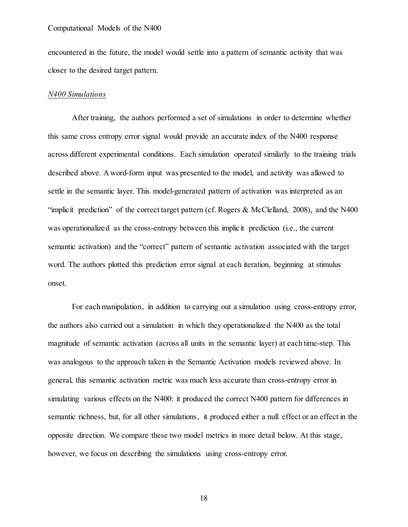encountered in the future, the model would settle into a pattern of semantic activity that was closer to the desired target pattern.

#### *N400 Simulations*

After training, the authors performed a set of simulations in order to determine whether this same cross entropy error signal would provide an accurate index of the N400 response across different experimental conditions. Each simulation operated similarly to the training trials described above. A word-form input was presented to the model, and activity was allowed to settle in the semantic layer. This model-generated pattern of activation was interpreted as an "implicit prediction" of the correct target pattern (cf. Rogers & McClelland, 2008), and the N400 was operationalized as the cross-entropy between this implicit prediction (i.e., the current semantic activation) and the "correct" pattern of semantic activation associated with the target word. The authors plotted this prediction error signal at each iteration, beginning at stimulus onset.

For each manipulation, in addition to carrying out a simulation using cross-entropy error, the authors also carried out a simulation in which they operationalized the N400 as the total magnitude of semantic activation (across all units in the semantic layer) at each time-step. This was analogous to the approach taken in the Semantic Activation models reviewed above. In general, this semantic activation metric was much less accurate than cross-entropy error in simulating various effects on the N400: it produced the correct N400 pattern for differences in semantic richness, but, for all other simulations, it produced either a null effect or an effect in the opposite direction. We compare these two model metrics in more detail below. At this stage, however, we focus on describing the simulations using cross-entropy error.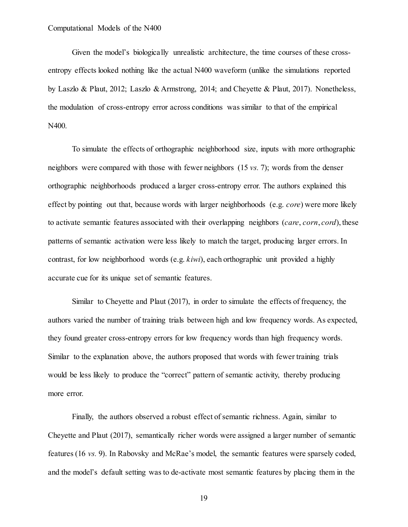Given the model's biologically unrealistic architecture, the time courses of these crossentropy effects looked nothing like the actual N400 waveform (unlike the simulations reported by Laszlo & Plaut, 2012; Laszlo & Armstrong, 2014; and Cheyette & Plaut, 2017). Nonetheless, the modulation of cross-entropy error across conditions was similar to that of the empirical N400.

To simulate the effects of orthographic neighborhood size, inputs with more orthographic neighbors were compared with those with fewer neighbors (15 *vs.* 7); words from the denser orthographic neighborhoods produced a larger cross-entropy error. The authors explained this effect by pointing out that, because words with larger neighborhoods (e.g. *core*) were more likely to activate semantic features associated with their overlapping neighbors (*care*, *corn*, *cord*), these patterns of semantic activation were less likely to match the target, producing larger errors. In contrast, for low neighborhood words (e.g. *kiwi*), each orthographic unit provided a highly accurate cue for its unique set of semantic features.

Similar to Cheyette and Plaut (2017), in order to simulate the effects of frequency, the authors varied the number of training trials between high and low frequency words. As expected, they found greater cross-entropy errors for low frequency words than high frequency words. Similar to the explanation above, the authors proposed that words with fewer training trials would be less likely to produce the "correct" pattern of semantic activity, thereby producing more error.

Finally, the authors observed a robust effect of semantic richness. Again, similar to Cheyette and Plaut (2017), semantically richer words were assigned a larger number of semantic features (16 *vs.* 9). In Rabovsky and McRae's model, the semantic features were sparsely coded, and the model's default setting was to de-activate most semantic features by placing them in the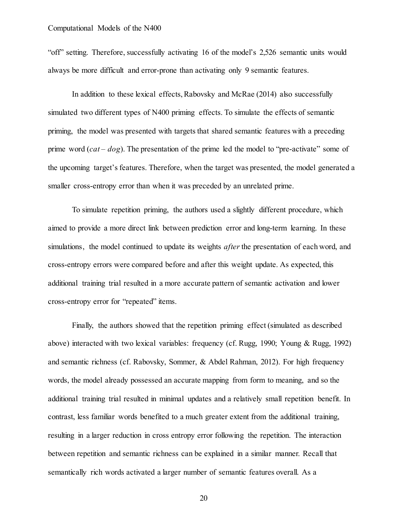"off" setting. Therefore, successfully activating 16 of the model's 2,526 semantic units would always be more difficult and error-prone than activating only 9 semantic features.

In addition to these lexical effects, Rabovsky and McRae (2014) also successfully simulated two different types of N400 priming effects. To simulate the effects of semantic priming, the model was presented with targets that shared semantic features with a preceding prime word (*cat* – *dog*). The presentation of the prime led the model to "pre-activate" some of the upcoming target's features. Therefore, when the target was presented, the model generated a smaller cross-entropy error than when it was preceded by an unrelated prime.

To simulate repetition priming, the authors used a slightly different procedure, which aimed to provide a more direct link between prediction error and long-term learning. In these simulations, the model continued to update its weights *after* the presentation of each word, and cross-entropy errors were compared before and after this weight update. As expected, this additional training trial resulted in a more accurate pattern of semantic activation and lower cross-entropy error for "repeated" items.

Finally, the authors showed that the repetition priming effect (simulated as described above) interacted with two lexical variables: frequency (cf. Rugg, 1990; Young & Rugg, 1992) and semantic richness (cf. Rabovsky, Sommer, & Abdel Rahman, 2012). For high frequency words, the model already possessed an accurate mapping from form to meaning, and so the additional training trial resulted in minimal updates and a relatively small repetition benefit. In contrast, less familiar words benefited to a much greater extent from the additional training, resulting in a larger reduction in cross entropy error following the repetition. The interaction between repetition and semantic richness can be explained in a similar manner. Recall that semantically rich words activated a larger number of semantic features overall. As a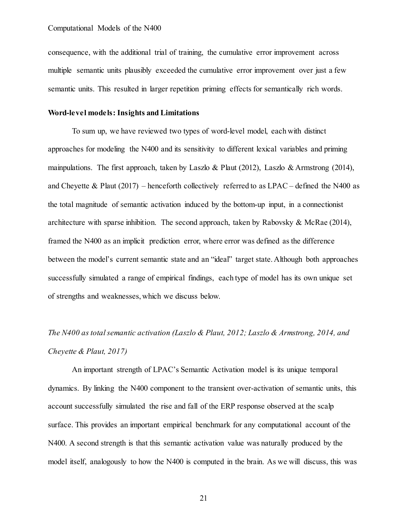consequence, with the additional trial of training, the cumulative error improvement across multiple semantic units plausibly exceeded the cumulative error improvement over just a few semantic units. This resulted in larger repetition priming effects for semantically rich words.

# **Word-level models: Insights and Limitations**

To sum up, we have reviewed two types of word-level model, each with distinct approaches for modeling the N400 and its sensitivity to different lexical variables and priming mainpulations. The first approach, taken by Laszlo & Plaut (2012), Laszlo & Armstrong (2014), and Cheyette & Plaut (2017) – henceforth collectively referred to as LPAC – defined the N400 as the total magnitude of semantic activation induced by the bottom-up input, in a connectionist architecture with sparse inhibition. The second approach, taken by Rabovsky & McRae (2014), framed the N400 as an implicit prediction error, where error was defined as the difference between the model's current semantic state and an "ideal" target state. Although both approaches successfully simulated a range of empirical findings, each type of model has its own unique set of strengths and weaknesses, which we discuss below.

# *The N400 as total semantic activation (Laszlo & Plaut, 2012; Laszlo & Armstrong, 2014, and Cheyette & Plaut, 2017)*

An important strength of LPAC's Semantic Activation model is its unique temporal dynamics. By linking the N400 component to the transient over-activation of semantic units, this account successfully simulated the rise and fall of the ERP response observed at the scalp surface. This provides an important empirical benchmark for any computational account of the N400. A second strength is that this semantic activation value was naturally produced by the model itself, analogously to how the N400 is computed in the brain. As we will discuss, this was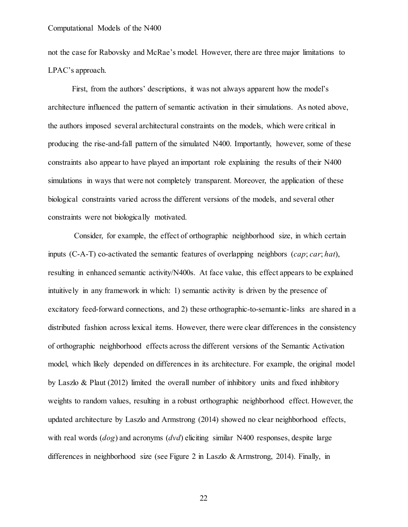not the case for Rabovsky and McRae's model. However, there are three major limitations to LPAC's approach.

First, from the authors' descriptions, it was not always apparent how the model's architecture influenced the pattern of semantic activation in their simulations. As noted above, the authors imposed several architectural constraints on the models, which were critical in producing the rise-and-fall pattern of the simulated N400. Importantly, however, some of these constraints also appear to have played an important role explaining the results of their N400 simulations in ways that were not completely transparent. Moreover, the application of these biological constraints varied across the different versions of the models, and several other constraints were not biologically motivated.

Consider, for example, the effect of orthographic neighborhood size, in which certain inputs (C-A-T) co-activated the semantic features of overlapping neighbors (*cap*; *car*; *hat*), resulting in enhanced semantic activity/N400s. At face value, this effect appears to be explained intuitively in any framework in which: 1) semantic activity is driven by the presence of excitatory feed-forward connections, and 2) these orthographic-to-semantic-links are shared in a distributed fashion across lexical items. However, there were clear differences in the consistency of orthographic neighborhood effects across the different versions of the Semantic Activation model, which likely depended on differences in its architecture. For example, the original model by Laszlo & Plaut (2012) limited the overall number of inhibitory units and fixed inhibitory weights to random values, resulting in a robust orthographic neighborhood effect. However, the updated architecture by Laszlo and Armstrong (2014) showed no clear neighborhood effects, with real words (*dog*) and acronyms (*dvd*) eliciting similar N400 responses, despite large differences in neighborhood size (see Figure 2 in Laszlo & Armstrong, 2014). Finally, in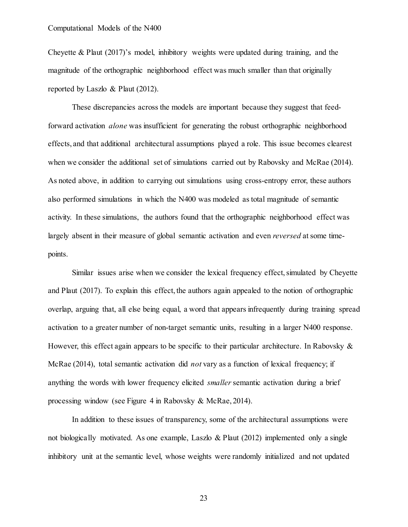Cheyette & Plaut (2017)'s model, inhibitory weights were updated during training, and the magnitude of the orthographic neighborhood effect was much smaller than that originally reported by Laszlo & Plaut (2012).

These discrepancies across the models are important because they suggest that feedforward activation *alone* was insufficient for generating the robust orthographic neighborhood effects, and that additional architectural assumptions played a role. This issue becomes clearest when we consider the additional set of simulations carried out by Rabovsky and McRae (2014). As noted above, in addition to carrying out simulations using cross-entropy error, these authors also performed simulations in which the N400 was modeled as total magnitude of semantic activity. In these simulations, the authors found that the orthographic neighborhood effect was largely absent in their measure of global semantic activation and even *reversed* at some timepoints.

Similar issues arise when we consider the lexical frequency effect, simulated by Cheyette and Plaut (2017). To explain this effect, the authors again appealed to the notion of orthographic overlap, arguing that, all else being equal, a word that appears infrequently during training spread activation to a greater number of non-target semantic units, resulting in a larger N400 response. However, this effect again appears to be specific to their particular architecture. In Rabovsky  $\&$ McRae (2014), total semantic activation did *not* vary as a function of lexical frequency; if anything the words with lower frequency elicited *smaller* semantic activation during a brief processing window (see Figure 4 in Rabovsky & McRae, 2014).

In addition to these issues of transparency, some of the architectural assumptions were not biologically motivated. As one example, Laszlo & Plaut (2012) implemented only a single inhibitory unit at the semantic level, whose weights were randomly initialized and not updated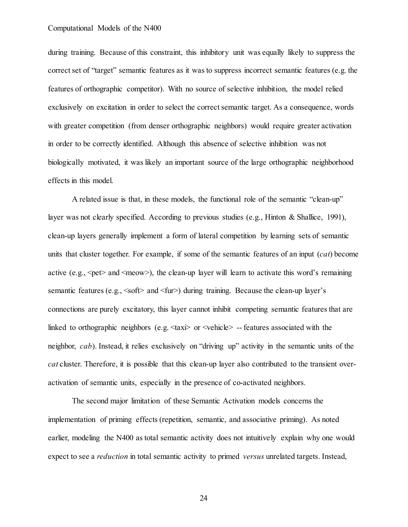during training. Because of this constraint, this inhibitory unit was equally likely to suppress the correct set of "target" semantic features as it was to suppress incorrect semantic features (e.g. the features of orthographic competitor). With no source of selective inhibition, the model relied exclusively on excitation in order to select the correct semantic target. As a consequence, words with greater competition (from denser orthographic neighbors) would require greater activation in order to be correctly identified. Although this absence of selective inhibition was not biologically motivated, it was likely an important source of the large orthographic neighborhood effects in this model.

A related issue is that, in these models, the functional role of the semantic "clean-up" layer was not clearly specified. According to previous studies (e.g., Hinton & Shallice, 1991), clean-up layers generally implement a form of lateral competition by learning sets of semantic units that cluster together. For example, if some of the semantic features of an input (*cat*) become active (e.g.,  $\leq$  pet $>$  and  $\leq$  meow $\geq$ ), the clean-up layer will learn to activate this word's remaining semantic features (e.g.,  $\leq$  soft $>$  and  $\leq$  fur $>$ ) during training. Because the clean-up layer's connections are purely excitatory, this layer cannot inhibit competing semantic features that are linked to orthographic neighbors (e.g.  $\langle \text{taxi} \rangle$  or  $\langle \text{vehicle} \rangle$  -- features associated with the neighbor, *cab*). Instead, it relies exclusively on "driving up" activity in the semantic units of the *cat* cluster. Therefore, it is possible that this clean-up layer also contributed to the transient overactivation of semantic units, especially in the presence of co-activated neighbors.

The second major limitation of these Semantic Activation models concerns the implementation of priming effects (repetition, semantic, and associative priming). As noted earlier, modeling the N400 as total semantic activity does not intuitively explain why one would expect to see a *reduction* in total semantic activity to primed *versus* unrelated targets. Instead,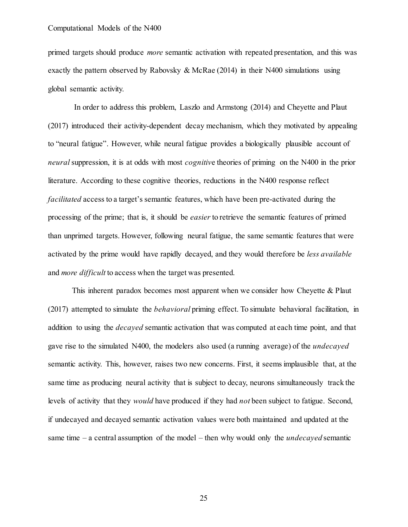primed targets should produce *more* semantic activation with repeated presentation, and this was exactly the pattern observed by Rabovsky & McRae (2014) in their N400 simulations using global semantic activity.

In order to address this problem, Laszlo and Armstong (2014) and Cheyette and Plaut (2017) introduced their activity-dependent decay mechanism, which they motivated by appealing to "neural fatigue". However, while neural fatigue provides a biologically plausible account of *neural*suppression, it is at odds with most *cognitiv*e theories of priming on the N400 in the prior literature. According to these cognitive theories, reductions in the N400 response reflect *facilitated* access to a target's semantic features, which have been pre-activated during the processing of the prime; that is, it should be *easier* to retrieve the semantic features of primed than unprimed targets. However, following neural fatigue, the same semantic features that were activated by the prime would have rapidly decayed, and they would therefore be *less available*  and *more difficult* to access when the target was presented.

This inherent paradox becomes most apparent when we consider how Cheyette & Plaut (2017) attempted to simulate the *behavioral* priming effect. To simulate behavioral facilitation, in addition to using the *decayed* semantic activation that was computed at each time point, and that gave rise to the simulated N400, the modelers also used (a running average) of the *undecayed*  semantic activity. This, however, raises two new concerns. First, it seems implausible that, at the same time as producing neural activity that is subject to decay, neurons simultaneously track the levels of activity that they *would* have produced if they had *not* been subject to fatigue. Second, if undecayed and decayed semantic activation values were both maintained and updated at the same time – a central assumption of the model – then why would only the *undecayed* semantic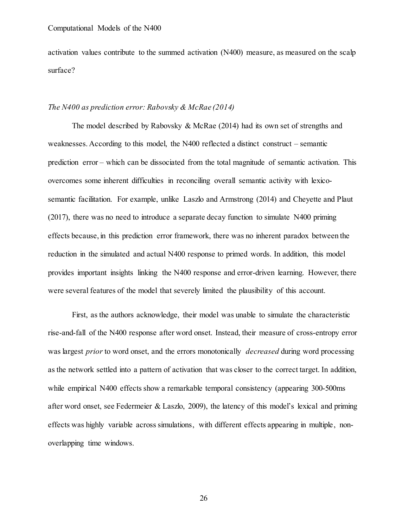activation values contribute to the summed activation (N400) measure, as measured on the scalp surface?

# *The N400 as prediction error: Rabovsky & McRae (2014)*

The model described by Rabovsky & McRae (2014) had its own set of strengths and weaknesses. According to this model, the N400 reflected a distinct construct – semantic prediction error – which can be dissociated from the total magnitude of semantic activation. This overcomes some inherent difficulties in reconciling overall semantic activity with lexicosemantic facilitation. For example, unlike Laszlo and Armstrong (2014) and Cheyette and Plaut (2017), there was no need to introduce a separate decay function to simulate N400 priming effects because, in this prediction error framework, there was no inherent paradox between the reduction in the simulated and actual N400 response to primed words. In addition, this model provides important insights linking the N400 response and error-driven learning. However, there were several features of the model that severely limited the plausibility of this account.

First, as the authors acknowledge, their model was unable to simulate the characteristic rise-and-fall of the N400 response after word onset. Instead, their measure of cross-entropy error was largest *prior* to word onset, and the errors monotonically *decreased* during word processing as the network settled into a pattern of activation that was closer to the correct target. In addition, while empirical N400 effects show a remarkable temporal consistency (appearing 300-500ms) after word onset, see Federmeier & Laszlo, 2009), the latency of this model's lexical and priming effects was highly variable across simulations, with different effects appearing in multiple, nonoverlapping time windows.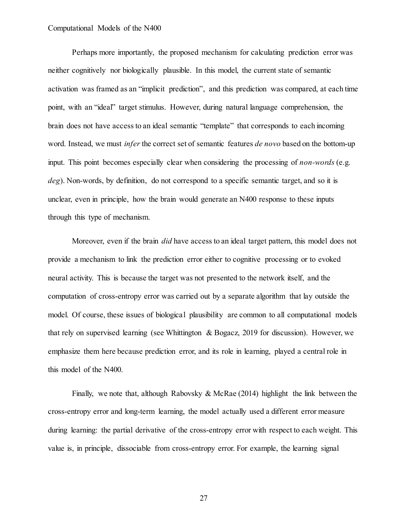Perhaps more importantly, the proposed mechanism for calculating prediction error was neither cognitively nor biologically plausible. In this model, the current state of semantic activation was framed as an "implicit prediction", and this prediction was compared, at each time point, with an "ideal" target stimulus. However, during natural language comprehension, the brain does not have access to an ideal semantic "template" that corresponds to each incoming word. Instead, we must *infer* the correct set of semantic features *de novo* based on the bottom-up input. This point becomes especially clear when considering the processing of *non-words* (e.g. *deg*). Non-words, by definition, do not correspond to a specific semantic target, and so it is unclear, even in principle, how the brain would generate an N400 response to these inputs through this type of mechanism.

Moreover, even if the brain *did* have access to an ideal target pattern, this model does not provide a mechanism to link the prediction error either to cognitive processing or to evoked neural activity. This is because the target was not presented to the network itself, and the computation of cross-entropy error was carried out by a separate algorithm that lay outside the model. Of course, these issues of biological plausibility are common to all computational models that rely on supervised learning (see Whittington & Bogacz, 2019 for discussion). However, we emphasize them here because prediction error, and its role in learning, played a central role in this model of the N400.

Finally, we note that, although Rabovsky & McRae  $(2014)$  highlight the link between the cross-entropy error and long-term learning, the model actually used a different error measure during learning: the partial derivative of the cross-entropy error with respect to each weight. This value is, in principle, dissociable from cross-entropy error. For example, the learning signal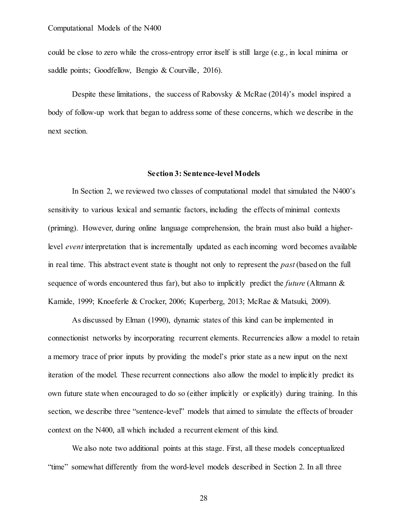could be close to zero while the cross-entropy error itself is still large (e.g., in local minima or saddle points; Goodfellow, Bengio & Courville, 2016).

Despite these limitations, the success of Rabovsky & McRae (2014)'s model inspired a body of follow-up work that began to address some of these concerns, which we describe in the next section.

# **Section 3: Sentence-level Models**

In Section 2, we reviewed two classes of computational model that simulated the N400's sensitivity to various lexical and semantic factors, including the effects of minimal contexts (priming). However, during online language comprehension, the brain must also build a higherlevel *event* interpretation that is incrementally updated as each incoming word becomes available in real time. This abstract event state is thought not only to represent the *past* (based on the full sequence of words encountered thus far), but also to implicitly predict the *future* (Altmann & Kamide, 1999; Knoeferle & Crocker, 2006; Kuperberg, 2013; McRae & Matsuki, 2009).

As discussed by Elman (1990), dynamic states of this kind can be implemented in connectionist networks by incorporating recurrent elements. Recurrencies allow a model to retain a memory trace of prior inputs by providing the model's prior state as a new input on the next iteration of the model. These recurrent connections also allow the model to implicitly predict its own future state when encouraged to do so (either implicitly or explicitly) during training. In this section, we describe three "sentence-level" models that aimed to simulate the effects of broader context on the N400, all which included a recurrent element of this kind.

We also note two additional points at this stage. First, all these models conceptualized "time" somewhat differently from the word-level models described in Section 2. In all three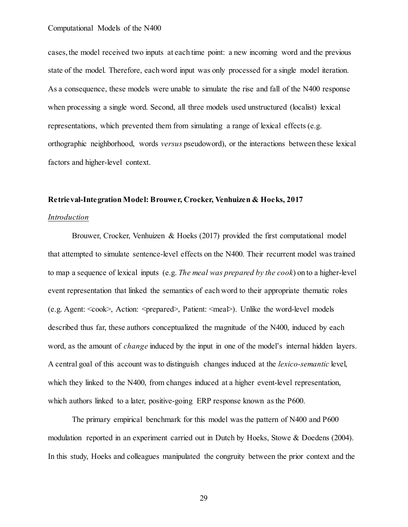cases, the model received two inputs at each time point: a new incoming word and the previous state of the model. Therefore, each word input was only processed for a single model iteration. As a consequence, these models were unable to simulate the rise and fall of the N400 response when processing a single word. Second, all three models used unstructured (localist) lexical representations, which prevented them from simulating a range of lexical effects (e.g. orthographic neighborhood, words *versus* pseudoword), or the interactions between these lexical factors and higher-level context.

# **Retrieval-Integration Model: Brouwer, Crocker, Venhuizen & Hoeks, 2017**

# *Introduction*

Brouwer, Crocker, Venhuizen & Hoeks (2017) provided the first computational model that attempted to simulate sentence-level effects on the N400. Their recurrent model was trained to map a sequence of lexical inputs (e.g. *The meal was prepared by the cook*) on to a higher-level event representation that linked the semantics of each word to their appropriate thematic roles (e.g. Agent:  $<$ cook $>$ , Action:  $<$ prepared $>$ , Patient:  $<$ meal $>$ ). Unlike the word-level models described thus far, these authors conceptualized the magnitude of the N400, induced by each word, as the amount of *change* induced by the input in one of the model's internal hidden layers. A central goal of this account was to distinguish changes induced at the *lexico-semantic* level, which they linked to the N400, from changes induced at a higher event-level representation, which authors linked to a later, positive-going ERP response known as the P600.

The primary empirical benchmark for this model was the pattern of N400 and P600 modulation reported in an experiment carried out in Dutch by Hoeks, Stowe & Doedens (2004). In this study, Hoeks and colleagues manipulated the congruity between the prior context and the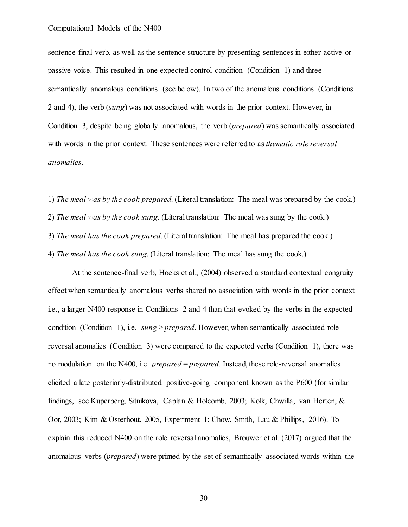sentence-final verb, as well as the sentence structure by presenting sentences in either active or passive voice. This resulted in one expected control condition (Condition 1) and three semantically anomalous conditions (see below). In two of the anomalous conditions (Conditions 2 and 4), the verb (*sung*) was not associated with words in the prior context. However, in Condition 3, despite being globally anomalous, the verb (*prepared*) was semantically associated with words in the prior context. These sentences were referred to as *thematic role reversal anomalies*.

1) *The meal was by the cook prepared*. (Literal translation: The meal was prepared by the cook.)

2) *The meal was by the cook sung*. (Literal translation: The meal was sung by the cook.)

3) *The meal has the cook prepared*. (Literal translation: The meal has prepared the cook.)

4) *The meal has the cook sung*. (Literal translation: The meal has sung the cook.)

At the sentence-final verb, Hoeks et al., (2004) observed a standard contextual congruity effect when semantically anomalous verbs shared no association with words in the prior context i.e., a larger N400 response in Conditions 2 and 4 than that evoked by the verbs in the expected condition (Condition 1), i.e. *sung* > *prepared*. However, when semantically associated rolereversal anomalies (Condition 3) were compared to the expected verbs (Condition 1), there was no modulation on the N400, i.e. *prepared* = *prepared*. Instead, these role-reversal anomalies elicited a late posteriorly-distributed positive-going component known as the P600 (for similar findings, see Kuperberg, Sitnikova, Caplan & Holcomb, 2003; Kolk, Chwilla, van Herten, & Oor, 2003; Kim & Osterhout, 2005, Experiment 1; Chow, Smith, Lau & Phillips, 2016). To explain this reduced N400 on the role reversal anomalies, Brouwer et al. (2017) argued that the anomalous verbs (*prepared*) were primed by the set of semantically associated words within the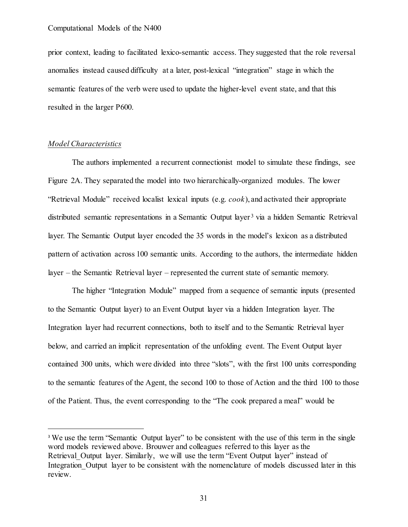prior context, leading to facilitated lexico-semantic access. They suggested that the role reversal anomalies instead caused difficulty at a later, post-lexical "integration" stage in which the semantic features of the verb were used to update the higher-level event state, and that this resulted in the larger P600.

#### *Model Characteristics*

 $\overline{a}$ 

The authors implemented a recurrent connectionist model to simulate these findings, see Figure 2A. They separated the model into two hierarchically-organized modules. The lower "Retrieval Module" received localist lexical inputs (e.g. *cook*), and activated their appropriate distributed semantic representations in a Semantic Output layer<sup>3</sup> via a hidden Semantic Retrieval layer. The Semantic Output layer encoded the 35 words in the model's lexicon as a distributed pattern of activation across 100 semantic units. According to the authors, the intermediate hidden layer – the Semantic Retrieval layer – represented the current state of semantic memory.

The higher "Integration Module" mapped from a sequence of semantic inputs (presented to the Semantic Output layer) to an Event Output layer via a hidden Integration layer. The Integration layer had recurrent connections, both to itself and to the Semantic Retrieval layer below, and carried an implicit representation of the unfolding event. The Event Output layer contained 300 units, which were divided into three "slots", with the first 100 units corresponding to the semantic features of the Agent, the second 100 to those of Action and the third 100 to those of the Patient. Thus, the event corresponding to the "The cook prepared a meal" would be

<sup>&</sup>lt;sup>3</sup> We use the term "Semantic Output layer" to be consistent with the use of this term in the single word models reviewed above. Brouwer and colleagues referred to this layer as the Retrieval Output layer. Similarly, we will use the term "Event Output layer" instead of Integration Output layer to be consistent with the nomenclature of models discussed later in this review.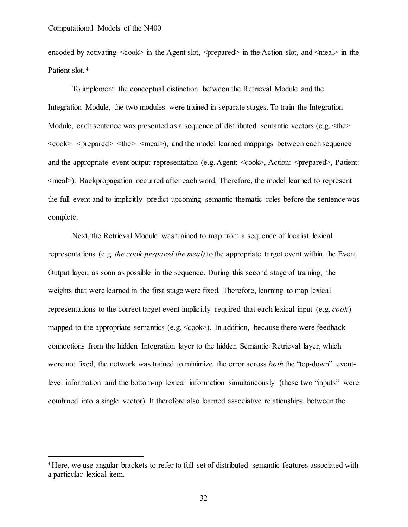encoded by activating  $\langle \cosh \rangle$  in the Agent slot,  $\langle \text{prepared} \rangle$  in the Action slot, and  $\langle \text{mea} \rangle$  in the Patient slot.<sup>4</sup>

To implement the conceptual distinction between the Retrieval Module and the Integration Module, the two modules were trained in separate stages. To train the Integration Module, each sentence was presented as a sequence of distributed semantic vectors (e.g.  $\text{the}$ )  $<$ cook $>$   $<$ prepared $>$   $<$ the $>$   $<$ mea $\geq$ ), and the model learned mappings between each sequence and the appropriate event output representation (e.g. Agent: <cook>, Action: <prepared>, Patient: <meal>). Backpropagation occurred after each word. Therefore, the model learned to represent the full event and to implicitly predict upcoming semantic-thematic roles before the sentence was complete.

Next, the Retrieval Module was trained to map from a sequence of localist lexical representations (e.g. *the cook prepared the meal)* to the appropriate target event within the Event Output layer, as soon as possible in the sequence. During this second stage of training, the weights that were learned in the first stage were fixed. Therefore, learning to map lexical representations to the correct target event implicitly required that each lexical input (e.g. *cook*) mapped to the appropriate semantics (e.g.  $\langle \cosh \rangle$ ). In addition, because there were feedback connections from the hidden Integration layer to the hidden Semantic Retrieval layer, which were not fixed, the network was trained to minimize the error across *both* the "top-down" eventlevel information and the bottom-up lexical information simultaneously (these two "inputs" were combined into a single vector). It therefore also learned associative relationships between the

 <sup>4</sup> Here, we use angular brackets to refer to full set of distributed semantic features associated with a particular lexical item.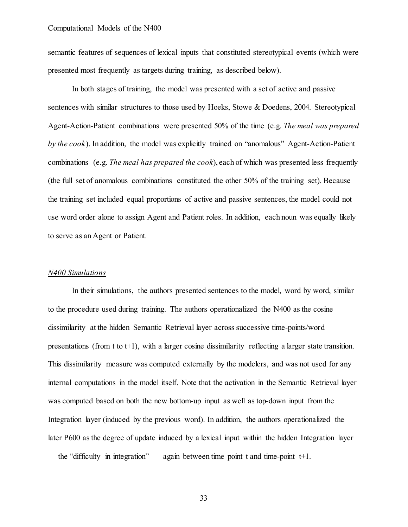semantic features of sequences of lexical inputs that constituted stereotypical events (which were presented most frequently as targets during training, as described below).

In both stages of training, the model was presented with a set of active and passive sentences with similar structures to those used by Hoeks, Stowe & Doedens, 2004. Stereotypical Agent-Action-Patient combinations were presented 50% of the time (e.g. *The meal was prepared by the cook*). In addition, the model was explicitly trained on "anomalous" Agent-Action-Patient combinations (e.g. *The meal has prepared the cook*), each of which was presented less frequently (the full set of anomalous combinations constituted the other 50% of the training set). Because the training set included equal proportions of active and passive sentences, the model could not use word order alone to assign Agent and Patient roles. In addition, each noun was equally likely to serve as an Agent or Patient.

# *N400 Simulations*

In their simulations, the authors presented sentences to the model, word by word, similar to the procedure used during training. The authors operationalized the N400 as the cosine dissimilarity at the hidden Semantic Retrieval layer across successive time-points/word presentations (from t to  $t+1$ ), with a larger cosine dissimilarity reflecting a larger state transition. This dissimilarity measure was computed externally by the modelers, and was not used for any internal computations in the model itself. Note that the activation in the Semantic Retrieval layer was computed based on both the new bottom-up input as well as top-down input from the Integration layer (induced by the previous word). In addition, the authors operationalized the later P600 as the degree of update induced by a lexical input within the hidden Integration layer — the "difficulty in integration" — again between time point t and time-point  $t+1$ .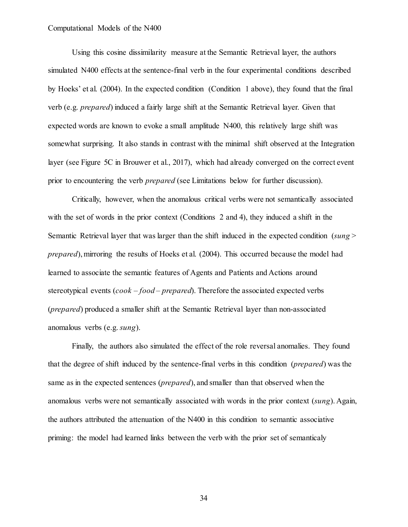Using this cosine dissimilarity measure at the Semantic Retrieval layer, the authors simulated N400 effects at the sentence-final verb in the four experimental conditions described by Hoeks' et al. (2004). In the expected condition (Condition 1 above), they found that the final verb (e.g. *prepared*) induced a fairly large shift at the Semantic Retrieval layer. Given that expected words are known to evoke a small amplitude N400, this relatively large shift was somewhat surprising. It also stands in contrast with the minimal shift observed at the Integration layer (see Figure 5C in Brouwer et al., 2017), which had already converged on the correct event prior to encountering the verb *prepared* (see Limitations below for further discussion).

Critically, however, when the anomalous critical verbs were not semantically associated with the set of words in the prior context (Conditions 2 and 4), they induced a shift in the Semantic Retrieval layer that was larger than the shift induced in the expected condition (*sung* > *prepared*), mirroring the results of Hoeks et al. (2004). This occurred because the model had learned to associate the semantic features of Agents and Patients and Actions around stereotypical events (*cook* – *food* – *prepared*). Therefore the associated expected verbs (*prepared*) produced a smaller shift at the Semantic Retrieval layer than non-associated anomalous verbs (e.g. *sung*).

Finally, the authors also simulated the effect of the role reversal anomalies. They found that the degree of shift induced by the sentence-final verbs in this condition (*prepared*) was the same as in the expected sentences (*prepared*), and smaller than that observed when the anomalous verbs were not semantically associated with words in the prior context (*sung*). Again, the authors attributed the attenuation of the N400 in this condition to semantic associative priming: the model had learned links between the verb with the prior set of semanticaly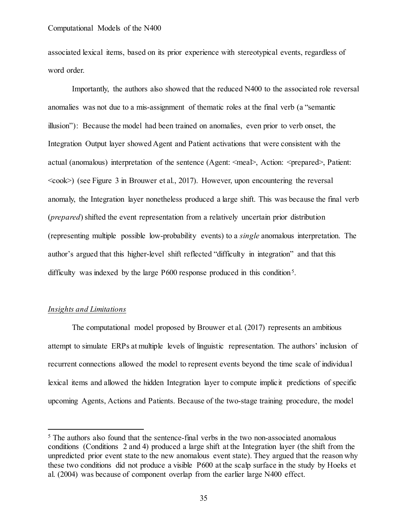associated lexical items, based on its prior experience with stereotypical events, regardless of word order.

Importantly, the authors also showed that the reduced N400 to the associated role reversal anomalies was not due to a mis-assignment of thematic roles at the final verb (a "semantic illusion"): Because the model had been trained on anomalies, even prior to verb onset, the Integration Output layer showed Agent and Patient activations that were consistent with the actual (anomalous) interpretation of the sentence (Agent:  $\langle$ meal>, Action:  $\langle$ prepared>, Patient:  $\langle \cosh \rangle$  (see Figure 3 in Brouwer et al., 2017). However, upon encountering the reversal anomaly, the Integration layer nonetheless produced a large shift. This was because the final verb (*prepared*) shifted the event representation from a relatively uncertain prior distribution (representing multiple possible low-probability events) to a *single* anomalous interpretation. The author's argued that this higher-level shift reflected "difficulty in integration" and that this difficulty was indexed by the large  $P600$  response produced in this condition<sup>5</sup>.

## *Insights and Limitations*

The computational model proposed by Brouwer et al. (2017) represents an ambitious attempt to simulate ERPs at multiple levels of linguistic representation. The authors' inclusion of recurrent connections allowed the model to represent events beyond the time scale of individual lexical items and allowed the hidden Integration layer to compute implicit predictions of specific upcoming Agents, Actions and Patients. Because of the two-stage training procedure, the model

<sup>&</sup>lt;sup>5</sup> The authors also found that the sentence-final verbs in the two non-associated anomalous conditions (Conditions 2 and 4) produced a large shift at the Integration layer (the shift from the unpredicted prior event state to the new anomalous event state). They argued that the reason why these two conditions did not produce a visible P600 at the scalp surface in the study by Hoeks et al. (2004) was because of component overlap from the earlier large N400 effect.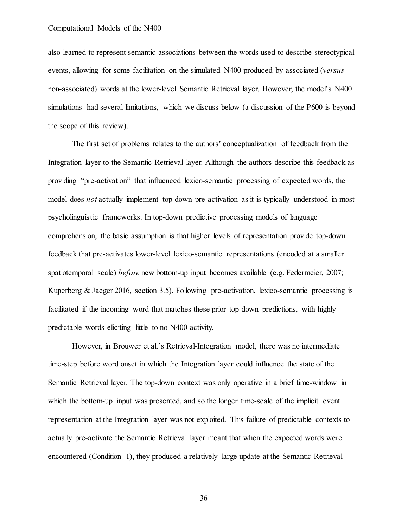also learned to represent semantic associations between the words used to describe stereotypical events, allowing for some facilitation on the simulated N400 produced by associated (*versus* non-associated) words at the lower-level Semantic Retrieval layer. However, the model's N400 simulations had several limitations, which we discuss below (a discussion of the P600 is beyond the scope of this review).

The first set of problems relates to the authors' conceptualization of feedback from the Integration layer to the Semantic Retrieval layer. Although the authors describe this feedback as providing "pre-activation" that influenced lexico-semantic processing of expected words, the model does *not* actually implement top-down pre-activation as it is typically understood in most psycholinguistic frameworks. In top-down predictive processing models of language comprehension, the basic assumption is that higher levels of representation provide top-down feedback that pre-activates lower-level lexico-semantic representations (encoded at a smaller spatiotemporal scale) *before* new bottom-up input becomes available (e.g. Federmeier, 2007; Kuperberg & Jaeger 2016, section 3.5). Following pre-activation, lexico-semantic processing is facilitated if the incoming word that matches these prior top-down predictions, with highly predictable words eliciting little to no N400 activity.

However, in Brouwer et al.'s Retrieval-Integration model, there was no intermediate time-step before word onset in which the Integration layer could influence the state of the Semantic Retrieval layer. The top-down context was only operative in a brief time-window in which the bottom-up input was presented, and so the longer time-scale of the implicit event representation at the Integration layer was not exploited. This failure of predictable contexts to actually pre-activate the Semantic Retrieval layer meant that when the expected words were encountered (Condition 1), they produced a relatively large update at the Semantic Retrieval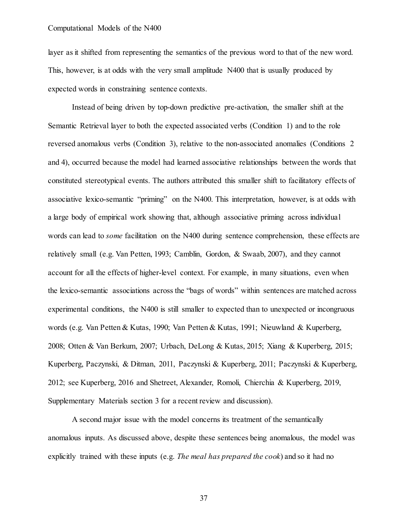layer as it shifted from representing the semantics of the previous word to that of the new word. This, however, is at odds with the very small amplitude N400 that is usually produced by expected words in constraining sentence contexts.

Instead of being driven by top-down predictive pre-activation, the smaller shift at the Semantic Retrieval layer to both the expected associated verbs (Condition 1) and to the role reversed anomalous verbs (Condition 3), relative to the non-associated anomalies (Conditions 2 and 4), occurred because the model had learned associative relationships between the words that constituted stereotypical events. The authors attributed this smaller shift to facilitatory effects of associative lexico-semantic "priming" on the N400. This interpretation, however, is at odds with a large body of empirical work showing that, although associative priming across individual words can lead to *some* facilitation on the N400 during sentence comprehension, these effects are relatively small (e.g. Van Petten, 1993; Camblin, Gordon, & Swaab, 2007), and they cannot account for all the effects of higher-level context. For example, in many situations, even when the lexico-semantic associations across the "bags of words" within sentences are matched across experimental conditions, the N400 is still smaller to expected than to unexpected or incongruous words (e.g. Van Petten & Kutas, 1990; Van Petten & Kutas, 1991; Nieuwland & Kuperberg, 2008; Otten & Van Berkum, 2007; Urbach, DeLong & Kutas, 2015; Xiang & Kuperberg, 2015; Kuperberg, Paczynski, & Ditman, 2011, Paczynski & Kuperberg, 2011; Paczynski & Kuperberg, 2012; see Kuperberg, 2016 and Shetreet, Alexander, Romoli, Chierchia & Kuperberg, 2019, Supplementary Materials section 3 for a recent review and discussion).

A second major issue with the model concerns its treatment of the semantically anomalous inputs. As discussed above, despite these sentences being anomalous, the model was explicitly trained with these inputs (e.g. *The meal has prepared the cook*) and so it had no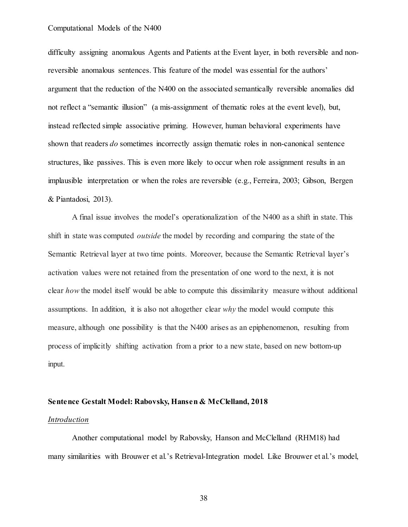difficulty assigning anomalous Agents and Patients at the Event layer, in both reversible and nonreversible anomalous sentences. This feature of the model was essential for the authors' argument that the reduction of the N400 on the associated semantically reversible anomalies did not reflect a "semantic illusion" (a mis-assignment of thematic roles at the event level), but, instead reflected simple associative priming. However, human behavioral experiments have shown that readers *do* sometimes incorrectly assign thematic roles in non-canonical sentence structures, like passives. This is even more likely to occur when role assignment results in an implausible interpretation or when the roles are reversible (e.g., Ferreira, 2003; Gibson, Bergen & Piantadosi, 2013).

A final issue involves the model's operationalization of the N400 as a shift in state. This shift in state was computed *outside* the model by recording and comparing the state of the Semantic Retrieval layer at two time points. Moreover, because the Semantic Retrieval layer's activation values were not retained from the presentation of one word to the next, it is not clear *how* the model itself would be able to compute this dissimilarity measure without additional assumptions. In addition, it is also not altogether clear *why* the model would compute this measure, although one possibility is that the N400 arises as an epiphenomenon, resulting from process of implicitly shifting activation from a prior to a new state, based on new bottom-up input.

#### **Sentence Gestalt Model: Rabovsky, Hansen & McClelland, 2018**

#### *Introduction*

Another computational model by Rabovsky, Hanson and McClelland (RHM18) had many similarities with Brouwer et al.'s Retrieval-Integration model. Like Brouwer et al.'s model,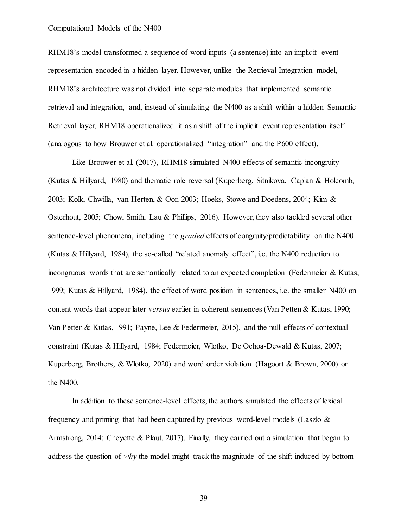RHM18's model transformed a sequence of word inputs (a sentence) into an implicit event representation encoded in a hidden layer. However, unlike the Retrieval-Integration model, RHM18's architecture was not divided into separate modules that implemented semantic retrieval and integration, and, instead of simulating the N400 as a shift within a hidden Semantic Retrieval layer, RHM18 operationalized it as a shift of the implicit event representation itself (analogous to how Brouwer et al. operationalized "integration" and the P600 effect).

Like Brouwer et al. (2017), RHM18 simulated N400 effects of semantic incongruity (Kutas & Hillyard, 1980) and thematic role reversal (Kuperberg, Sitnikova, Caplan & Holcomb, 2003; Kolk, Chwilla, van Herten, & Oor, 2003; Hoeks, Stowe and Doedens, 2004; Kim & Osterhout, 2005; Chow, Smith, Lau & Phillips, 2016). However, they also tackled several other sentence-level phenomena, including the *graded* effects of congruity/predictability on the N400 (Kutas & Hillyard, 1984), the so-called "related anomaly effect", i.e. the N400 reduction to incongruous words that are semantically related to an expected completion (Federmeier & Kutas, 1999; Kutas & Hillyard, 1984), the effect of word position in sentences, i.e. the smaller N400 on content words that appear later *versus* earlier in coherent sentences (Van Petten & Kutas, 1990; Van Petten & Kutas, 1991; Payne, Lee & Federmeier, 2015), and the null effects of contextual constraint (Kutas & Hillyard, 1984; Federmeier, Wlotko, De Ochoa-Dewald & Kutas, 2007; Kuperberg, Brothers, & Wlotko, 2020) and word order violation (Hagoort & Brown, 2000) on the N400.

In addition to these sentence-level effects, the authors simulated the effects of lexical frequency and priming that had been captured by previous word-level models (Laszlo  $\&$ Armstrong, 2014; Cheyette & Plaut, 2017). Finally, they carried out a simulation that began to address the question of *why* the model might track the magnitude of the shift induced by bottom-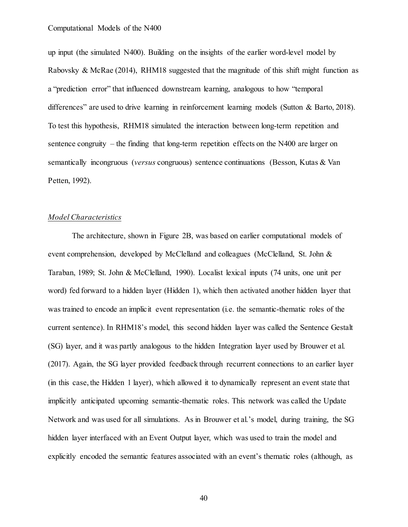up input (the simulated N400). Building on the insights of the earlier word-level model by Rabovsky & McRae (2014), RHM18 suggested that the magnitude of this shift might function as a "prediction error" that influenced downstream learning, analogous to how "temporal differences" are used to drive learning in reinforcement learning models (Sutton & Barto, 2018). To test this hypothesis, RHM18 simulated the interaction between long-term repetition and sentence congruity – the finding that long-term repetition effects on the N400 are larger on semantically incongruous (*versus* congruous) sentence continuations (Besson, Kutas & Van Petten, 1992).

## *Model Characteristics*

The architecture, shown in Figure 2B, was based on earlier computational models of event comprehension, developed by McClelland and colleagues (McClelland, St. John & Taraban, 1989; St. John & McClelland, 1990). Localist lexical inputs (74 units, one unit per word) fed forward to a hidden layer (Hidden 1), which then activated another hidden layer that was trained to encode an implicit event representation (i.e. the semantic-thematic roles of the current sentence). In RHM18's model, this second hidden layer was called the Sentence Gestalt (SG) layer, and it was partly analogous to the hidden Integration layer used by Brouwer et al. (2017). Again, the SG layer provided feedback through recurrent connections to an earlier layer (in this case, the Hidden 1 layer), which allowed it to dynamically represent an event state that implicitly anticipated upcoming semantic-thematic roles. This network was called the Update Network and was used for all simulations. As in Brouwer et al.'s model, during training, the SG hidden layer interfaced with an Event Output layer, which was used to train the model and explicitly encoded the semantic features associated with an event's thematic roles (although, as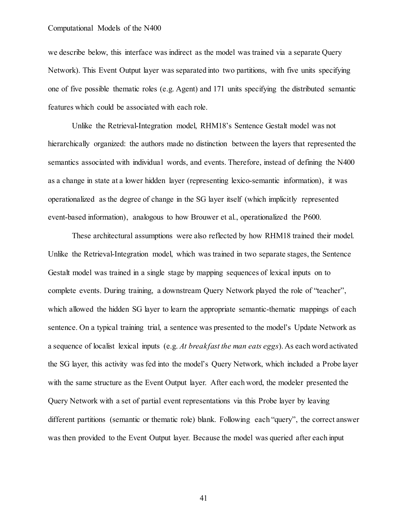we describe below, this interface was indirect as the model was trained via a separate Query Network). This Event Output layer was separated into two partitions, with five units specifying one of five possible thematic roles (e.g. Agent) and 171 units specifying the distributed semantic features which could be associated with each role.

Unlike the Retrieval-Integration model, RHM18's Sentence Gestalt model was not hierarchically organized: the authors made no distinction between the layers that represented the semantics associated with individual words, and events. Therefore, instead of defining the N400 as a change in state at a lower hidden layer (representing lexico-semantic information), it was operationalized as the degree of change in the SG layer itself (which implicitly represented event-based information), analogous to how Brouwer et al., operationalized the P600.

These architectural assumptions were also reflected by how RHM18 trained their model. Unlike the Retrieval-Integration model, which was trained in two separate stages, the Sentence Gestalt model was trained in a single stage by mapping sequences of lexical inputs on to complete events. During training, a downstream Query Network played the role of "teacher", which allowed the hidden SG layer to learn the appropriate semantic-thematic mappings of each sentence. On a typical training trial, a sentence was presented to the model's Update Network as a sequence of localist lexical inputs (e.g. *At breakfast the man eats eggs*). As each word activated the SG layer, this activity was fed into the model's Query Network, which included a Probe layer with the same structure as the Event Output layer. After each word, the modeler presented the Query Network with a set of partial event representations via this Probe layer by leaving different partitions (semantic or thematic role) blank. Following each "query", the correct answer was then provided to the Event Output layer. Because the model was queried after each input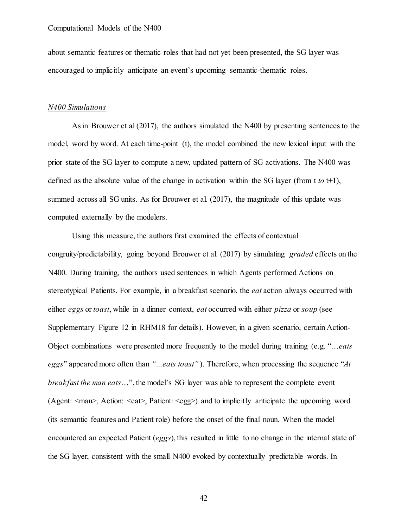about semantic features or thematic roles that had not yet been presented, the SG layer was encouraged to implicitly anticipate an event's upcoming semantic-thematic roles.

#### *N400 Simulations*

As in Brouwer et al (2017), the authors simulated the N400 by presenting sentences to the model, word by word. At each time-point (t), the model combined the new lexical input with the prior state of the SG layer to compute a new, updated pattern of SG activations. The N400 was defined as the absolute value of the change in activation within the SG layer (from t *to* t+1), summed across all SG units. As for Brouwer et al. (2017), the magnitude of this update was computed externally by the modelers.

Using this measure, the authors first examined the effects of contextual congruity/predictability, going beyond Brouwer et al. (2017) by simulating *graded* effects on the N400. During training, the authors used sentences in which Agents performed Actions on stereotypical Patients. For example, in a breakfast scenario, the *eat* action always occurred with either *eggs* or *toast*, while in a dinner context, *eat* occurred with either *pizza* or *soup* (see Supplementary Figure 12 in RHM18 for details). However, in a given scenario, certain Action-Object combinations were presented more frequently to the model during training (e.g. "…*eats eggs*" appeared more often than *"…eats toast"* ). Therefore, when processing the sequence "*At breakfast the man eats*…", the model's SG layer was able to represent the complete event (Agent: <man>, Action: <eat>, Patient: <egg>) and to implicitly anticipate the upcoming word (its semantic features and Patient role) before the onset of the final noun. When the model encountered an expected Patient (*eggs*), this resulted in little to no change in the internal state of the SG layer, consistent with the small N400 evoked by contextually predictable words. In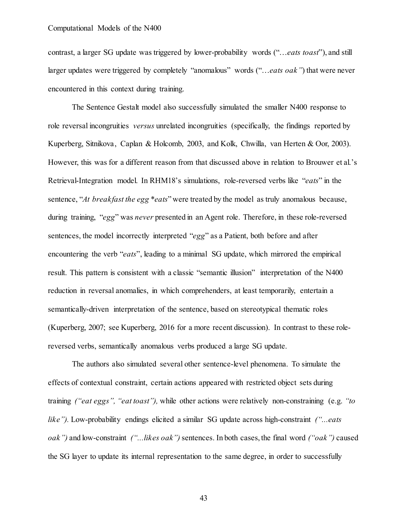contrast, a larger SG update was triggered by lower-probability words ("…*eats toast*"), and still larger updates were triggered by completely "anomalous" words ("…*eats oak"*) that were never encountered in this context during training.

The Sentence Gestalt model also successfully simulated the smaller N400 response to role reversal incongruities *versus* unrelated incongruities (specifically, the findings reported by Kuperberg, Sitnikova, Caplan & Holcomb, 2003, and Kolk, Chwilla, van Herten & Oor, 2003). However, this was for a different reason from that discussed above in relation to Brouwer et al.'s Retrieval-Integration model. In RHM18's simulations, role-reversed verbs like "*eats*" in the sentence, "*At breakfast the egg \*eats*" were treated by the model as truly anomalous because, during training, "*egg*" was *never* presented in an Agent role. Therefore, in these role-reversed sentences, the model incorrectly interpreted "*egg*" as a Patient, both before and after encountering the verb "*eats*", leading to a minimal SG update, which mirrored the empirical result. This pattern is consistent with a classic "semantic illusion" interpretation of the N400 reduction in reversal anomalies, in which comprehenders, at least temporarily, entertain a semantically-driven interpretation of the sentence, based on stereotypical thematic roles (Kuperberg, 2007; see Kuperberg, 2016 for a more recent discussion). In contrast to these rolereversed verbs, semantically anomalous verbs produced a large SG update.

The authors also simulated several other sentence-level phenomena. To simulate the effects of contextual constraint, certain actions appeared with restricted object sets during training *("eat eggs", "eat toast"),* while other actions were relatively non-constraining (e.g. *"to like").* Low-probability endings elicited a similar SG update across high-constraint *("...eats oak")* and low-constraint *("...likes oak")* sentences. In both cases, the final word *("oak")* caused the SG layer to update its internal representation to the same degree, in order to successfully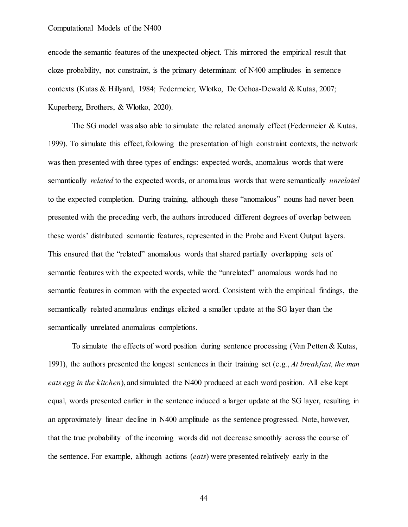encode the semantic features of the unexpected object. This mirrored the empirical result that cloze probability, not constraint, is the primary determinant of N400 amplitudes in sentence contexts (Kutas & Hillyard, 1984; Federmeier, Wlotko, De Ochoa-Dewald & Kutas, 2007; Kuperberg, Brothers, & Wlotko, 2020).

The SG model was also able to simulate the related anomaly effect (Federmeier & Kutas, 1999). To simulate this effect, following the presentation of high constraint contexts, the network was then presented with three types of endings: expected words, anomalous words that were semantically *related* to the expected words, or anomalous words that were semantically *unrelated* to the expected completion. During training, although these "anomalous" nouns had never been presented with the preceding verb, the authors introduced different degrees of overlap between these words' distributed semantic features, represented in the Probe and Event Output layers. This ensured that the "related" anomalous words that shared partially overlapping sets of semantic features with the expected words, while the "unrelated" anomalous words had no semantic features in common with the expected word. Consistent with the empirical findings, the semantically related anomalous endings elicited a smaller update at the SG layer than the semantically unrelated anomalous completions.

To simulate the effects of word position during sentence processing (Van Petten & Kutas, 1991), the authors presented the longest sentences in their training set (e.g., *At breakfast, the man eats egg in the kitchen*), and simulated the N400 produced at each word position. All else kept equal, words presented earlier in the sentence induced a larger update at the SG layer, resulting in an approximately linear decline in N400 amplitude as the sentence progressed. Note, however, that the true probability of the incoming words did not decrease smoothly across the course of the sentence. For example, although actions (*eats*) were presented relatively early in the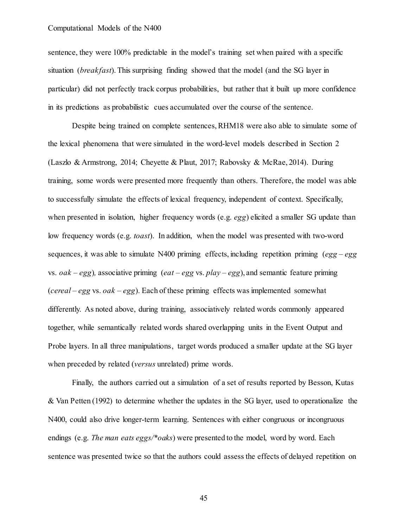sentence, they were 100% predictable in the model's training set when paired with a specific situation (*breakfast*). This surprising finding showed that the model (and the SG layer in particular) did not perfectly track corpus probabilities, but rather that it built up more confidence in its predictions as probabilistic cues accumulated over the course of the sentence.

Despite being trained on complete sentences, RHM18 were also able to simulate some of the lexical phenomena that were simulated in the word-level models described in Section 2 (Laszlo & Armstrong, 2014; Cheyette & Plaut, 2017; Rabovsky & McRae, 2014). During training, some words were presented more frequently than others. Therefore, the model was able to successfully simulate the effects of lexical frequency, independent of context. Specifically, when presented in isolation, higher frequency words (e.g. *egg*) elicited a smaller SG update than low frequency words (e.g. *toast*). In addition, when the model was presented with two-word sequences, it was able to simulate N400 priming effects, including repetition priming  $(egg - egg)$ vs. *oak* – *egg*)*,* associative priming (*eat* – *egg* vs. *play* – *egg*), and semantic feature priming (*cereal* – *egg* vs. *oak* – *egg*). Each of these priming effects was implemented somewhat differently. As noted above, during training, associatively related words commonly appeared together, while semantically related words shared overlapping units in the Event Output and Probe layers. In all three manipulations, target words produced a smaller update at the SG layer when preceded by related (*versus* unrelated) prime words.

Finally, the authors carried out a simulation of a set of results reported by Besson, Kutas & Van Petten (1992) to determine whether the updates in the SG layer, used to operationalize the N400, could also drive longer-term learning. Sentences with either congruous or incongruous endings (e.g. *The man eats eggs/\*oaks*) were presented to the model, word by word. Each sentence was presented twice so that the authors could assess the effects of delayed repetition on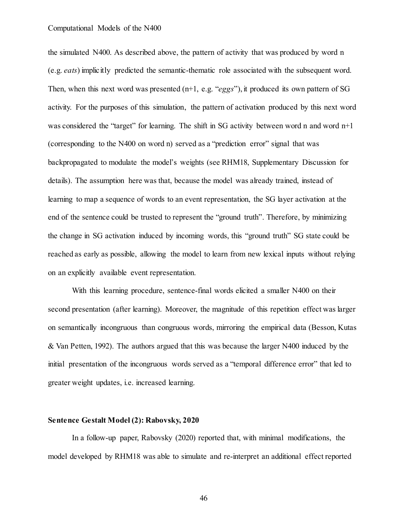the simulated N400. As described above, the pattern of activity that was produced by word n (e.g. *eats*) implicitly predicted the semantic-thematic role associated with the subsequent word. Then, when this next word was presented (n+1, e.g. "*eggs*"), it produced its own pattern of SG activity. For the purposes of this simulation, the pattern of activation produced by this next word was considered the "target" for learning. The shift in SG activity between word n and word  $n+1$ (corresponding to the N400 on word n) served as a "prediction error" signal that was backpropagated to modulate the model's weights (see RHM18, Supplementary Discussion for details). The assumption here was that, because the model was already trained, instead of learning to map a sequence of words to an event representation, the SG layer activation at the end of the sentence could be trusted to represent the "ground truth". Therefore, by minimizing the change in SG activation induced by incoming words, this "ground truth" SG state could be reached as early as possible, allowing the model to learn from new lexical inputs without relying on an explicitly available event representation.

With this learning procedure, sentence-final words elicited a smaller N400 on their second presentation (after learning). Moreover, the magnitude of this repetition effect was larger on semantically incongruous than congruous words, mirroring the empirical data (Besson, Kutas & Van Petten, 1992). The authors argued that this was because the larger N400 induced by the initial presentation of the incongruous words served as a "temporal difference error" that led to greater weight updates, i.e. increased learning.

## **Sentence Gestalt Model (2): Rabovsky, 2020**

In a follow-up paper, Rabovsky (2020) reported that, with minimal modifications, the model developed by RHM18 was able to simulate and re-interpret an additional effect reported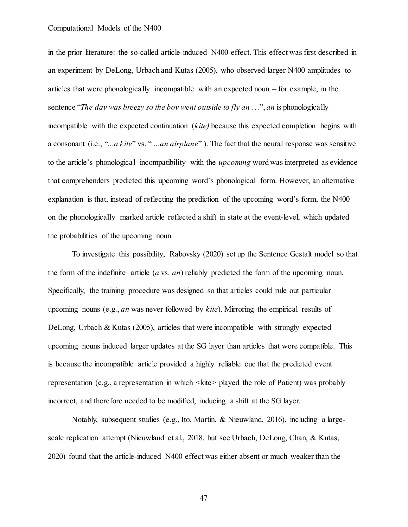in the prior literature: the so-called article-induced N400 effect. This effect was first described in an experiment by DeLong, Urbach and Kutas (2005), who observed larger N400 amplitudes to articles that were phonologically incompatible with an expected noun – for example, in the sentence "*The day was breezy so the boy went outside to fly an* …", *an* is phonologically incompatible with the expected continuation (*kite)* because this expected completion begins with a consonant (i.e., "...*a kite*" vs. " ...*an airplane*" ). The fact that the neural response was sensitive to the article's phonological incompatibility with the *upcoming* word was interpreted as evidence that comprehenders predicted this upcoming word's phonological form. However, an alternative explanation is that, instead of reflecting the prediction of the upcoming word's form, the N400 on the phonologically marked article reflected a shift in state at the event-level, which updated the probabilities of the upcoming noun.

To investigate this possibility, Rabovsky (2020) set up the Sentence Gestalt model so that the form of the indefinite article (*a* vs. *an*) reliably predicted the form of the upcoming noun. Specifically, the training procedure was designed so that articles could rule out particular upcoming nouns (e.g., *an* was never followed by *kite*). Mirroring the empirical results of DeLong, Urbach & Kutas (2005), articles that were incompatible with strongly expected upcoming nouns induced larger updates at the SG layer than articles that were compatible. This is because the incompatible article provided a highly reliable cue that the predicted event representation (e.g., a representation in which  $\langle$ kite> played the role of Patient) was probably incorrect, and therefore needed to be modified, inducing a shift at the SG layer.

Notably, subsequent studies (e.g., Ito, Martin, & Nieuwland, 2016), including a largescale replication attempt (Nieuwland et al., 2018, but see Urbach, DeLong, Chan, & Kutas, 2020) found that the article-induced N400 effect was either absent or much weaker than the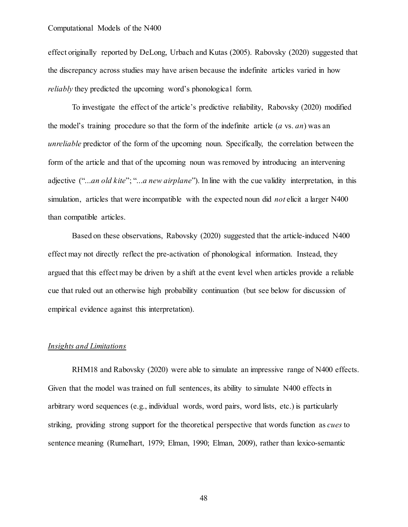effect originally reported by DeLong, Urbach and Kutas (2005). Rabovsky (2020) suggested that the discrepancy across studies may have arisen because the indefinite articles varied in how *reliably* they predicted the upcoming word's phonological form.

To investigate the effect of the article's predictive reliability, Rabovsky (2020) modified the model's training procedure so that the form of the indefinite article (*a* vs. *an*) was an *unreliable* predictor of the form of the upcoming noun. Specifically, the correlation between the form of the article and that of the upcoming noun was removed by introducing an intervening adjective ("...*an old kite*"; "...*a new airplane*"). In line with the cue validity interpretation, in this simulation, articles that were incompatible with the expected noun did *not* elicit a larger N400 than compatible articles.

Based on these observations, Rabovsky (2020) suggested that the article-induced N400 effect may not directly reflect the pre-activation of phonological information. Instead, they argued that this effect may be driven by a shift at the event level when articles provide a reliable cue that ruled out an otherwise high probability continuation (but see below for discussion of empirical evidence against this interpretation).

## *Insights and Limitations*

RHM18 and Rabovsky (2020) were able to simulate an impressive range of N400 effects. Given that the model was trained on full sentences, its ability to simulate N400 effects in arbitrary word sequences (e.g., individual words, word pairs, word lists, etc.) is particularly striking, providing strong support for the theoretical perspective that words function as *cues* to sentence meaning (Rumelhart, 1979; Elman, 1990; Elman, 2009), rather than lexico-semantic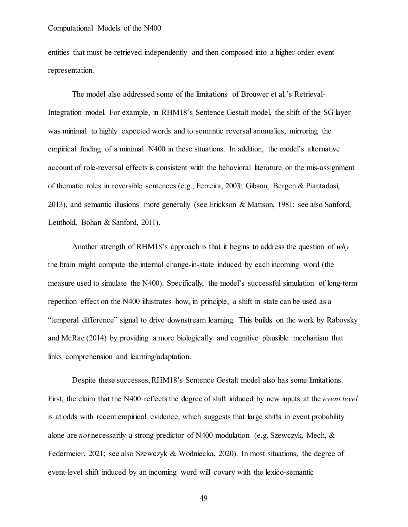entities that must be retrieved independently and then composed into a higher-order event representation.

The model also addressed some of the limitations of Brouwer et al.'s Retrieval-Integration model. For example, in RHM18's Sentence Gestalt model, the shift of the SG layer was minimal to highly expected words and to semantic reversal anomalies, mirroring the empirical finding of a minimal N400 in these situations. In addition, the model's alternative account of role-reversal effects is consistent with the behavioral literature on the mis-assignment of thematic roles in reversible sentences (e.g., Ferreira, 2003; Gibson, Bergen & Piantadosi, 2013), and semantic illusions more generally (see Erickson & Mattson, 1981; see also Sanford, Leuthold, Bohan & Sanford, 2011).

Another strength of RHM18's approach is that it begins to address the question of *why* the brain might compute the internal change-in-state induced by each incoming word (the measure used to simulate the N400). Specifically, the model's successful simulation of long-term repetition effect on the N400 illustrates how, in principle, a shift in state can be used as a "temporal difference" signal to drive downstream learning. This builds on the work by Rabovsky and McRae (2014) by providing a more biologically and cognitive plausible mechanism that links comprehension and learning/adaptation.

Despite these successes, RHM18's Sentence Gestalt model also has some limitations. First, the claim that the N400 reflects the degree of shift induced by new inputs at the *event level* is at odds with recent empirical evidence, which suggests that large shifts in event probability alone are *not* necessarily a strong predictor of N400 modulation (e.g. Szewczyk, Mech, & Federmeier, 2021; see also Szewczyk & Wodniecka, 2020). In most situations, the degree of event-level shift induced by an incoming word will covary with the lexico-semantic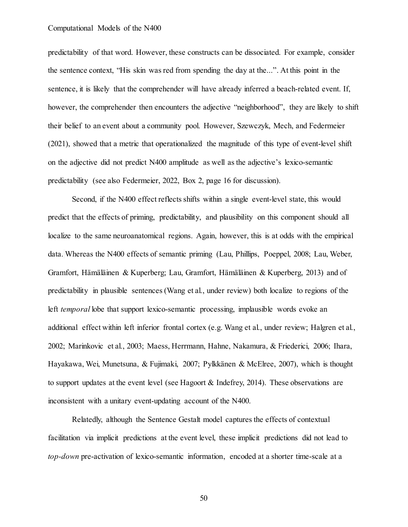predictability of that word. However, these constructs can be dissociated. For example, consider the sentence context, "His skin was red from spending the day at the...". At this point in the sentence, it is likely that the comprehender will have already inferred a beach-related event. If, however, the comprehender then encounters the adjective "neighborhood", they are likely to shift their belief to an event about a community pool. However, Szewczyk, Mech, and Federmeier (2021), showed that a metric that operationalized the magnitude of this type of event-level shift on the adjective did not predict N400 amplitude as well as the adjective's lexico-semantic predictability (see also Federmeier, 2022, Box 2, page 16 for discussion).

Second, if the N400 effect reflects shifts within a single event-level state, this would predict that the effects of priming, predictability, and plausibility on this component should all localize to the same neuroanatomical regions. Again, however, this is at odds with the empirical data. Whereas the N400 effects of semantic priming (Lau, Phillips, Poeppel, 2008; Lau, Weber, Gramfort, Hämäläinen & Kuperberg; Lau, Gramfort, Hämäläinen & Kuperberg, 2013) and of predictability in plausible sentences (Wang et al., under review) both localize to regions of the left *temporal* lobe that support lexico-semantic processing, implausible words evoke an additional effect within left inferior frontal cortex (e.g. Wang et al., under review; Halgren et al., 2002; Marinkovic et al., 2003; Maess, Herrmann, Hahne, Nakamura, & Friederici, 2006; Ihara, Hayakawa, Wei, Munetsuna, & Fujimaki, 2007; Pylkkänen & McElree, 2007), which is thought to support updates at the event level (see Hagoort & Indefrey, 2014). These observations are inconsistent with a unitary event-updating account of the N400.

Relatedly, although the Sentence Gestalt model captures the effects of contextual facilitation via implicit predictions at the event level, these implicit predictions did not lead to *top-down* pre-activation of lexico-semantic information, encoded at a shorter time-scale at a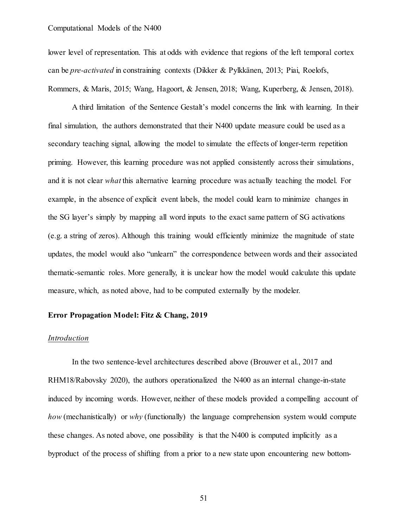lower level of representation. This at odds with evidence that regions of the left temporal cortex can be *pre-activated* in constraining contexts (Dikker & Pylkkänen, 2013; Piai, Roelofs, Rommers, & Maris, 2015; Wang, Hagoort, & Jensen, 2018; Wang, Kuperberg, & Jensen, 2018).

A third limitation of the Sentence Gestalt's model concerns the link with learning. In their final simulation, the authors demonstrated that their N400 update measure could be used as a secondary teaching signal, allowing the model to simulate the effects of longer-term repetition priming. However, this learning procedure was not applied consistently across their simulations, and it is not clear *what* this alternative learning procedure was actually teaching the model. For example, in the absence of explicit event labels, the model could learn to minimize changes in the SG layer's simply by mapping all word inputs to the exact same pattern of SG activations (e.g. a string of zeros). Although this training would efficiently minimize the magnitude of state updates, the model would also "unlearn" the correspondence between words and their associated thematic-semantic roles. More generally, it is unclear how the model would calculate this update measure, which, as noted above, had to be computed externally by the modeler.

#### **Error Propagation Model: Fitz & Chang, 2019**

#### *Introduction*

In the two sentence-level architectures described above (Brouwer et al., 2017 and RHM18/Rabovsky 2020), the authors operationalized the N400 as an internal change-in-state induced by incoming words. However, neither of these models provided a compelling account of *how* (mechanistically) or *why* (functionally) the language comprehension system would compute these changes. As noted above, one possibility is that the N400 is computed implicitly as a byproduct of the process of shifting from a prior to a new state upon encountering new bottom-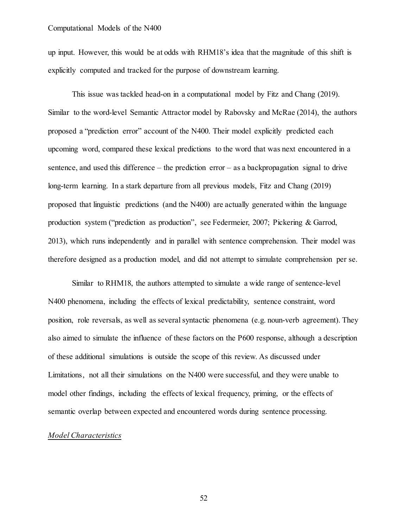up input. However, this would be at odds with RHM18's idea that the magnitude of this shift is explicitly computed and tracked for the purpose of downstream learning.

This issue was tackled head-on in a computational model by Fitz and Chang (2019). Similar to the word-level Semantic Attractor model by Rabovsky and McRae (2014), the authors proposed a "prediction error" account of the N400. Their model explicitly predicted each upcoming word, compared these lexical predictions to the word that was next encountered in a sentence, and used this difference – the prediction error – as a backpropagation signal to drive long-term learning. In a stark departure from all previous models, Fitz and Chang (2019) proposed that linguistic predictions (and the N400) are actually generated within the language production system ("prediction as production", see Federmeier, 2007; Pickering & Garrod, 2013), which runs independently and in parallel with sentence comprehension. Their model was therefore designed as a production model, and did not attempt to simulate comprehension per se.

Similar to RHM18, the authors attempted to simulate a wide range of sentence-level N400 phenomena, including the effects of lexical predictability, sentence constraint, word position, role reversals, as well as several syntactic phenomena (e.g. noun-verb agreement). They also aimed to simulate the influence of these factors on the P600 response, although a description of these additional simulations is outside the scope of this review. As discussed under Limitations, not all their simulations on the N400 were successful, and they were unable to model other findings, including the effects of lexical frequency, priming, or the effects of semantic overlap between expected and encountered words during sentence processing.

#### *Model Characteristics*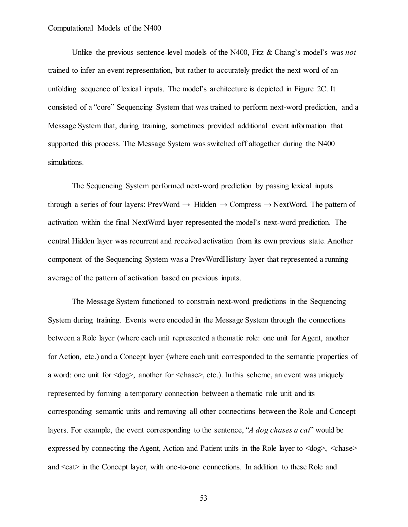Unlike the previous sentence-level models of the N400, Fitz & Chang's model's was *not* trained to infer an event representation, but rather to accurately predict the next word of an unfolding sequence of lexical inputs. The model's architecture is depicted in Figure 2C. It consisted of a "core" Sequencing System that was trained to perform next-word prediction, and a Message System that, during training, sometimes provided additional event information that supported this process. The Message System was switched off altogether during the N400 simulations.

The Sequencing System performed next-word prediction by passing lexical inputs through a series of four layers: PrevWord  $\rightarrow$  Hidden  $\rightarrow$  Compress  $\rightarrow$  NextWord. The pattern of activation within the final NextWord layer represented the model's next-word prediction. The central Hidden layer was recurrent and received activation from its own previous state. Another component of the Sequencing System was a PrevWordHistory layer that represented a running average of the pattern of activation based on previous inputs.

The Message System functioned to constrain next-word predictions in the Sequencing System during training. Events were encoded in the Message System through the connections between a Role layer (where each unit represented a thematic role: one unit for Agent, another for Action, etc.) and a Concept layer (where each unit corresponded to the semantic properties of a word: one unit for  $\langle \text{dog} \rangle$ , another for  $\langle \text{chase} \rangle$ , etc.). In this scheme, an event was uniquely represented by forming a temporary connection between a thematic role unit and its corresponding semantic units and removing all other connections between the Role and Concept layers. For example, the event corresponding to the sentence, "*A dog chases a cat*" would be expressed by connecting the Agent, Action and Patient units in the Role layer to  $\langle \text{dog} \rangle$ ,  $\langle \text{chase} \rangle$ and  $\langle \text{cat}\rangle$  in the Concept layer, with one-to-one connections. In addition to these Role and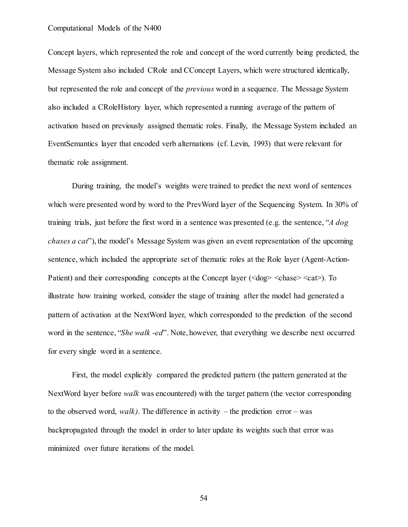Concept layers, which represented the role and concept of the word currently being predicted, the Message System also included CRole and CConcept Layers, which were structured identically, but represented the role and concept of the *previous* word in a sequence. The Message System also included a CRoleHistory layer, which represented a running average of the pattern of activation based on previously assigned thematic roles. Finally, the Message System included an EventSemantics layer that encoded verb alternations (cf. Levin, 1993) that were relevant for thematic role assignment.

During training, the model's weights were trained to predict the next word of sentences which were presented word by word to the PrevWord layer of the Sequencing System. In 30% of training trials, just before the first word in a sentence was presented (e.g. the sentence, "*A dog chases a cat*"), the model's Message System was given an event representation of the upcoming sentence, which included the appropriate set of thematic roles at the Role layer (Agent-Action-Patient) and their corresponding concepts at the Concept layer (<dog> <chase> <cat>). To illustrate how training worked, consider the stage of training after the model had generated a pattern of activation at the NextWord layer, which corresponded to the prediction of the second word in the sentence, "*She walk -ed*". Note, however, that everything we describe next occurred for every single word in a sentence.

First, the model explicitly compared the predicted pattern (the pattern generated at the NextWord layer before *walk* was encountered) with the target pattern (the vector corresponding to the observed word, *walk*). The difference in activity – the prediction error – was backpropagated through the model in order to later update its weights such that error was minimized over future iterations of the model.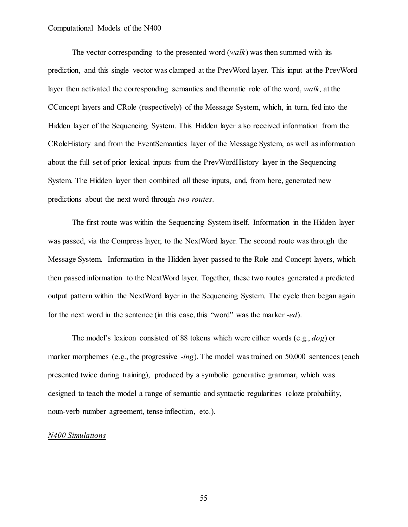The vector corresponding to the presented word (*walk*) was then summed with its prediction, and this single vector was clamped at the PrevWord layer. This input at the PrevWord layer then activated the corresponding semantics and thematic role of the word, *walk,* at the CConcept layers and CRole (respectively) of the Message System, which, in turn, fed into the Hidden layer of the Sequencing System. This Hidden layer also received information from the CRoleHistory and from the EventSemantics layer of the Message System, as well as information about the full set of prior lexical inputs from the PrevWordHistory layer in the Sequencing System. The Hidden layer then combined all these inputs, and, from here, generated new predictions about the next word through *two routes*.

The first route was within the Sequencing System itself. Information in the Hidden layer was passed, via the Compress layer, to the NextWord layer. The second route was through the Message System. Information in the Hidden layer passed to the Role and Concept layers, which then passed information to the NextWord layer. Together, these two routes generated a predicted output pattern within the NextWord layer in the Sequencing System. The cycle then began again for the next word in the sentence (in this case, this "word" was the marker *-ed*).

The model's lexicon consisted of 88 tokens which were either words (e.g., *dog*) or marker morphemes (e.g., the progressive *-ing*). The model was trained on 50,000 sentences (each presented twice during training), produced by a symbolic generative grammar, which was designed to teach the model a range of semantic and syntactic regularities (cloze probability, noun-verb number agreement, tense inflection, etc.).

#### *N400 Simulations*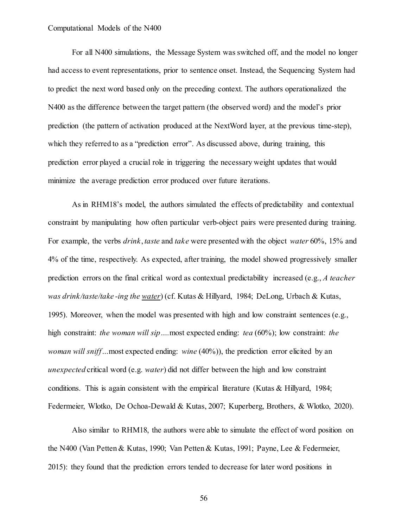For all N400 simulations, the Message System was switched off, and the model no longer had access to event representations, prior to sentence onset. Instead, the Sequencing System had to predict the next word based only on the preceding context. The authors operationalized the N400 as the difference between the target pattern (the observed word) and the model's prior prediction (the pattern of activation produced at the NextWord layer, at the previous time-step), which they referred to as a "prediction error". As discussed above, during training, this prediction error played a crucial role in triggering the necessary weight updates that would minimize the average prediction error produced over future iterations.

As in RHM18's model, the authors simulated the effects of predictability and contextual constraint by manipulating how often particular verb-object pairs were presented during training. For example, the verbs *drink*, *taste* and *take* were presented with the object *water* 60%, 15% and 4% of the time, respectively. As expected, after training, the model showed progressively smaller prediction errors on the final critical word as contextual predictability increased (e.g., *A teacher was drink/taste/take -ing the water*) (cf. Kutas & Hillyard, 1984; DeLong, Urbach & Kutas, 1995). Moreover, when the model was presented with high and low constraint sentences (e.g., high constraint: *the woman will sip….*most expected ending: *tea* (60%); low constraint: *the woman will sniff*…most expected ending: *wine* (40%)), the prediction error elicited by an *unexpected* critical word (e.g. *water*) did not differ between the high and low constraint conditions. This is again consistent with the empirical literature (Kutas & Hillyard, 1984; Federmeier, Wlotko, De Ochoa-Dewald & Kutas, 2007; Kuperberg, Brothers, & Wlotko, 2020).

Also similar to RHM18, the authors were able to simulate the effect of word position on the N400 (Van Petten & Kutas, 1990; Van Petten & Kutas, 1991; Payne, Lee & Federmeier, 2015): they found that the prediction errors tended to decrease for later word positions in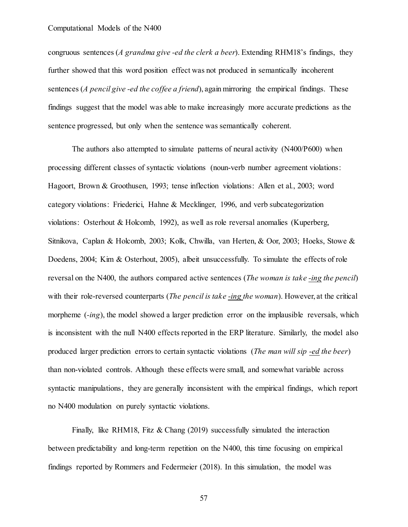congruous sentences (*A grandma give -ed the clerk a beer*). Extending RHM18's findings, they further showed that this word position effect was not produced in semantically incoherent sentences (*A pencil give -ed the coffee a friend*), again mirroring the empirical findings. These findings suggest that the model was able to make increasingly more accurate predictions as the sentence progressed, but only when the sentence was semantically coherent.

The authors also attempted to simulate patterns of neural activity (N400/P600) when processing different classes of syntactic violations (noun-verb number agreement violations: Hagoort, Brown & Groothusen, 1993; tense inflection violations: Allen et al., 2003; word category violations: Friederici, Hahne & Mecklinger, 1996, and verb subcategorization violations: Osterhout & Holcomb, 1992), as well as role reversal anomalies (Kuperberg, Sitnikova, Caplan & Holcomb, 2003; Kolk, Chwilla, van Herten, & Oor, 2003; Hoeks, Stowe & Doedens, 2004; Kim & Osterhout, 2005), albeit unsuccessfully. To simulate the effects of role reversal on the N400, the authors compared active sentences (*The woman is take -ing the pencil*) with their role-reversed counterparts (*The pencil is take -ing the woman*). However, at the critical morpheme (*-ing*), the model showed a larger prediction error on the implausible reversals, which is inconsistent with the null N400 effects reported in the ERP literature. Similarly, the model also produced larger prediction errors to certain syntactic violations (*The man will sip -ed the beer*) than non-violated controls. Although these effects were small, and somewhat variable across syntactic manipulations, they are generally inconsistent with the empirical findings, which report no N400 modulation on purely syntactic violations.

Finally, like RHM18, Fitz & Chang (2019) successfully simulated the interaction between predictability and long-term repetition on the N400, this time focusing on empirical findings reported by Rommers and Federmeier (2018). In this simulation, the model was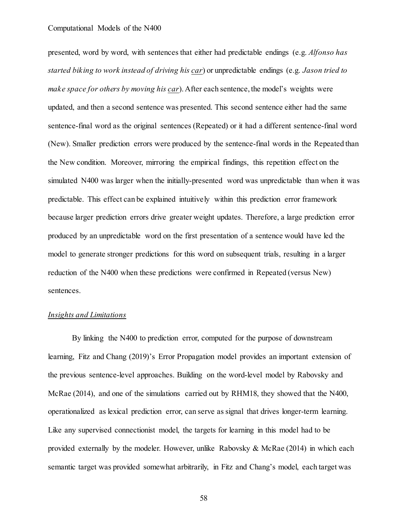presented, word by word, with sentences that either had predictable endings (e.g. *Alfonso has started biking to work instead of driving his car*) or unpredictable endings (e.g. *Jason tried to make space for others by moving his car*). After each sentence, the model's weights were updated, and then a second sentence was presented. This second sentence either had the same sentence-final word as the original sentences (Repeated) or it had a different sentence-final word (New). Smaller prediction errors were produced by the sentence-final words in the Repeated than the New condition. Moreover, mirroring the empirical findings, this repetition effect on the simulated N400 was larger when the initially-presented word was unpredictable than when it was predictable. This effect can be explained intuitively within this prediction error framework because larger prediction errors drive greater weight updates. Therefore, a large prediction error produced by an unpredictable word on the first presentation of a sentence would have led the model to generate stronger predictions for this word on subsequent trials, resulting in a larger reduction of the N400 when these predictions were confirmed in Repeated (versus New) sentences.

## *Insights and Limitations*

By linking the N400 to prediction error, computed for the purpose of downstream learning, Fitz and Chang (2019)'s Error Propagation model provides an important extension of the previous sentence-level approaches. Building on the word-level model by Rabovsky and McRae (2014), and one of the simulations carried out by RHM18, they showed that the N400, operationalized as lexical prediction error, can serve as signal that drives longer-term learning. Like any supervised connectionist model, the targets for learning in this model had to be provided externally by the modeler. However, unlike Rabovsky & McRae (2014) in which each semantic target was provided somewhat arbitrarily, in Fitz and Chang's model, each target was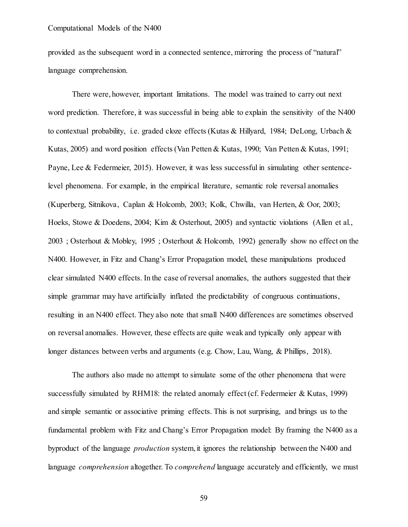provided as the subsequent word in a connected sentence, mirroring the process of "natural" language comprehension.

There were, however, important limitations. The model was trained to carry out next word prediction. Therefore, it was successful in being able to explain the sensitivity of the N400 to contextual probability, i.e. graded cloze effects (Kutas & Hillyard, 1984; DeLong, Urbach & Kutas, 2005) and word position effects (Van Petten & Kutas, 1990; Van Petten & Kutas, 1991; Payne, Lee & Federmeier, 2015). However, it was less successful in simulating other sentencelevel phenomena. For example, in the empirical literature, semantic role reversal anomalies (Kuperberg, Sitnikova, Caplan & Holcomb, 2003; Kolk, Chwilla, van Herten, & Oor, 2003; Hoeks, Stowe & Doedens, 2004; Kim & Osterhout, 2005) and syntactic violations (Allen et al., 2003 ; Osterhout & Mobley, 1995 ; Osterhout & Holcomb, 1992) generally show no effect on the N400. However, in Fitz and Chang's Error Propagation model, these manipulations produced clear simulated N400 effects. In the case of reversal anomalies, the authors suggested that their simple grammar may have artificially inflated the predictability of congruous continuations, resulting in an N400 effect. They also note that small N400 differences are sometimes observed on reversal anomalies. However, these effects are quite weak and typically only appear with longer distances between verbs and arguments (e.g. Chow, Lau, Wang, & Phillips, 2018).

The authors also made no attempt to simulate some of the other phenomena that were successfully simulated by RHM18: the related anomaly effect (cf. Federmeier & Kutas, 1999) and simple semantic or associative priming effects. This is not surprising, and brings us to the fundamental problem with Fitz and Chang's Error Propagation model: By framing the N400 as a byproduct of the language *production* system, it ignores the relationship between the N400 and language *comprehension* altogether. To *comprehend* language accurately and efficiently, we must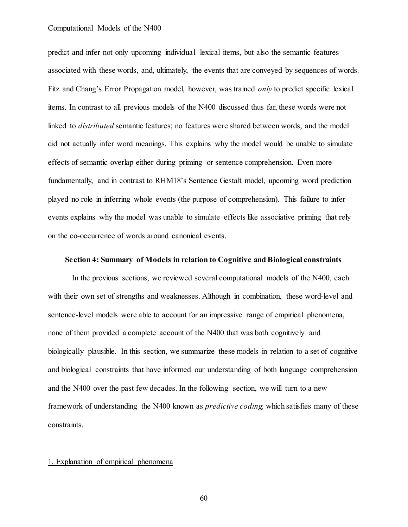predict and infer not only upcoming individual lexical items, but also the semantic features associated with these words, and, ultimately, the events that are conveyed by sequences of words. Fitz and Chang's Error Propagation model, however, was trained *only* to predict specific lexical items. In contrast to all previous models of the N400 discussed thus far, these words were not linked to *distributed* semantic features; no features were shared between words, and the model did not actually infer word meanings. This explains why the model would be unable to simulate effects of semantic overlap either during priming or sentence comprehension. Even more fundamentally, and in contrast to RHM18's Sentence Gestalt model, upcoming word prediction played no role in inferring whole events (the purpose of comprehension). This failure to infer events explains why the model was unable to simulate effects like associative priming that rely on the co-occurrence of words around canonical events.

## **Section 4: Summary of Models in relation to Cognitive and Biological constraints**

In the previous sections, we reviewed several computational models of the N400, each with their own set of strengths and weaknesses. Although in combination, these word-level and sentence-level models were able to account for an impressive range of empirical phenomena, none of them provided a complete account of the N400 that was both cognitively and biologically plausible. In this section, we summarize these models in relation to a set of cognitive and biological constraints that have informed our understanding of both language comprehension and the N400 over the past few decades. In the following section, we will turn to a new framework of understanding the N400 known as *predictive coding,* which satisfies many of these constraints.

## 1. Explanation of empirical phenomena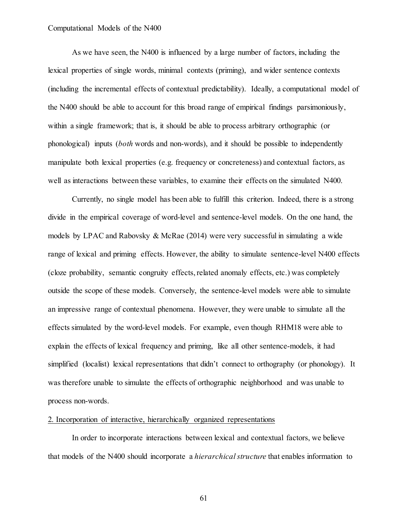As we have seen, the N400 is influenced by a large number of factors, including the lexical properties of single words, minimal contexts (priming), and wider sentence contexts (including the incremental effects of contextual predictability). Ideally, a computational model of the N400 should be able to account for this broad range of empirical findings parsimoniously, within a single framework; that is, it should be able to process arbitrary orthographic (or phonological) inputs (*both* words and non-words), and it should be possible to independently manipulate both lexical properties (e.g. frequency or concreteness) and contextual factors, as well as interactions between these variables, to examine their effects on the simulated N400.

Currently, no single model has been able to fulfill this criterion. Indeed, there is a strong divide in the empirical coverage of word-level and sentence-level models. On the one hand, the models by LPAC and Rabovsky & McRae  $(2014)$  were very successful in simulating a wide range of lexical and priming effects. However, the ability to simulate sentence-level N400 effects (cloze probability, semantic congruity effects, related anomaly effects, etc.) was completely outside the scope of these models. Conversely, the sentence-level models were able to simulate an impressive range of contextual phenomena. However, they were unable to simulate all the effects simulated by the word-level models. For example, even though RHM18 were able to explain the effects of lexical frequency and priming, like all other sentence-models, it had simplified (localist) lexical representations that didn't connect to orthography (or phonology). It was therefore unable to simulate the effects of orthographic neighborhood and was unable to process non-words.

#### 2. Incorporation of interactive, hierarchically organized representations

In order to incorporate interactions between lexical and contextual factors, we believe that models of the N400 should incorporate a *hierarchical structure* that enables information to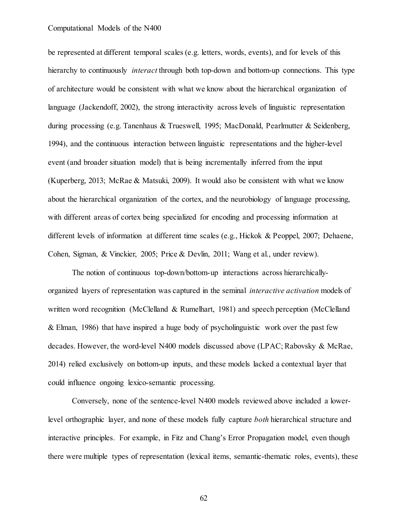be represented at different temporal scales (e.g. letters, words, events), and for levels of this hierarchy to continuously *interact* through both top-down and bottom-up connections. This type of architecture would be consistent with what we know about the hierarchical organization of language (Jackendoff, 2002), the strong interactivity across levels of linguistic representation during processing (e.g. Tanenhaus & Trueswell, 1995; MacDonald, Pearlmutter & Seidenberg, 1994), and the continuous interaction between linguistic representations and the higher-level event (and broader situation model) that is being incrementally inferred from the input (Kuperberg, 2013; McRae & Matsuki, 2009). It would also be consistent with what we know about the hierarchical organization of the cortex, and the neurobiology of language processing, with different areas of cortex being specialized for encoding and processing information at different levels of information at different time scales (e.g., Hickok & Peoppel, 2007; Dehaene, Cohen, Sigman, & Vinckier, 2005; Price & Devlin, 2011; Wang et al., under review).

The notion of continuous top-down/bottom-up interactions across hierarchicallyorganized layers of representation was captured in the seminal *interactive activation* models of written word recognition (McClelland & Rumelhart, 1981) and speech perception (McClelland & Elman, 1986) that have inspired a huge body of psycholinguistic work over the past few decades. However, the word-level N400 models discussed above (LPAC; Rabovsky & McRae, 2014) relied exclusively on bottom-up inputs, and these models lacked a contextual layer that could influence ongoing lexico-semantic processing.

Conversely, none of the sentence-level N400 models reviewed above included a lowerlevel orthographic layer, and none of these models fully capture *both* hierarchical structure and interactive principles. For example, in Fitz and Chang's Error Propagation model, even though there were multiple types of representation (lexical items, semantic-thematic roles, events), these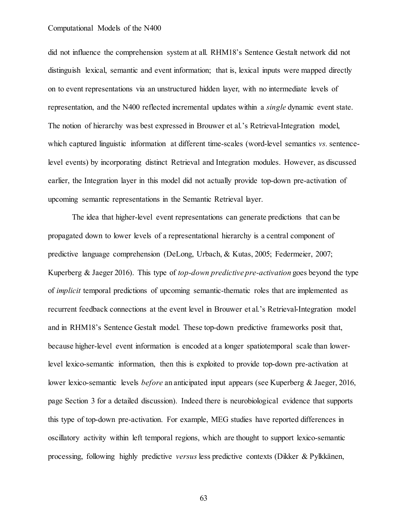did not influence the comprehension system at all. RHM18's Sentence Gestalt network did not distinguish lexical, semantic and event information; that is, lexical inputs were mapped directly on to event representations via an unstructured hidden layer, with no intermediate levels of representation, and the N400 reflected incremental updates within a *single* dynamic event state. The notion of hierarchy was best expressed in Brouwer et al.'s Retrieval-Integration model, which captured linguistic information at different time-scales (word-level semantics *vs.* sentencelevel events) by incorporating distinct Retrieval and Integration modules. However, as discussed earlier, the Integration layer in this model did not actually provide top-down pre-activation of upcoming semantic representations in the Semantic Retrieval layer.

The idea that higher-level event representations can generate predictions that can be propagated down to lower levels of a representational hierarchy is a central component of predictive language comprehension (DeLong, Urbach, & Kutas, 2005; Federmeier, 2007; Kuperberg & Jaeger 2016). This type of *top-down predictive pre-activation* goes beyond the type of *implicit* temporal predictions of upcoming semantic-thematic roles that are implemented as recurrent feedback connections at the event level in Brouwer et al.'s Retrieval-Integration model and in RHM18's Sentence Gestalt model. These top-down predictive frameworks posit that, because higher-level event information is encoded at a longer spatiotemporal scale than lowerlevel lexico-semantic information, then this is exploited to provide top-down pre-activation at lower lexico-semantic levels *before* an anticipated input appears (see Kuperberg & Jaeger, 2016, page Section 3 for a detailed discussion). Indeed there is neurobiological evidence that supports this type of top-down pre-activation. For example, MEG studies have reported differences in oscillatory activity within left temporal regions, which are thought to support lexico-semantic processing, following highly predictive *versus* less predictive contexts (Dikker & Pylkkänen,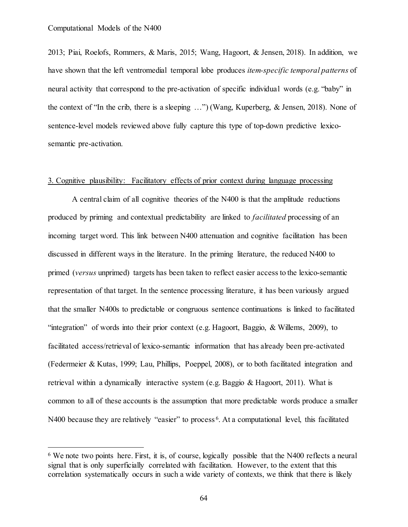2013; Piai, Roelofs, Rommers, & Maris, 2015; Wang, Hagoort, & Jensen, 2018). In addition, we have shown that the left ventromedial temporal lobe produces *item-specific temporal patterns* of neural activity that correspond to the pre-activation of specific individual words (e.g. "baby" in the context of "In the crib, there is a sleeping …") (Wang, Kuperberg, & Jensen, 2018). None of sentence-level models reviewed above fully capture this type of top-down predictive lexicosemantic pre-activation.

## 3. Cognitive plausibility: Facilitatory effects of prior context during language processing

A central claim of all cognitive theories of the N400 is that the amplitude reductions produced by priming and contextual predictability are linked to *facilitated* processing of an incoming target word. This link between N400 attenuation and cognitive facilitation has been discussed in different ways in the literature. In the priming literature, the reduced N400 to primed (*versus* unprimed) targets has been taken to reflect easier access to the lexico-semantic representation of that target. In the sentence processing literature, it has been variously argued that the smaller N400s to predictable or congruous sentence continuations is linked to facilitated "integration" of words into their prior context (e.g. Hagoort, Baggio, & Willems, 2009), to facilitated access/retrieval of lexico-semantic information that has already been pre-activated (Federmeier & Kutas, 1999; Lau, Phillips, Poeppel, 2008), or to both facilitated integration and retrieval within a dynamically interactive system (e.g. Baggio & Hagoort, 2011). What is common to all of these accounts is the assumption that more predictable words produce a smaller N400 because they are relatively "easier" to process<sup>6</sup>. At a computational level, this facilitated

<sup>&</sup>lt;sup>6</sup> We note two points here. First, it is, of course, logically possible that the N400 reflects a neural signal that is only superficially correlated with facilitation. However, to the extent that this correlation systematically occurs in such a wide variety of contexts, we think that there is likely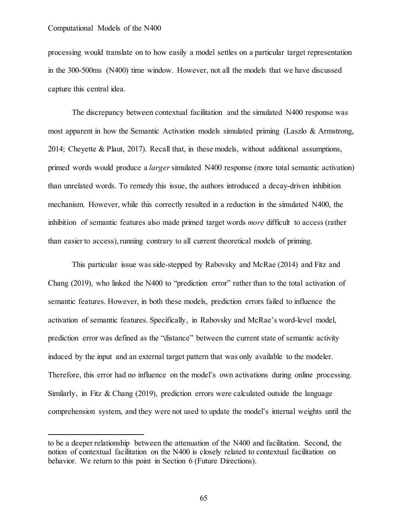$\overline{a}$ 

processing would translate on to how easily a model settles on a particular target representation in the 300-500ms (N400) time window. However, not all the models that we have discussed capture this central idea.

The discrepancy between contextual facilitation and the simulated N400 response was most apparent in how the Semantic Activation models simulated priming (Laszlo & Armstrong, 2014; Cheyette & Plaut, 2017). Recall that, in these models, without additional assumptions, primed words would produce a *larger* simulated N400 response (more total semantic activation) than unrelated words. To remedy this issue, the authors introduced a decay-driven inhibition mechanism. However, while this correctly resulted in a reduction in the simulated N400, the inhibition of semantic features also made primed target words *more* difficult to access (rather than easier to access), running contrary to all current theoretical models of priming.

This particular issue was side-stepped by Rabovsky and McRae (2014) and Fitz and Chang (2019), who linked the N400 to "prediction error" rather than to the total activation of semantic features. However, in both these models, prediction errors failed to influence the activation of semantic features. Specifically, in Rabovsky and McRae's word-level model, prediction error was defined as the "distance" between the current state of semantic activity induced by the input and an external target pattern that was only available to the modeler. Therefore, this error had no influence on the model's own activations during online processing. Similarly, in Fitz & Chang (2019), prediction errors were calculated outside the language comprehension system, and they were not used to update the model's internal weights until the

to be a deeper relationship between the attenuation of the N400 and facilitation. Second, the notion of contextual facilitation on the N400 is closely related to contextual facilitation on behavior. We return to this point in Section 6 (Future Directions).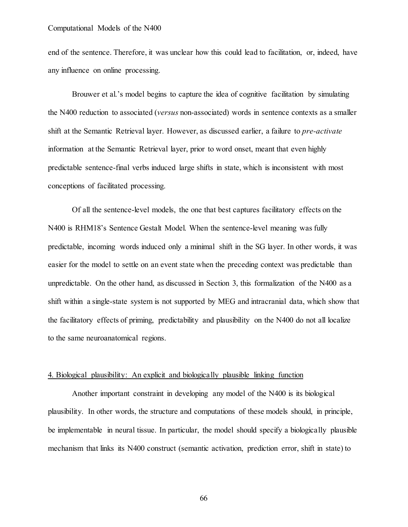end of the sentence. Therefore, it was unclear how this could lead to facilitation, or, indeed, have any influence on online processing.

Brouwer et al.'s model begins to capture the idea of cognitive facilitation by simulating the N400 reduction to associated (*versus* non-associated) words in sentence contexts as a smaller shift at the Semantic Retrieval layer. However, as discussed earlier, a failure to *pre-activate* information at the Semantic Retrieval layer, prior to word onset, meant that even highly predictable sentence-final verbs induced large shifts in state, which is inconsistent with most conceptions of facilitated processing.

Of all the sentence-level models, the one that best captures facilitatory effects on the N400 is RHM18's Sentence Gestalt Model. When the sentence-level meaning was fully predictable, incoming words induced only a minimal shift in the SG layer. In other words, it was easier for the model to settle on an event state when the preceding context was predictable than unpredictable. On the other hand, as discussed in Section 3, this formalization of the N400 as a shift within a single-state system is not supported by MEG and intracranial data, which show that the facilitatory effects of priming, predictability and plausibility on the N400 do not all localize to the same neuroanatomical regions.

#### 4. Biological plausibility: An explicit and biologically plausible linking function

Another important constraint in developing any model of the N400 is its biological plausibility. In other words, the structure and computations of these models should, in principle, be implementable in neural tissue. In particular, the model should specify a biologically plausible mechanism that links its N400 construct (semantic activation, prediction error, shift in state) to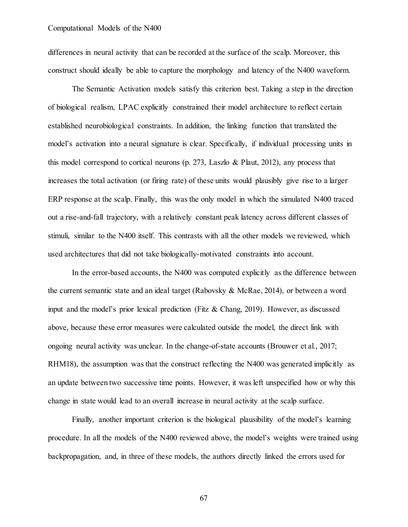differences in neural activity that can be recorded at the surface of the scalp. Moreover, this construct should ideally be able to capture the morphology and latency of the N400 waveform.

The Semantic Activation models satisfy this criterion best. Taking a step in the direction of biological realism, LPAC explicitly constrained their model architecture to reflect certain established neurobiological constraints. In addition, the linking function that translated the model's activation into a neural signature is clear. Specifically, if individual processing units in this model correspond to cortical neurons (p. 273, Laszlo & Plaut, 2012), any process that increases the total activation (or firing rate) of these units would plausibly give rise to a larger ERP response at the scalp. Finally, this was the only model in which the simulated N400 traced out a rise-and-fall trajectory, with a relatively constant peak latency across different classes of stimuli, similar to the N400 itself. This contrasts with all the other models we reviewed, which used architectures that did not take biologically-motivated constraints into account.

In the error-based accounts, the N400 was computed explicitly as the difference between the current semantic state and an ideal target (Rabovsky & McRae, 2014), or between a word input and the model's prior lexical prediction (Fitz & Chang, 2019). However, as discussed above, because these error measures were calculated outside the model, the direct link with ongoing neural activity was unclear. In the change-of-state accounts (Brouwer et al., 2017; RHM18), the assumption was that the construct reflecting the N400 was generated implicitly as an update between two successive time points. However, it was left unspecified how or why this change in state would lead to an overall increase in neural activity at the scalp surface.

Finally, another important criterion is the biological plausibility of the model's learning procedure. In all the models of the N400 reviewed above, the model's weights were trained using backpropagation, and, in three of these models, the authors directly linked the errors used for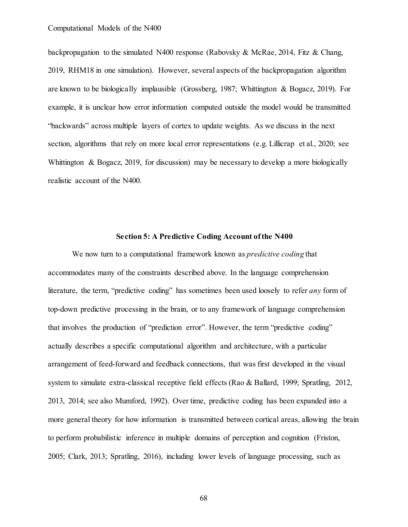backpropagation to the simulated N400 response (Rabovsky & McRae, 2014, Fitz & Chang, 2019, RHM18 in one simulation). However, several aspects of the backpropagation algorithm are known to be biologically implausible (Grossberg, 1987; Whittington & Bogacz, 2019). For example, it is unclear how error information computed outside the model would be transmitted "backwards" across multiple layers of cortex to update weights. As we discuss in the next section, algorithms that rely on more local error representations (e.g. Lillicrap et al., 2020; see Whittington & Bogacz, 2019, for discussion) may be necessary to develop a more biologically realistic account of the N400.

## **Section 5: A Predictive Coding Account of the N400**

We now turn to a computational framework known as *predictive coding* that accommodates many of the constraints described above. In the language comprehension literature, the term, "predictive coding" has sometimes been used loosely to refer *any* form of top-down predictive processing in the brain, or to any framework of language comprehension that involves the production of "prediction error". However, the term "predictive coding" actually describes a specific computational algorithm and architecture, with a particular arrangement of feed-forward and feedback connections, that was first developed in the visual system to simulate extra-classical receptive field effects (Rao & Ballard, 1999; Spratling, 2012, 2013, 2014; see also Mumford, 1992). Over time, predictive coding has been expanded into a more general theory for how information is transmitted between cortical areas, allowing the brain to perform probabilistic inference in multiple domains of perception and cognition (Friston, 2005; Clark, 2013; Spratling, 2016), including lower levels of language processing, such as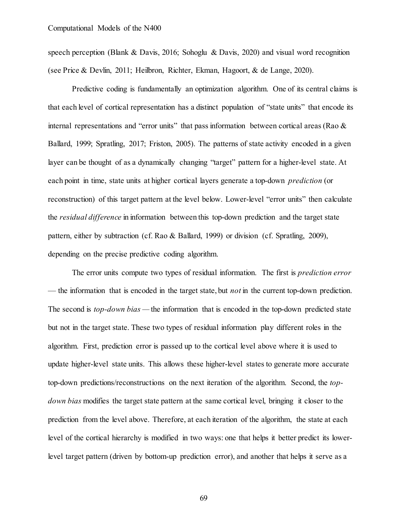speech perception (Blank & Davis, 2016; Sohoglu & Davis, 2020) and visual word recognition (see Price & Devlin, 2011; Heilbron, Richter, Ekman, Hagoort, & de Lange, 2020).

Predictive coding is fundamentally an optimization algorithm. One of its central claims is that each level of cortical representation has a distinct population of "state units" that encode its internal representations and "error units" that pass information between cortical areas (Rao & Ballard, 1999; Spratling, 2017; Friston, 2005). The patterns of state activity encoded in a given layer can be thought of as a dynamically changing "target" pattern for a higher-level state. At each point in time, state units at higher cortical layers generate a top-down *prediction* (or reconstruction) of this target pattern at the level below. Lower-level "error units" then calculate the *residual difference* in information between this top-down prediction and the target state pattern, either by subtraction (cf. Rao & Ballard, 1999) or division (cf. Spratling, 2009), depending on the precise predictive coding algorithm.

The error units compute two types of residual information. The first is *prediction error* — the information that is encoded in the target state, but *not* in the current top-down prediction. The second is *top-down bias* — the information that is encoded in the top-down predicted state but not in the target state. These two types of residual information play different roles in the algorithm. First, prediction error is passed up to the cortical level above where it is used to update higher-level state units. This allows these higher-level states to generate more accurate top-down predictions/reconstructions on the next iteration of the algorithm. Second, the *topdown bias* modifies the target state pattern at the same cortical level, bringing it closer to the prediction from the level above. Therefore, at each iteration of the algorithm, the state at each level of the cortical hierarchy is modified in two ways: one that helps it better predict its lowerlevel target pattern (driven by bottom-up prediction error), and another that helps it serve as a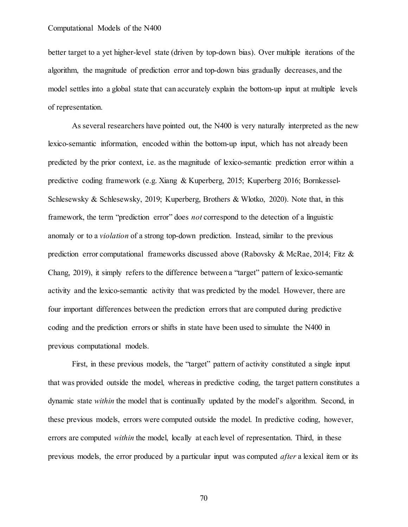better target to a yet higher-level state (driven by top-down bias). Over multiple iterations of the algorithm, the magnitude of prediction error and top-down bias gradually decreases, and the model settles into a global state that can accurately explain the bottom-up input at multiple levels of representation.

As several researchers have pointed out, the N400 is very naturally interpreted as the new lexico-semantic information, encoded within the bottom-up input, which has not already been predicted by the prior context, i.e. as the magnitude of lexico-semantic prediction error within a predictive coding framework (e.g. Xiang & Kuperberg, 2015; Kuperberg 2016; Bornkessel-Schlesewsky & Schlesewsky, 2019; Kuperberg, Brothers & Wlotko, 2020). Note that, [in this](scrivcmt://178AF184-C407-4432-A26E-C303046223CD/)  [framework, the term "prediction e](scrivcmt://178AF184-C407-4432-A26E-C303046223CD/)rror" does *not* [correspond to the detection of a linguistic](scrivcmt://178AF184-C407-4432-A26E-C303046223CD/)  [anomaly or t](scrivcmt://178AF184-C407-4432-A26E-C303046223CD/)o a *violation* [of a strong top-down predictio](scrivcmt://178AF184-C407-4432-A26E-C303046223CD/)n. Instead, similar to the previous prediction error computational frameworks discussed above (Rabovsky & McRae, 2014; Fitz & Chang, 2019), it simply refers to the difference between a "target" pattern of lexico-semantic activity and the lexico-semantic activity that was predicted by the model. However, there are four important differences between the prediction errors that are computed during predictive coding and the prediction errors or shifts in state have been used to simulate the N400 in previous computational models.

First, in these previous models, the "target" pattern of activity constituted a single input that was provided outside the model, whereas in predictive coding, the target pattern constitutes a dynamic state *within* the model that is continually updated by the model's algorithm. Second, in these previous models, errors were computed outside the model. In predictive coding, however, errors are computed *within* the model, locally at each level of representation. Third, in these previous models, the error produced by a particular input was computed *after* a lexical item or its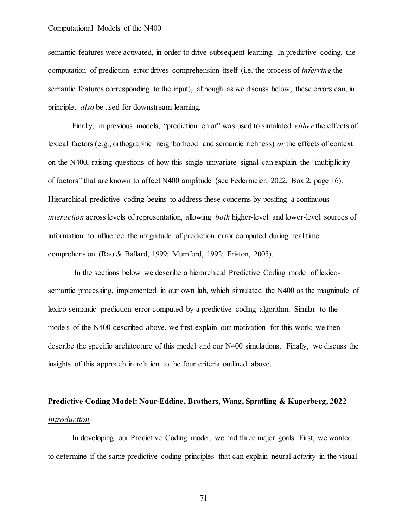semantic features were activated, in order to drive subsequent learning. In predictive coding, the computation of prediction error drives comprehension itself (i.e. the process of *inferring* the semantic features corresponding to the input), although as we discuss below, these errors can, in principle, *also* be used for downstream learning.

Finally, in previous models, "prediction error" was used to simulated *either* the effects of lexical factors (e.g., orthographic neighborhood and semantic richness) *or* the effects of context on the N400, raising questions of how this single univariate signal can explain the "multiplicity of factors" that are known to affect N400 amplitude (see Federmeier, 2022, Box 2, page 16). Hierarchical predictive coding begins to address these concerns by positing a continuous *interaction* across levels of representation, allowing *both* higher-level and lower-level sources of information to influence the magnitude of prediction error computed during real time comprehension (Rao & Ballard, 1999; Mumford, 1992; Friston, 2005).

In the sections below we describe a hierarchical Predictive Coding model of lexicosemantic processing, implemented in our own lab, which simulated the N400 as the magnitude of lexico-semantic prediction error computed by a predictive coding algorithm. Similar to the models of the N400 described above, we first explain our motivation for this work; we then describe the specific architecture of this model and our N400 simulations. Finally, we discuss the insights of this approach in relation to the four criteria outlined above.

# **Predictive Coding Model: Nour-Eddine, Brothers, Wang, Spratling & Kuperberg, 2022** *Introduction*

In developing our Predictive Coding model, we had three major goals. First, we wanted to determine if the same predictive coding principles that can explain neural activity in the visual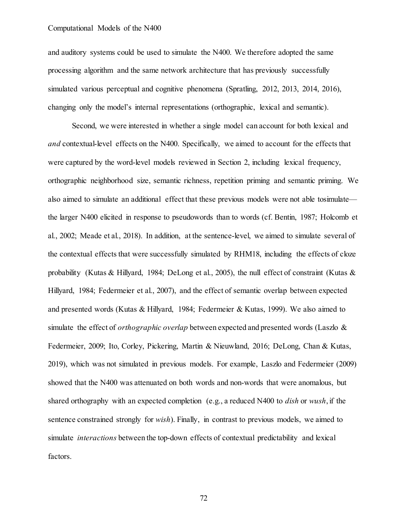and auditory systems could be used to simulate the N400. We therefore adopted the same processing algorithm and the same network architecture that has previously successfully simulated various perceptual and cognitive phenomena (Spratling, 2012, 2013, 2014, 2016), changing only the model's internal representations (orthographic, lexical and semantic).

Second, we were interested in whether a single model can account for both lexical and *and* contextual-level effects on the N400. Specifically, we aimed to account for the effects that were captured by the word-level models reviewed in Section 2, including lexical frequency, orthographic neighborhood size, semantic richness, repetition priming and semantic priming. We also aimed to simulate an additional effect that these previous models were not able tosimulate the larger N400 elicited in response to pseudowords than to words (cf. Bentin, 1987; Holcomb et al., 2002; Meade et al., 2018). In addition, at the sentence-level, we aimed to simulate several of the contextual effects that were successfully simulated by RHM18, including the effects of cloze probability (Kutas & Hillyard, 1984; DeLong et al., 2005), the null effect of constraint (Kutas & Hillyard, 1984; Federmeier et al., 2007), and the effect of semantic overlap between expected and presented words (Kutas & Hillyard, 1984; Federmeier & Kutas, 1999). We also aimed to simulate the effect of *orthographic overlap* between expected and presented words (Laszlo & Federmeier, 2009; Ito, Corley, Pickering, Martin & Nieuwland, 2016; DeLong, Chan & Kutas, 2019), which was not simulated in previous models. For example, Laszlo and Federmeier (2009) showed that the N400 was attenuated on both words and non-words that were anomalous, but shared orthography with an expected completion (e.g., a reduced N400 to *dish* or *wush*, if the sentence constrained strongly for *wish*). Finally, in contrast to previous models, we aimed to simulate *interactions* between the top-down effects of contextual predictability and lexical factors.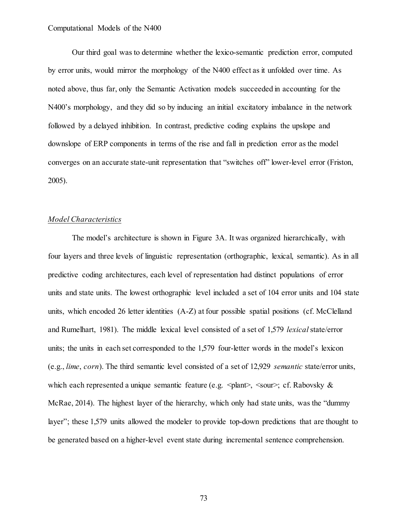Our third goal was to determine whether the lexico-semantic prediction error, computed by error units, would mirror the morphology of the N400 effect as it unfolded over time. As noted above, thus far, only the Semantic Activation models succeeded in accounting for the N400's morphology, and they did so by inducing an initial excitatory imbalance in the network followed by a delayed inhibition. In contrast, predictive coding explains the upslope and downslope of ERP components in terms of the rise and fall in prediction error as the model converges on an accurate state-unit representation that "switches off" lower-level error (Friston, 2005).

# *Model Characteristics*

The model's architecture is shown in Figure 3A. It was organized hierarchically, with four layers and three levels of linguistic representation (orthographic, lexical, semantic). As in all predictive coding architectures, each level of representation had distinct populations of error units and state units. The lowest orthographic level included a set of 104 error units and 104 state units, which encoded 26 letter identities (A-Z) at four possible spatial positions (cf. McClelland and Rumelhart, 1981). The middle lexical level consisted of a set of 1,579 *lexical*state/error units; the units in each set corresponded to the 1,579 four-letter words in the model's lexicon (e.g., *lime*, *corn*). The third semantic level consisted of a set of 12,929 *semantic* state/error units, which each represented a unique semantic feature (e.g.  $\langle$  plant>,  $\langle$  sour>; cf. Rabovsky & McRae, 2014). The highest layer of the hierarchy, which only had state units, was the "dummy layer"; these 1,579 units allowed the modeler to provide top-down predictions that are thought to be generated based on a higher-level event state during incremental sentence comprehension.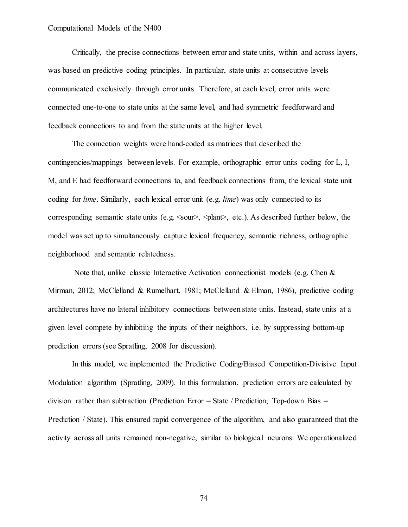Critically, the precise connections between error and state units, within and across layers, was based on predictive coding principles. In particular, state units at consecutive levels communicated exclusively through error units. Therefore, at each level, error units were connected one-to-one to state units at the same level, and had symmetric feedforward and feedback connections to and from the state units at the higher level.

The connection weights were hand-coded as matrices that described the contingencies/mappings between levels. For example, orthographic error units coding for L, I, M, and E had feedforward connections to, and feedback connections from, the lexical state unit coding for *lime*. Similarly, each lexical error unit (e.g. *lime*) was only connected to its corresponding semantic state units (e.g.  $\langle \text{sour} \rangle$ ,  $\langle \text{plant} \rangle$ , etc.). As described further below, the model was set up to simultaneously capture lexical frequency, semantic richness, orthographic neighborhood and semantic relatedness.

Note that, unlike classic Interactive Activation connectionist models (e.g. Chen & Mirman, 2012; McClelland & Rumelhart, 1981; McClelland & Elman, 1986), predictive coding architectures have no lateral inhibitory connections between state units. Instead, state units at a given level compete by inhibiting the inputs of their neighbors, i.e. by suppressing bottom-up prediction errors (see Spratling, 2008 for discussion).

In this model, we implemented the Predictive Coding/Biased Competition-Divisive Input Modulation algorithm (Spratling, 2009). In this formulation, prediction errors are calculated by division rather than subtraction (Prediction Error = State / Prediction; Top-down Bias = Prediction / State). This ensured rapid convergence of the algorithm, and also guaranteed that the activity across all units remained non-negative, similar to biological neurons. We operationalized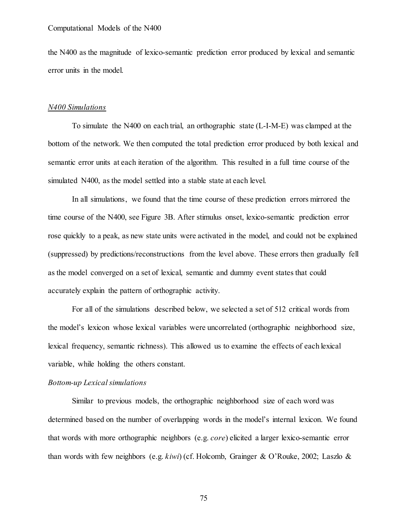the N400 as the magnitude of lexico-semantic prediction error produced by lexical and semantic error units in the model.

### *N400 Simulations*

To simulate the N400 on each trial, an orthographic state (L-I-M-E) was clamped at the bottom of the network. We then computed the total prediction error produced by both lexical and semantic error units at each iteration of the algorithm. This resulted in a full time course of the simulated N400, as the model settled into a stable state at each level.

In all simulations, we found that the time course of these prediction errors mirrored the time course of the N400, see Figure 3B. After stimulus onset, lexico-semantic prediction error rose quickly to a peak, as new state units were activated in the model, and could not be explained (suppressed) by predictions/reconstructions from the level above. These errors then gradually fell as the model converged on a set of lexical, semantic and dummy event states that could accurately explain the pattern of orthographic activity.

For all of the simulations described below, we selected a set of 512 critical words from the model's lexicon whose lexical variables were uncorrelated (orthographic neighborhood size, lexical frequency, semantic richness). This allowed us to examine the effects of each lexical variable, while holding the others constant.

# *Bottom-up Lexical simulations*

Similar to previous models, the orthographic neighborhood size of each word was determined based on the number of overlapping words in the model's internal lexicon. We found that words with more orthographic neighbors (e.g. *core*) elicited a larger lexico-semantic error than words with few neighbors (e.g. *kiwi*) (cf. Holcomb, Grainger & O'Rouke, 2002; Laszlo &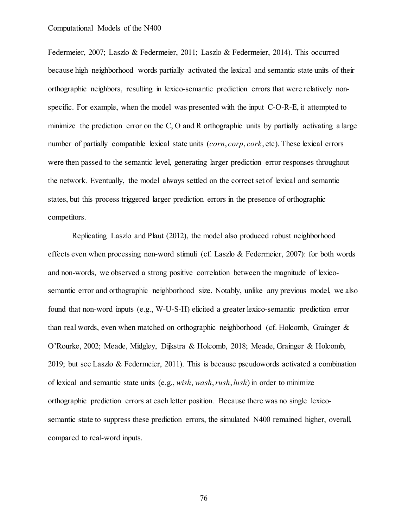Federmeier, 2007; Laszlo & Federmeier, 2011; Laszlo & Federmeier, 2014). This occurred because high neighborhood words partially activated the lexical and semantic state units of their orthographic neighbors, resulting in lexico-semantic prediction errors that were relatively nonspecific. For example, when the model was presented with the input C-O-R-E, it attempted to minimize the prediction error on the C, O and R orthographic units by partially activating a large number of partially compatible lexical state units (*corn*, *corp*, *cork*, etc). These lexical errors were then passed to the semantic level, generating larger prediction error responses throughout the network. Eventually, the model always settled on the correct set of lexical and semantic states, but this process triggered larger prediction errors in the presence of orthographic competitors.

Replicating Laszlo and Plaut (2012), the model also produced robust neighborhood effects even when processing non-word stimuli (cf. Laszlo & Federmeier, 2007): for both words and non-words, we observed a strong positive correlation between the magnitude of lexicosemantic error and orthographic neighborhood size. Notably, unlike any previous model, we also found that non-word inputs (e.g., W-U-S-H) elicited a greater lexico-semantic prediction error than real words, even when matched on orthographic neighborhood (cf. Holcomb, Grainger & O'Rourke, 2002; Meade, Midgley, Dijkstra & Holcomb, 2018; Meade, Grainger & Holcomb, 2019; but see Laszlo & Federmeier, 2011). This is because pseudowords activated a combination of lexical and semantic state units (e.g., *wish*, *wash*, *rush*, *lush*) in order to minimize orthographic prediction errors at each letter position. Because there was no single lexicosemantic state to suppress these prediction errors, the simulated N400 remained higher, overall, compared to real-word inputs.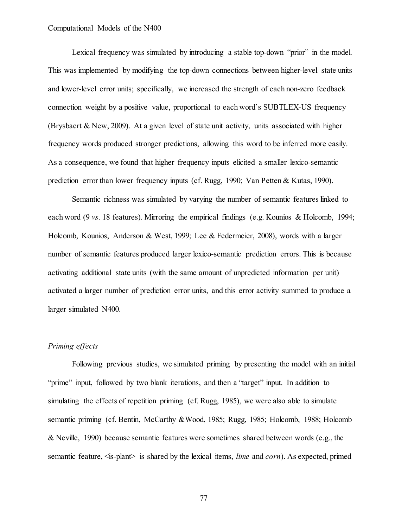Lexical frequency was simulated by introducing a stable top-down "prior" in the model. This was implemented by modifying the top-down connections between higher-level state units and lower-level error units; specifically, we increased the strength of each non-zero feedback connection weight by a positive value, proportional to each word's SUBTLEX-US frequency (Brysbaert & New, 2009). At a given level of state unit activity, units associated with higher frequency words produced stronger predictions, allowing this word to be inferred more easily. As a consequence, we found that higher frequency inputs elicited a smaller lexico-semantic prediction error than lower frequency inputs (cf. Rugg, 1990; Van Petten & Kutas, 1990).

Semantic richness was simulated by varying the number of semantic features linked to each word (9 *vs.* 18 features). Mirroring the empirical findings (e.g. Kounios & Holcomb, 1994; Holcomb, Kounios, Anderson & West, 1999; Lee & Federmeier, 2008), words with a larger number of semantic features produced larger lexico-semantic prediction errors. This is because activating additional state units (with the same amount of unpredicted information per unit) activated a larger number of prediction error units, and this error activity summed to produce a larger simulated N400.

# *Priming effects*

Following previous studies, we simulated priming by presenting the model with an initial "prime" input, followed by two blank iterations, and then a "target" input. In addition to simulating the effects of repetition priming (cf. Rugg, 1985), we were also able to simulate semantic priming (cf. Bentin, McCarthy &Wood, 1985; Rugg, 1985; Holcomb, 1988; Holcomb & Neville, 1990) because semantic features were sometimes shared between words (e.g., the semantic feature,  $\leq$  is-plant $\geq$  is shared by the lexical items, *lime* and *corn*). As expected, primed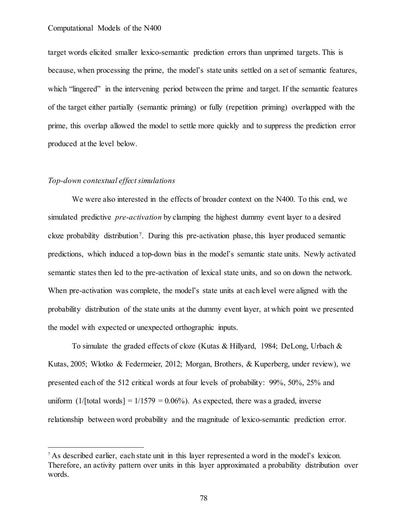target words elicited smaller lexico-semantic prediction errors than unprimed targets. This is because, when processing the prime, the model's state units settled on a set of semantic features, which "lingered" in the intervening period between the prime and target. If the semantic features of the target either partially (semantic priming) or fully (repetition priming) overlapped with the prime, this overlap allowed the model to settle more quickly and to suppress the prediction error produced at the level below.

# *Top-down contextual effect simulations*

We were also interested in the effects of broader context on the N400. To this end, we simulated predictive *pre-activation* by clamping the highest dummy event layer to a desired cloze probability distribution<sup>7</sup>. During this pre-activation phase, this layer produced semantic predictions, which induced a top-down bias in the model's semantic state units. Newly activated semantic states then led to the pre-activation of lexical state units, and so on down the network. When pre-activation was complete, the model's state units at each level were aligned with the probability distribution of the state units at the dummy event layer, at which point we presented the model with expected or unexpected orthographic inputs.

To simulate the graded effects of cloze (Kutas & Hillyard, 1984; DeLong, Urbach & Kutas, 2005; Wlotko & Federmeier, 2012; Morgan, Brothers, & Kuperberg, under review), we presented each of the 512 critical words at four levels of probability: 99%, 50%, 25% and uniform  $(1/[\text{total words}] = 1/1579 = 0.06\%)$ . As expected, there was a graded, inverse relationship between word probability and the magnitude of lexico-semantic prediction error.

<sup>&</sup>lt;sup>7</sup> As described earlier, each state unit in this layer represented a word in the model's lexicon. Therefore, an activity pattern over units in this layer approximated a probability distribution over words.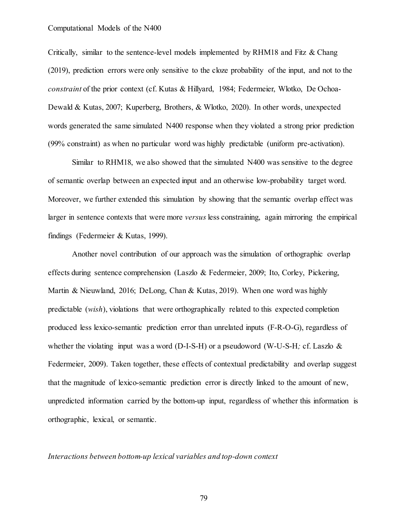Critically, similar to the sentence-level models implemented by RHM18 and Fitz & Chang (2019), prediction errors were only sensitive to the cloze probability of the input, and not to the *constraint* of the prior context (cf. Kutas & Hillyard, 1984; Federmeier, Wlotko, De Ochoa-Dewald & Kutas, 2007; Kuperberg, Brothers, & Wlotko, 2020). In other words, unexpected words generated the same simulated N400 response when they violated a strong prior prediction (99% constraint) as when no particular word was highly predictable (uniform pre-activation).

Similar to RHM18, we also showed that the simulated N400 was sensitive to the degree of semantic overlap between an expected input and an otherwise low-probability target word. Moreover, we further extended this simulation by showing that the semantic overlap effect was larger in sentence contexts that were more *versus* less constraining, again mirroring the empirical findings (Federmeier & Kutas, 1999).

Another novel contribution of our approach was the simulation of orthographic overlap effects during sentence comprehension (Laszlo & Federmeier, 2009; Ito, Corley, Pickering, Martin & Nieuwland, 2016; DeLong, Chan & Kutas, 2019). When one word was highly predictable (*wish*), violations that were orthographically related to this expected completion produced less lexico-semantic prediction error than unrelated inputs (F-R-O-G), regardless of whether the violating input was a word (D-I-S-H) or a pseudoword (W-U-S-H*;* cf. Laszlo & Federmeier, 2009). Taken together, these effects of contextual predictability and overlap suggest that the magnitude of lexico-semantic prediction error is directly linked to the amount of new, unpredicted information carried by the bottom-up input, regardless of whether this information is orthographic, lexical, or semantic.

## *Interactions between bottom-up lexical variables and top-down context*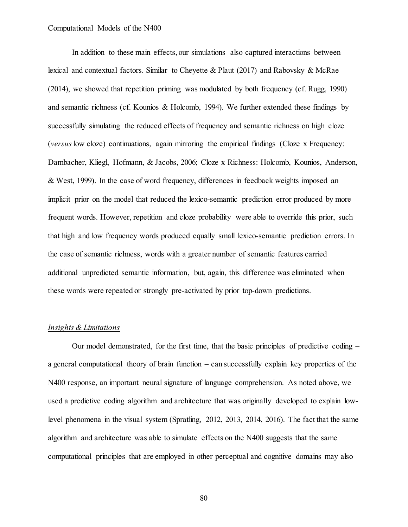In addition to these main effects, our simulations also captured interactions between lexical and contextual factors. Similar to Cheyette & Plaut (2017) and Rabovsky & McRae (2014), we showed that repetition priming was modulated by both frequency (cf. Rugg, 1990) and semantic richness (cf. Kounios & Holcomb, 1994). We further extended these findings by successfully simulating the reduced effects of frequency and semantic richness on high cloze (*versus* low cloze) continuations, again mirroring the empirical findings (Cloze x Frequency: Dambacher, Kliegl, Hofmann, & Jacobs, 2006; Cloze x Richness: Holcomb, Kounios, Anderson, & West, 1999). In the case of word frequency, differences in feedback weights imposed an implicit prior on the model that reduced the lexico-semantic prediction error produced by more frequent words. However, repetition and cloze probability were able to override this prior, such that high and low frequency words produced equally small lexico-semantic prediction errors. In the case of semantic richness, words with a greater number of semantic features carried additional unpredicted semantic information, but, again, this difference was eliminated when these words were repeated or strongly pre-activated by prior top-down predictions.

# *Insights & Limitations*

Our model demonstrated, for the first time, that the basic principles of predictive coding – a general computational theory of brain function – can successfully explain key properties of the N400 response, an important neural signature of language comprehension. As noted above, we used a predictive coding algorithm and architecture that was originally developed to explain lowlevel phenomena in the visual system (Spratling, 2012, 2013, 2014, 2016). The fact that the same algorithm and architecture was able to simulate effects on the N400 suggests that the same computational principles that are employed in other perceptual and cognitive domains may also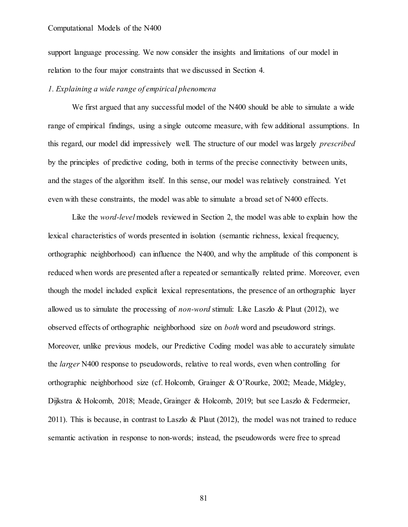support language processing. We now consider the insights and limitations of our model in relation to the four major constraints that we discussed in Section 4.

# *1. Explaining a wide range of empirical phenomena*

We first argued that any successful model of the N400 should be able to simulate a wide range of empirical findings, using a single outcome measure, with few additional assumptions. In this regard, our model did impressively well. The structure of our model was largely *prescribed*  by the principles of predictive coding, both in terms of the precise connectivity between units, and the stages of the algorithm itself. In this sense, our model was relatively constrained. Yet even with these constraints, the model was able to simulate a broad set of N400 effects.

Like the *word-level* models reviewed in Section 2, the model was able to explain how the lexical characteristics of words presented in isolation (semantic richness, lexical frequency, orthographic neighborhood) can influence the N400, and why the amplitude of this component is reduced when words are presented after a repeated or semantically related prime. Moreover, even though the model included explicit lexical representations, the presence of an orthographic layer allowed us to simulate the processing of *non-word* stimuli: Like Laszlo & Plaut (2012), we observed effects of orthographic neighborhood size on *both* word and pseudoword strings. Moreover, unlike previous models, our Predictive Coding model was able to accurately simulate the *larger* N400 response to pseudowords, relative to real words, even when controlling for orthographic neighborhood size (cf. Holcomb, Grainger & O'Rourke, 2002; Meade, Midgley, Dijkstra & Holcomb, 2018; Meade, Grainger & Holcomb, 2019; but see Laszlo & Federmeier, 2011). This is because, in contrast to Laszlo & Plaut (2012), the model was not trained to reduce semantic activation in response to non-words; instead, the pseudowords were free to spread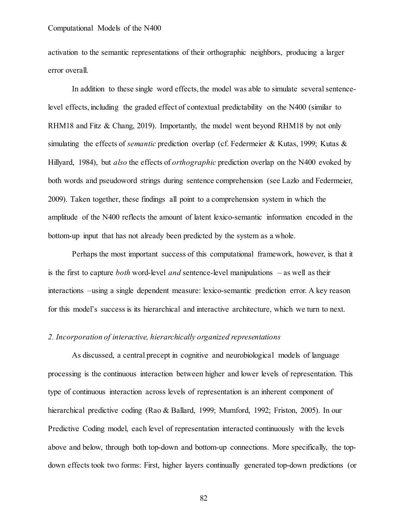activation to the semantic representations of their orthographic neighbors, producing a larger error overall.

In addition to these single word effects, the model was able to simulate several sentencelevel effects, including the graded effect of contextual predictability on the N400 (similar to RHM18 and Fitz & Chang, 2019). Importantly, the model went beyond RHM18 by not only simulating the effects of *semantic* prediction overlap (cf. Federmeier & Kutas, 1999; Kutas & Hillyard, 1984), but *also* the effects of *orthographic* prediction overlap on the N400 evoked by both words and pseudoword strings during sentence comprehension (see Lazlo and Federmeier, 2009). Taken together, these findings all point to a comprehension system in which the amplitude of the N400 reflects the amount of latent lexico-semantic information encoded in the bottom-up input that has not already been predicted by the system as a whole.

Perhaps the most important success of this computational framework, however, is that it is the first to capture *both* word-level *and* sentence-level manipulations – as well as their interactions –using a single dependent measure: lexico-semantic prediction error. A key reason for this model's success is its hierarchical and interactive architecture, which we turn to next.

# *2. Incorporation of interactive, hierarchically organized representations*

As discussed, a central precept in cognitive and neurobiological models of language processing is the continuous interaction between higher and lower levels of representation. This type of continuous interaction across levels of representation is an inherent component of hierarchical predictive coding (Rao & Ballard, 1999; Mumford, 1992; Friston, 2005). In our Predictive Coding model, each level of representation interacted continuously with the levels above and below, through both top-down and bottom-up connections. More specifically, the topdown effects took two forms: First, higher layers continually generated top-down predictions (or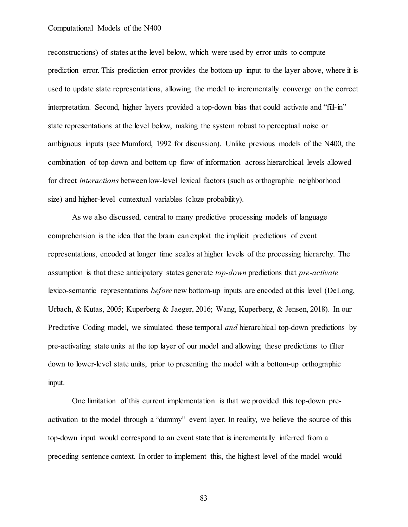reconstructions) of states at the level below, which were used by error units to compute prediction error. This prediction error provides the bottom-up input to the layer above, where it is used to update state representations, allowing the model to incrementally converge on the correct interpretation. Second, higher layers provided a top-down bias that could activate and "fill-in" state representations at the level below, making the system robust to perceptual noise or ambiguous inputs (see Mumford, 1992 for discussion). Unlike previous models of the N400, the combination of top-down and bottom-up flow of information across hierarchical levels allowed for direct *interactions* between low-level lexical factors (such as orthographic neighborhood size) and higher-level contextual variables (cloze probability).

As we also discussed, central to many predictive processing models of language comprehension is the idea that the brain can exploit the implicit predictions of event representations, encoded at longer time scales at higher levels of the processing hierarchy. The assumption is that these anticipatory states generate *top-down* predictions that *pre-activate* lexico-semantic representations *before* new bottom-up inputs are encoded at this level (DeLong, Urbach, & Kutas, 2005; Kuperberg & Jaeger, 2016; Wang, Kuperberg, & Jensen, 2018). In our Predictive Coding model, we simulated these temporal *and* hierarchical top-down predictions by pre-activating state units at the top layer of our model and allowing these predictions to filter down to lower-level state units, prior to presenting the model with a bottom-up orthographic input.

One limitation of this current implementation is that we provided this top-down preactivation to the model through a "dummy" event layer. In reality, we believe the source of this top-down input would correspond to an event state that is incrementally inferred from a preceding sentence context. In order to implement this, the highest level of the model would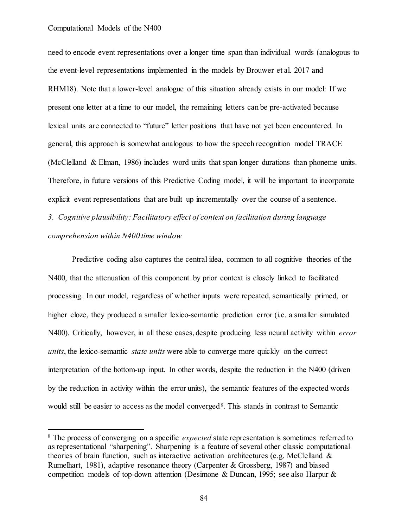need to encode event representations over a longer time span than individual words (analogous to the event-level representations implemented in the models by Brouwer et al. 2017 and RHM18). Note that a lower-level analogue of this situation already exists in our model: If we present one letter at a time to our model, the remaining letters can be pre-activated because lexical units are connected to "future" letter positions that have not yet been encountered. In general, this approach is somewhat analogous to how the speech recognition model TRACE (McClelland & Elman, 1986) includes word units that span longer durations than phoneme units. Therefore, in future versions of this Predictive Coding model, it will be important to incorporate explicit event representations that are built up incrementally over the course of a sentence.

*3. Cognitive plausibility: Facilitatory effect of context on facilitation during language comprehension within N400 time window*

Predictive coding also captures the central idea, common to all cognitive theories of the N400, that the attenuation of this component by prior context is closely linked to facilitated processing. In our model, regardless of whether inputs were repeated, semantically primed, or higher cloze, they produced a smaller lexico-semantic prediction error (i.e. a smaller simulated N400). Critically, however, in all these cases, despite producing less neural activity within *error units*, the lexico-semantic *state units* were able to converge more quickly on the correct interpretation of the bottom-up input. In other words, despite the reduction in the N400 (driven by the reduction in activity within the error units), the semantic features of the expected words would still be easier to access as the model converged<sup>8</sup>. This stands in contrast to Semantic

 <sup>8</sup> The process of converging on a specific *expected* state representation is sometimes referred to as representational "sharpening". Sharpening is a feature of several other classic computational theories of brain function, such as interactive activation architectures (e.g. McClelland  $\&$ Rumelhart, 1981), adaptive resonance theory (Carpenter & Grossberg, 1987) and biased competition models of top-down attention (Desimone & Duncan, 1995; see also Harpur &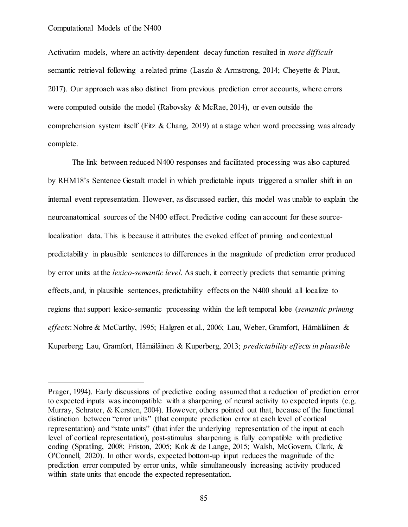$\overline{a}$ 

Activation models, where an activity-dependent decay function resulted in *more difficult*  semantic retrieval following a related prime (Laszlo & Armstrong, 2014; Cheyette & Plaut, 2017). Our approach was also distinct from previous prediction error accounts, where errors were computed outside the model (Rabovsky & McRae, 2014), or even outside the comprehension system itself (Fitz & Chang, 2019) at a stage when word processing was already complete.

The link between reduced N400 responses and facilitated processing was also captured by RHM18's Sentence Gestalt model in which predictable inputs triggered a smaller shift in an internal event representation. However, as discussed earlier, this model was unable to explain the neuroanatomical sources of the N400 effect. Predictive coding can account for these sourcelocalization data. This is because it attributes the evoked effect of priming and contextual predictability in plausible sentences to differences in the magnitude of prediction error produced by error units at the *lexico-semantic level*. As such, it correctly predicts that semantic priming effects, and, in plausible sentences, predictability effects on the N400 should all localize to regions that support lexico-semantic processing within the left temporal lobe (*semantic priming effects*: Nobre & McCarthy, 1995; Halgren et al., 2006; Lau, Weber, [Gramfort, Hämäläinen](scrivcmt://56B6DF72-1EF2-4126-8C8F-F7B460F5FAD3/) & Kuperberg; Lau, [Gramfort, Hämäläinen](scrivcmt://56B6DF72-1EF2-4126-8C8F-F7B460F5FAD3/) & Kuperberg, 2013; *predictability effects in plausible* 

Prager, 1994). Early discussions of predictive coding assumed that a reduction of prediction error to expected inputs was incompatible with a sharpening of neural activity to expected inputs (e.g. Murray, Schrater, & Kersten, 2004). However, others pointed out that, because of the functional distinction between "error units" (that compute prediction error at each level of cortical representation) and "state units" (that infer the underlying representation of the input at each level of cortical representation), post-stimulus sharpening is fully compatible with predictive coding (Spratling, 2008; Friston, 2005; Kok & de Lange, 2015; Walsh, McGovern, Clark, & O'Connell, 2020). In other words, expected bottom-up input reduces the magnitude of the prediction error computed by error units, while simultaneously increasing activity produced within state units that encode the expected representation.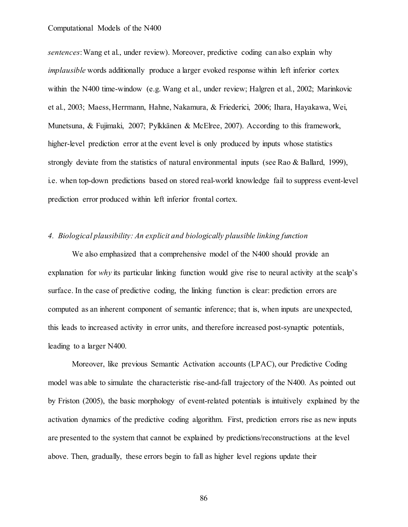*sentences*: Wang et al., under review). Moreover, predictive coding can also explain why *implausible* words additionally produce a larger evoked response within left inferior cortex within the N400 time-window (e.g. Wang et al., under review; Halgren et al., 2002; Marinkovic et al., 2003; Maess, Herrmann, Hahne, Nakamura, & Friederici, 2006; Ihara, Hayakawa, Wei, Munetsuna, & Fujimaki, 2007; Pylkkänen & McElree, 2007). According to this framework, higher-level prediction error at the event level is only produced by inputs whose statistics strongly deviate from the statistics of natural environmental inputs (see Rao & Ballard, 1999), i.e. when top-down predictions based on stored real-world knowledge fail to suppress event-level prediction error produced within left inferior frontal cortex.

# *4. Biological plausibility: An explicit and biologically plausible linking function*

We also emphasized that a comprehensive model of the N400 should provide an explanation for *why* its particular linking function would give rise to neural activity at the scalp's surface. In the case of predictive coding, the linking function is clear: prediction errors are computed as an inherent component of semantic inference; that is, when inputs are unexpected, this leads to increased activity in error units, and therefore increased post-synaptic potentials, leading to a larger N400.

Moreover, like previous Semantic Activation accounts (LPAC), our Predictive Coding model was able to simulate the characteristic rise-and-fall trajectory of the N400. As pointed out by Friston (2005), the basic morphology of event-related potentials is intuitively explained by the activation dynamics of the predictive coding algorithm. First, prediction errors rise as new inputs are presented to the system that cannot be explained by predictions/reconstructions at the level above. Then, gradually, these errors begin to fall as higher level regions update their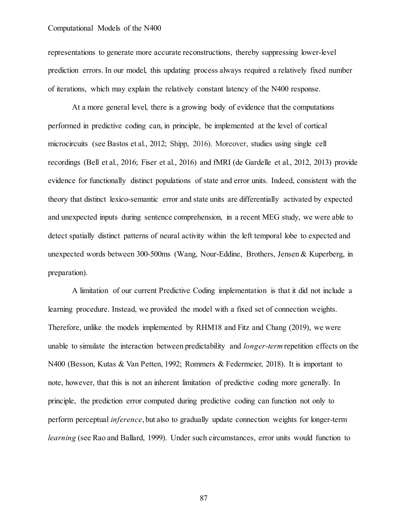representations to generate more accurate reconstructions, thereby suppressing lower-level prediction errors. In our model, this updating process always required a relatively fixed number of iterations, which may explain the relatively constant latency of the N400 response.

At a more general level, there is a growing body of evidence that the computations performed in predictive coding can, in principle, be implemented at the level of cortical microcircuits (see Bastos et al., 2012; Shipp, 2016). Moreover, studies using single cell recordings (Bell et al., 2016; Fiser et al., 2016) and fMRI (de Gardelle et al., 2012, 2013) provide evidence for functionally distinct populations of state and error units. Indeed, consistent with the theory that distinct lexico-semantic error and state units are differentially activated by expected and unexpected inputs during sentence comprehension, in a recent MEG study, we were able to detect spatially distinct patterns of neural activity within the left temporal lobe to expected and unexpected words between 300-500ms (Wang, Nour-Eddine, Brothers, Jensen & Kuperberg, in preparation).

A limitation of our current Predictive Coding implementation is that it did not include a learning procedure. Instead, we provided the model with a fixed set of connection weights. Therefore, unlike the models implemented by RHM18 and Fitz and Chang (2019), we were unable to simulate the interaction between predictability and *longer-term*repetition effects on the N400 (Besson, Kutas & Van Petten, 1992; Rommers & Federmeier, 2018). It is important to note, however, that this is not an inherent limitation of predictive coding more generally. In principle, the prediction error computed during predictive coding can function not only to perform perceptual *inference*, but also to gradually update connection weights for longer-term *learning* (see Rao and Ballard, 1999). Under such circumstances, error units would function to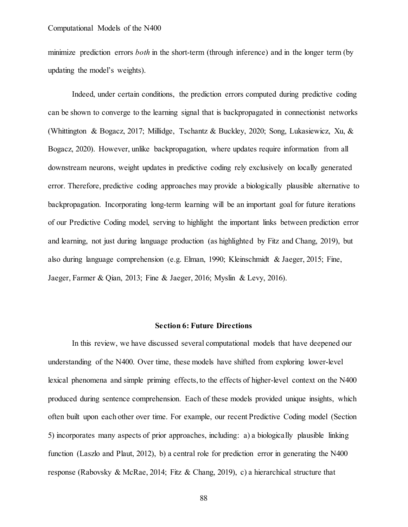minimize prediction errors *both* in the short-term (through inference) and in the longer term (by updating the model's weights).

Indeed, under certain conditions, the prediction errors computed during predictive coding can be shown to converge to the learning signal that is backpropagated in connectionist networks (Whittington & Bogacz, 2017; Millidge, Tschantz & Buckley, 2020; Song, Lukasiewicz, Xu, & Bogacz, 2020). However, unlike backpropagation, where updates require information from all downstream neurons, weight updates in predictive coding rely exclusively on locally generated error. Therefore, predictive coding approaches may provide a biologically plausible alternative to backpropagation. Incorporating long-term learning will be an important goal for future iterations of our Predictive Coding model, serving to highlight the important links between prediction error and learning, not just during language production (as highlighted by Fitz and Chang, 2019), but also during language comprehension (e.g. Elman, 1990; Kleinschmidt & Jaeger, 2015; Fine, Jaeger, Farmer & Qian, 2013; Fine & Jaeger, 2016; Myslin & Levy, 2016).

# **Section 6: Future Directions**

In this review, we have discussed several computational models that have deepened our understanding of the N400. Over time, these models have shifted from exploring lower-level lexical phenomena and simple priming effects, to the effects of higher-level context on the N400 produced during sentence comprehension. Each of these models provided unique insights, which often built upon each other over time. For example, our recent Predictive Coding model (Section 5) incorporates many aspects of prior approaches, including: a) a biologically plausible linking function (Laszlo and Plaut, 2012), b) a central role for prediction error in generating the N400 response (Rabovsky & McRae, 2014; Fitz & Chang, 2019), c) a hierarchical structure that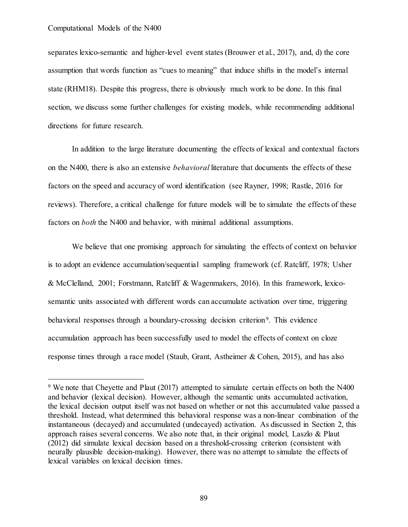separates lexico-semantic and higher-level event states (Brouwer et al., 2017), and, d) the core assumption that words function as "cues to meaning" that induce shifts in the model's internal state (RHM18). Despite this progress, there is obviously much work to be done. In this final section, we discuss some further challenges for existing models, while recommending additional directions for future research.

In addition to the large literature documenting the effects of lexical and contextual factors on the N400, there is also an extensive *behavioral* literature that documents the effects of these factors on the speed and accuracy of word identification (see Rayner, 1998; Rastle, 2016 for reviews). Therefore, a critical challenge for future models will be to simulate the effects of these factors on *both* the N400 and behavior, with minimal additional assumptions.

We believe that one promising approach for simulating the effects of context on behavior is to adopt an evidence accumulation/sequential sampling framework (cf. Ratcliff, 1978; Usher & McClelland, 2001; Forstmann, Ratcliff & Wagenmakers, 2016). In this framework, lexicosemantic units associated with different words can accumulate activation over time, triggering behavioral responses through a boundary-crossing decision criterion<sup>9</sup>. This evidence accumulation approach has been successfully used to model the effects of context on cloze response times through a race model (Staub, Grant, Astheimer & Cohen, 2015), and has also

<sup>&</sup>lt;sup>9</sup> We note that Cheyette and Plaut (2017) attempted to simulate certain effects on both the N400 and behavior (lexical decision). However, although the semantic units accumulated activation, the lexical decision output itself was not based on whether or not this accumulated value passed a threshold. Instead, what determined this behavioral response was a non-linear combination of the instantaneous (decayed) and accumulated (undecayed) activation. As discussed in Section 2, this approach raises several concerns. We also note that, in their original model, Laszlo & Plaut (2012) did simulate lexical decision based on a threshold-crossing criterion (consistent with neurally plausible decision-making). However, there was no attempt to simulate the effects of lexical variables on lexical decision times.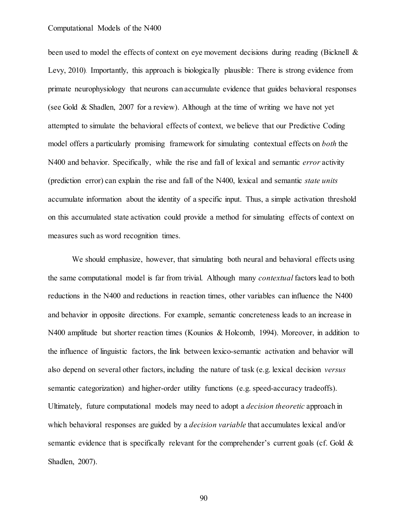been used to model the effects of context on eve movement decisions during reading (Bicknell & Levy, 2010). Importantly, this approach is biologically plausible: There is strong evidence from primate neurophysiology that neurons can accumulate evidence that guides behavioral responses (see Gold & Shadlen, 2007 for a review). Although at the time of writing we have not yet attempted to simulate the behavioral effects of context, we believe that our Predictive Coding model offers a particularly promising framework for simulating contextual effects on *both* the N400 and behavior. Specifically, while the rise and fall of lexical and semantic *error* activity (prediction error) can explain the rise and fall of the N400, lexical and semantic *state units* accumulate information about the identity of a specific input. Thus, a simple activation threshold on this accumulated state activation could provide a method for simulating effects of context on measures such as word recognition times.

We should emphasize, however, that simulating both neural and behavioral effects using the same computational model is far from trivial. Although many *contextual* factors lead to both reductions in the N400 and reductions in reaction times, other variables can influence the N400 and behavior in opposite directions. For example, semantic concreteness leads to an increase in N400 amplitude but shorter reaction times (Kounios & Holcomb, 1994). Moreover, in addition to the influence of linguistic factors, the link between lexico-semantic activation and behavior will also depend on several other factors, including the nature of task (e.g. lexical decision *versus* semantic categorization) and higher-order utility functions (e.g. speed-accuracy tradeoffs). Ultimately, future computational models may need to adopt a *decision theoretic* approach in which behavioral responses are guided by a *decision variable* that accumulates lexical and/or semantic evidence that is specifically relevant for the comprehender's current goals (cf. Gold & Shadlen, 2007).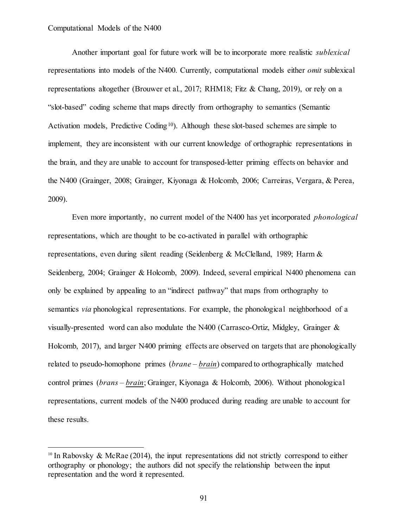Another important goal for future work will be to incorporate more realistic *sublexical*  representations into models of the N400. Currently, computational models either *omit* sublexical representations altogether (Brouwer et al., 2017; RHM18; Fitz & Chang, 2019), or rely on a "slot-based" coding scheme that maps directly from orthography to semantics (Semantic Activation models, Predictive Coding<sup>10</sup>). Although these slot-based schemes are simple to implement, they are inconsistent with our current knowledge of orthographic representations in the brain, and they are unable to account for transposed-letter priming effects on behavior and the N400 (Grainger, 2008; Grainger, Kiyonaga & Holcomb, 2006; Carreiras, Vergara, & Perea, 2009).

Even more importantly, no current model of the N400 has yet incorporated *phonological* representations, which are thought to be co-activated in parallel with orthographic representations, even during silent reading (Seidenberg & McClelland, 1989; Harm & Seidenberg, 2004; Grainger & Holcomb, 2009). Indeed, several empirical N400 phenomena can only be explained by appealing to an "indirect pathway" that maps from orthography to semantics *via* phonological representations. For example, the phonological neighborhood of a visually-presented word can also modulate the N400 (Carrasco-Ortiz, Midgley, Grainger & Holcomb, 2017), and larger N400 priming effects are observed on targets that are phonologically related to pseudo-homophone primes (*brane* – *brain*) compared to orthographically matched control primes (*brans – brain*; Grainger, Kiyonaga & Holcomb, 2006). Without phonological representations, current models of the N400 produced during reading are unable to account for these results.

<sup>&</sup>lt;sup>10</sup> In Rabovsky & McRae (2014), the input representations did not strictly correspond to either orthography or phonology; the authors did not specify the relationship between the input representation and the word it represented.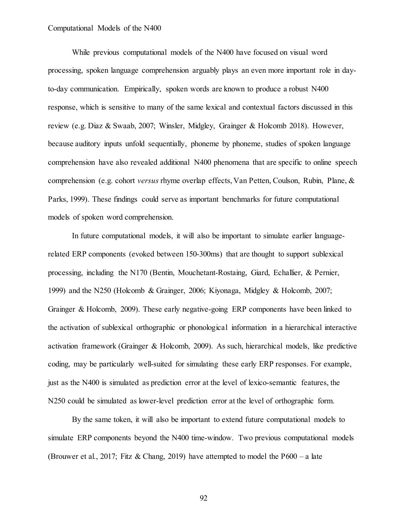While previous computational models of the N400 have focused on visual word processing, spoken language comprehension arguably plays an even more important role in dayto-day communication. Empirically, spoken words are known to produce a robust N400 response, which is sensitive to many of the same lexical and contextual factors discussed in this review (e.g. Diaz & Swaab, 2007; Winsler, Midgley, Grainger & Holcomb 2018). However, because auditory inputs unfold sequentially, phoneme by phoneme, studies of spoken language comprehension have also revealed additional N400 phenomena that are specific to online speech comprehension (e.g. cohort *versus* rhyme overlap effects, Van Petten, Coulson, Rubin, Plane, & Parks, 1999). These findings could serve as important benchmarks for future computational models of spoken word comprehension.

In future computational models, it will also be important to simulate earlier languagerelated ERP components (evoked between 150-300ms) that are thought to support sublexical processing, including the N170 (Bentin, Mouchetant-Rostaing, Giard, Echallier, & Pernier, 1999) and the N250 (Holcomb & Grainger, 2006; Kiyonaga, Midgley & Holcomb, 2007; Grainger & Holcomb, 2009). These early negative-going ERP components have been linked to the activation of sublexical orthographic or phonological information in a hierarchical interactive activation framework (Grainger & Holcomb, 2009). As such, hierarchical models, like predictive coding, may be particularly well-suited for simulating these early ERP responses. For example, just as the N400 is simulated as prediction error at the level of lexico-semantic features, the N250 could be simulated as lower-level prediction error at the level of orthographic form.

By the same token, it will also be important to extend future computational models to simulate ERP components beyond the N400 time-window. Two previous computational models (Brouwer et al., 2017; Fitz & Chang, 2019) have attempted to model the P600 – a late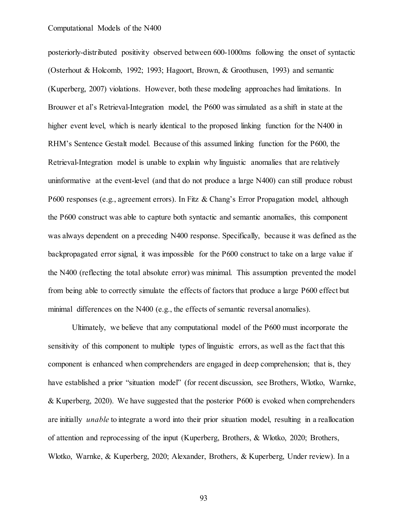posteriorly-distributed positivity observed between 600-1000ms following the onset of syntactic (Osterhout & Holcomb, 1992; 1993; Hagoort, Brown, & Groothusen, 1993) and semantic (Kuperberg, 2007) violations. However, both these modeling approaches had limitations. In Brouwer et al's Retrieval-Integration model, the P600 was simulated as a shift in state at the higher event level, which is nearly identical to the proposed linking function for the N400 in RHM's Sentence Gestalt model. Because of this assumed linking function for the P600, the Retrieval-Integration model is unable to explain why linguistic anomalies that are relatively uninformative at the event-level (and that do not produce a large N400) can still produce robust P600 responses (e.g., agreement errors). In Fitz & Chang's Error Propagation model, although the P600 construct was able to capture both syntactic and semantic anomalies, this component was always dependent on a preceding N400 response. Specifically, because it was defined as the backpropagated error signal, it was impossible for the P600 construct to take on a large value if the N400 (reflecting the total absolute error) was minimal. This assumption prevented the model from being able to correctly simulate the effects of factors that produce a large P600 effect but minimal differences on the N400 (e.g., the effects of semantic reversal anomalies).

Ultimately, we believe that any computational model of the P600 must incorporate the sensitivity of this component to multiple types of linguistic errors, as well as the fact that this component is enhanced when comprehenders are engaged in deep comprehension; that is, they have established a prior "situation model" (for recent discussion, see Brothers, Wlotko, Warnke, & Kuperberg, 2020). We have suggested that the posterior P600 is evoked when comprehenders are initially *unable* to integrate a word into their prior situation model, resulting in a reallocation of attention and reprocessing of the input (Kuperberg, Brothers, & Wlotko, 2020; Brothers, Wlotko, Warnke, & Kuperberg, 2020; Alexander, Brothers, & Kuperberg, Under review). In a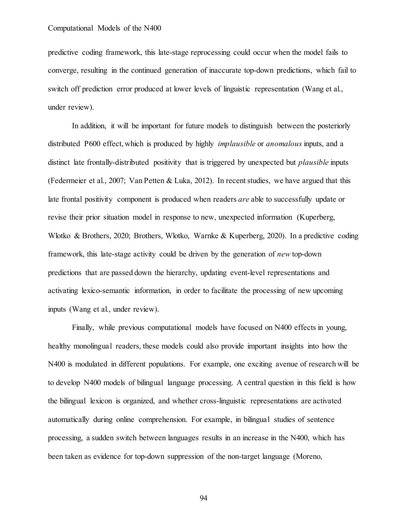predictive coding framework, this late-stage reprocessing could occur when the model fails to converge, resulting in the continued generation of inaccurate top-down predictions, which fail to switch off prediction error produced at lower levels of linguistic representation (Wang et al., under review).

In addition, it will be important for future models to distinguish between the posteriorly distributed P600 effect, which is produced by highly *implausible* or *anomalous* inputs, and a distinct late frontally-distributed positivity that is triggered by unexpected but *plausible* inputs (Federmeier et al., 2007; Van Petten & Luka, 2012). In recent studies, we have argued that this late frontal positivity component is produced when readers *are* able to successfully update or revise their prior situation model in response to new, unexpected information (Kuperberg, Wlotko & Brothers, 2020; Brothers, Wlotko, Warnke & Kuperberg, 2020). In a predictive coding framework, this late-stage activity could be driven by the generation of *new* top-down predictions that are passed down the hierarchy, updating event-level representations and activating lexico-semantic information, in order to facilitate the processing of new upcoming inputs (Wang et al., under review).

Finally, while previous computational models have focused on N400 effects in young, healthy monolingual readers, these models could also provide important insights into how the N400 is modulated in different populations. For example, one exciting avenue of research will be to develop N400 models of bilingual language processing. A central question in this field is how the bilingual lexicon is organized, and whether cross-linguistic representations are activated automatically during online comprehension. For example, in bilingual studies of sentence processing, a sudden switch between languages results in an increase in the N400, which has been taken as evidence for top-down suppression of the non-target language (Moreno,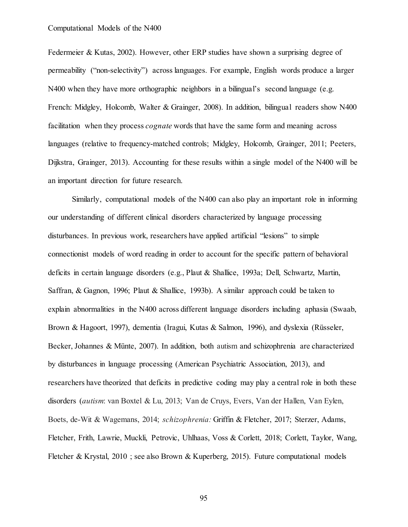Federmeier & Kutas, 2002). However, other ERP studies have shown a surprising degree of permeability ("non-selectivity") across languages. For example, English words produce a larger N400 when they have more orthographic neighbors in a bilingual's second language (e.g. French: Midgley, Holcomb, Walter & Grainger, 2008). In addition, bilingual readers show N400 facilitation when they process *cognate* words that have the same form and meaning across languages (relative to frequency-matched controls; Midgley, Holcomb, Grainger, 2011; Peeters, Dijkstra, Grainger, 2013). Accounting for these results within a single model of the N400 will be an important direction for future research.

Similarly, computational models of the N400 can also play an important role in informing our understanding of different clinical disorders characterized by language processing disturbances. In previous work, researchers have applied artificial "lesions" to simple connectionist models of word reading in order to account for the specific pattern of behavioral deficits in certain language disorders (e.g., Plaut & Shallice, 1993a; Dell, Schwartz, Martin, Saffran, & Gagnon, 1996; Plaut & Shallice, 1993b). A similar approach could be taken to explain abnormalities in the N400 across different language disorders including aphasia (Swaab, Brown & Hagoort, 1997), dementia (Iragui, Kutas & Salmon, 1996), and dyslexia (Rüsseler, Becker, Johannes & Münte, 2007). In addition, both autism and schizophrenia are characterized by disturbances in language processing (American Psychiatric Association, 2013), and researchers have theorized that deficits in predictive coding may play a central role in both these disorders (*autism*: van Boxtel & Lu, 2013; Van de Cruys, Evers, Van der Hallen, Van Eylen, Boets, de-Wit & Wagemans, 2014; *schizophrenia:* Griffin & Fletcher, 2017; Sterzer, Adams, Fletcher, Frith, Lawrie, Muckli, Petrovic, Uhlhaas, Voss & Corlett, 2018; Corlett, Taylor, Wang, Fletcher & Krystal, 2010 ; see also Brown & Kuperberg, 2015). Future computational models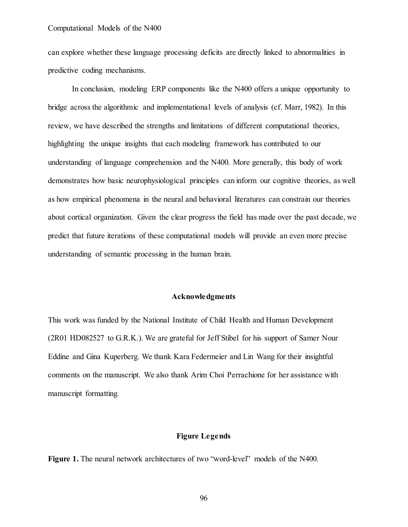can explore whether these language processing deficits are directly linked to abnormalities in predictive coding mechanisms.

In conclusion, modeling ERP components like the N400 offers a unique opportunity to bridge across the algorithmic and implementational levels of analysis (cf. Marr, 1982). In this review, we have described the strengths and limitations of different computational theories, highlighting the unique insights that each modeling framework has contributed to our understanding of language comprehension and the N400. More generally, this body of work demonstrates how basic neurophysiological principles can inform our cognitive theories, as well as how empirical phenomena in the neural and behavioral literatures can constrain our theories about cortical organization. Given the clear progress the field has made over the past decade, we predict that future iterations of these computational models will provide an even more precise understanding of semantic processing in the human brain.

### **Acknowledgments**

This work was funded by the National Institute of Child Health and Human Development (2R01 HD082527 to G.R.K.). We are grateful for Jeff Stibel for his support of Samer Nour Eddine and Gina Kuperberg. We thank Kara Federmeier and Lin Wang for their insightful comments on the manuscript. We also thank Arim Choi Perrachione for her assistance with manuscript formatting.

# **Figure Legends**

**Figure 1.** The neural network architectures of two "word-level" models of the N400.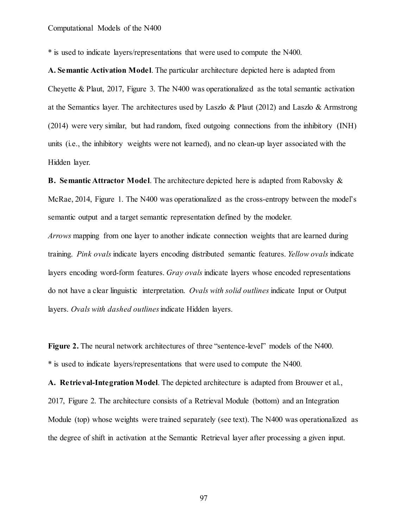\* is used to indicate layers/representations that were used to compute the N400.

**A. Semantic Activation Model**. The particular architecture depicted here is adapted from Cheyette & Plaut, 2017, Figure 3. The N400 was operationalized as the total semantic activation at the Semantics layer. The architectures used by Laszlo & Plaut (2012) and Laszlo & Armstrong (2014) were very similar, but had random, fixed outgoing connections from the inhibitory (INH) units (i.e., the inhibitory weights were not learned), and no clean-up layer associated with the Hidden layer.

**B. Semantic Attractor Model**. The architecture depicted here is adapted from Rabovsky & McRae, 2014, Figure 1. The N400 was operationalized as the cross-entropy between the model's semantic output and a target semantic representation defined by the modeler.

*Arrows* mapping from one layer to another indicate connection weights that are learned during training. *Pink ovals* indicate layers encoding distributed semantic features. *Yellow ovals* indicate layers encoding word-form features. *Gray ovals* indicate layers whose encoded representations do not have a clear linguistic interpretation. *Ovals with solid outlines* indicate Input or Output layers. *Ovals with dashed outlines*indicate Hidden layers.

**Figure 2.** The neural network architectures of three "sentence-level" models of the N400. \* is used to indicate layers/representations that were used to compute the N400.

**A. Retrieval-Integration Model**. The depicted architecture is adapted from Brouwer et al., 2017, Figure 2. The architecture consists of a Retrieval Module (bottom) and an Integration Module (top) whose weights were trained separately (see text). The N400 was operationalized as the degree of shift in activation at the Semantic Retrieval layer after processing a given input.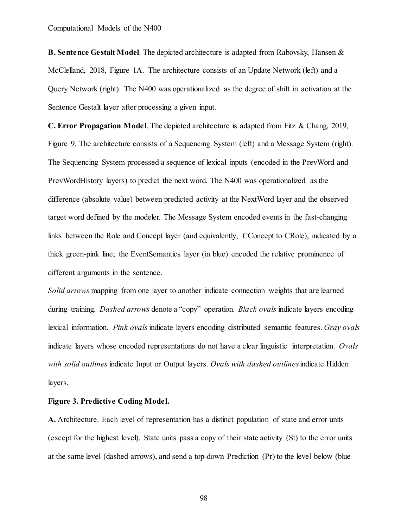**B. Sentence Gestalt Model**. The depicted architecture is adapted from Rabovsky, Hansen & McClelland, 2018, Figure 1A. The architecture consists of an Update Network (left) and a Query Network (right). The N400 was operationalized as the degree of shift in activation at the Sentence Gestalt layer after processing a given input.

**C. Error Propagation Model**. The depicted architecture is adapted from Fitz & Chang, 2019, Figure 9. The architecture consists of a Sequencing System (left) and a Message System (right). The Sequencing System processed a sequence of lexical inputs (encoded in the PrevWord and PrevWordHistory layers) to predict the next word. The N400 was operationalized as the difference (absolute value) between predicted activity at the NextWord layer and the observed target word defined by the modeler. The Message System encoded events in the fast-changing links between the Role and Concept layer (and equivalently, CConcept to CRole), indicated by a thick green-pink line; the EventSemantics layer (in blue) encoded the relative prominence of different arguments in the sentence.

*Solid arrows* mapping from one layer to another indicate connection weights that are learned during training. *Dashed arrows* denote a "copy" operation. *Black ovals* indicate layers encoding lexical information. *Pink ovals* indicate layers encoding distributed semantic features. *Gray ovals* indicate layers whose encoded representations do not have a clear linguistic interpretation. *Ovals with solid outlines* indicate Input or Output layers. *Ovals with dashed outlines*indicate Hidden layers.

# **Figure 3. Predictive Coding Model.**

**A.** Architecture. Each level of representation has a distinct population of state and error units (except for the highest level). State units pass a copy of their state activity (St) to the error units at the same level (dashed arrows), and send a top-down Prediction (Pr) to the level below (blue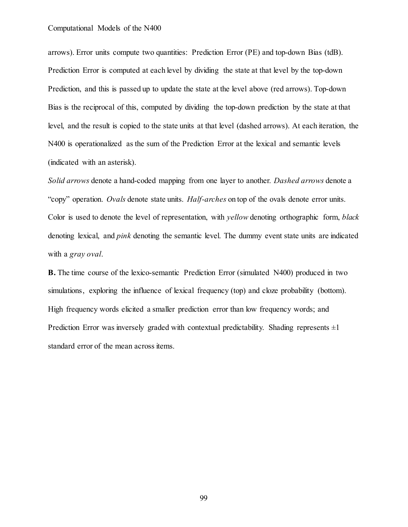arrows). Error units compute two quantities: Prediction Error (PE) and top-down Bias (tdB). Prediction Error is computed at each level by dividing the state at that level by the top-down Prediction, and this is passed up to update the state at the level above (red arrows). Top-down Bias is the reciprocal of this, computed by dividing the top-down prediction by the state at that level, and the result is copied to the state units at that level (dashed arrows). At each iteration, the N400 is operationalized as the sum of the Prediction Error at the lexical and semantic levels (indicated with an asterisk).

*Solid arrows* denote a hand-coded mapping from one layer to another. *Dashed arrows* denote a "copy" operation. *Ovals* denote state units. *Half-arches* on top of the ovals denote error units. Color is used to denote the level of representation, with *yellow* denoting orthographic form, *black*  denoting lexical, and *pink* denoting the semantic level. The dummy event state units are indicated with a *gray oval*.

**B.** The time course of the lexico-semantic Prediction Error (simulated N400) produced in two simulations, exploring the influence of lexical frequency (top) and cloze probability (bottom). High frequency words elicited a smaller prediction error than low frequency words; and Prediction Error was inversely graded with contextual predictability. Shading represents  $\pm 1$ standard error of the mean across items.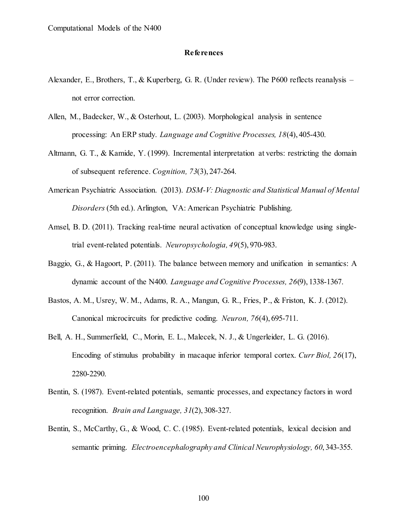# **References**

- Alexander, E., Brothers, T., & Kuperberg, G. R. (Under review). The P600 reflects reanalysis not error correction.
- Allen, M., Badecker, W., & Osterhout, L. (2003). Morphological analysis in sentence processing: An ERP study. *Language and Cognitive Processes, 18*(4), 405-430.
- Altmann, G. T., & Kamide, Y. (1999). Incremental interpretation at verbs: restricting the domain of subsequent reference. *Cognition, 73*(3), 247-264.
- American Psychiatric Association. (2013). *DSM-V: Diagnostic and Statistical Manual of Mental Disorders* (5th ed.). Arlington, VA: American Psychiatric Publishing.
- Amsel, B. D. (2011). Tracking real-time neural activation of conceptual knowledge using singletrial event-related potentials. *Neuropsychologia, 49*(5), 970-983.
- Baggio, G., & Hagoort, P. (2011). The balance between memory and unification in semantics: A dynamic account of the N400. *Language and Cognitive Processes, 26*(9), 1338-1367.
- Bastos, A. M., Usrey, W. M., Adams, R. A., Mangun, G. R., Fries, P., & Friston, K. J. (2012). Canonical microcircuits for predictive coding. *Neuron, 76*(4), 695-711.
- Bell, A. H., Summerfield, C., Morin, E. L., Malecek, N. J., & Ungerleider, L. G. (2016). Encoding of stimulus probability in macaque inferior temporal cortex. *Curr Biol, 26*(17), 2280-2290.
- Bentin, S. (1987). Event-related potentials, semantic processes, and expectancy factors in word recognition. *Brain and Language, 31*(2), 308-327.
- Bentin, S., McCarthy, G., & Wood, C. C. (1985). Event-related potentials, lexical decision and semantic priming. *Electroencephalography and Clinical Neurophysiology, 60*, 343-355.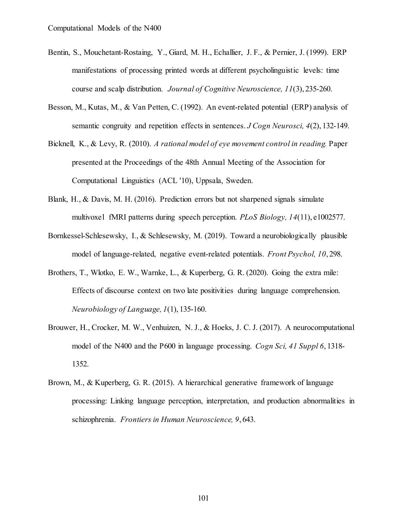- Bentin, S., Mouchetant-Rostaing, Y., Giard, M. H., Echallier, J. F., & Pernier, J. (1999). ERP manifestations of processing printed words at different psycholinguistic levels: time course and scalp distribution. *Journal of Cognitive Neuroscience, 11*(3), 235-260.
- Besson, M., Kutas, M., & Van Petten, C. (1992). An event-related potential (ERP) analysis of semantic congruity and repetition effects in sentences. *J Cogn Neurosci, 4*(2), 132-149.
- Bicknell, K., & Levy, R. (2010). *A rational model of eye movement control in reading.* Paper presented at the Proceedings of the 48th Annual Meeting of the Association for Computational Linguistics (ACL '10), Uppsala, Sweden.
- Blank, H., & Davis, M. H. (2016). Prediction errors but not sharpened signals simulate multivoxel fMRI patterns during speech perception. *PLoS Biology, 14*(11), e1002577.
- Bornkessel-Schlesewsky, I., & Schlesewsky, M. (2019). Toward a neurobiologically plausible model of language-related, negative event-related potentials. *Front Psychol, 10*, 298.
- Brothers, T., Wlotko, E. W., Warnke, L., & Kuperberg, G. R. (2020). Going the extra mile: Effects of discourse context on two late positivities during language comprehension. *Neurobiology of Language, 1*(1), 135-160.
- Brouwer, H., Crocker, M. W., Venhuizen, N. J., & Hoeks, J. C. J. (2017). A neurocomputational model of the N400 and the P600 in language processing. *Cogn Sci, 41 Suppl 6*, 1318- 1352.
- Brown, M., & Kuperberg, G. R. (2015). A hierarchical generative framework of language processing: Linking language perception, interpretation, and production abnormalities in schizophrenia. *Frontiers in Human Neuroscience, 9*, 643.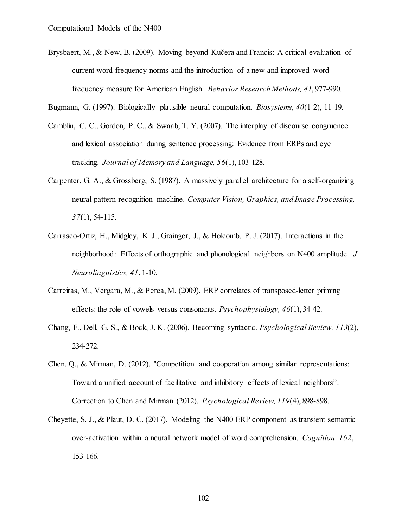- Brysbaert, M., & New, B. (2009). Moving beyond Kučera and Francis: A critical evaluation of current word frequency norms and the introduction of a new and improved word frequency measure for American English. *Behavior Research Methods, 41*, 977-990.
- Bugmann, G. (1997). Biologically plausible neural computation. *Biosystems, 40*(1-2), 11-19.
- Camblin, C. C., Gordon, P. C., & Swaab, T. Y. (2007). The interplay of discourse congruence and lexical association during sentence processing: Evidence from ERPs and eye tracking. *Journal of Memory and Language, 56*(1), 103-128.
- Carpenter, G. A., & Grossberg, S. (1987). A massively parallel architecture for a self-organizing neural pattern recognition machine. *Computer Vision, Graphics, and Image Processing, 37*(1), 54-115.
- Carrasco-Ortiz, H., Midgley, K. J., Grainger, J., & Holcomb, P. J. (2017). Interactions in the neighborhood: Effects of orthographic and phonological neighbors on N400 amplitude. *J Neurolinguistics, 41*, 1-10.
- Carreiras, M., Vergara, M., & Perea, M. (2009). ERP correlates of transposed-letter priming effects: the role of vowels versus consonants. *Psychophysiology, 46*(1), 34-42.
- Chang, F., Dell, G. S., & Bock, J. K. (2006). Becoming syntactic. *Psychological Review, 113*(2), 234-272.
- Chen, Q., & Mirman, D. (2012). "Competition and cooperation among similar representations: Toward a unified account of facilitative and inhibitory effects of lexical neighbors": Correction to Chen and Mirman (2012). *Psychological Review, 119*(4), 898-898.
- Cheyette, S. J., & Plaut, D. C. (2017). Modeling the N400 ERP component as transient semantic over-activation within a neural network model of word comprehension. *Cognition, 162*, 153-166.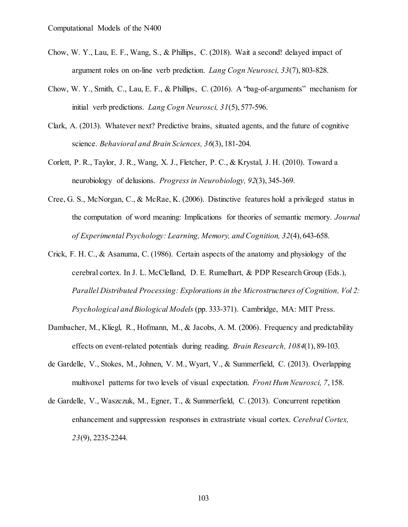- Chow, W. Y., Lau, E. F., Wang, S., & Phillips, C. (2018). Wait a second! delayed impact of argument roles on on-line verb prediction. *Lang Cogn Neurosci, 33*(7), 803-828.
- Chow, W. Y., Smith, C., Lau, E. F., & Phillips, C. (2016). A "bag-of-arguments" mechanism for initial verb predictions. *Lang Cogn Neurosci, 31*(5), 577-596.
- Clark, A. (2013). Whatever next? Predictive brains, situated agents, and the future of cognitive science. *Behavioral and Brain Sciences, 36*(3), 181-204.
- Corlett, P. R., Taylor, J. R., Wang, X. J., Fletcher, P. C., & Krystal, J. H. (2010). Toward a neurobiology of delusions. *Progress in Neurobiology, 92*(3), 345-369.
- Cree, G. S., McNorgan, C., & McRae, K. (2006). Distinctive features hold a privileged status in the computation of word meaning: Implications for theories of semantic memory. *Journal of Experimental Psychology: Learning, Memory, and Cognition, 32*(4), 643-658.
- Crick, F. H. C., & Asanuma, C. (1986). Certain aspects of the anatomy and physiology of the cerebral cortex. In J. L. McClelland, D. E. Rumelhart, & PDP Research Group (Eds.), *Parallel Distributed Processing: Explorations in the Microstructures of Cognition, Vol 2: Psychological and Biological Models* (pp. 333-371). Cambridge, MA: MIT Press.
- Dambacher, M., Kliegl, R., Hofmann, M., & Jacobs, A. M. (2006). Frequency and predictability effects on event-related potentials during reading. *Brain Research, 1084*(1), 89-103.
- de Gardelle, V., Stokes, M., Johnen, V. M., Wyart, V., & Summerfield, C. (2013). Overlapping multivoxel patterns for two levels of visual expectation. *Front Hum Neurosci, 7*, 158.
- de Gardelle, V., Waszczuk, M., Egner, T., & Summerfield, C. (2013). Concurrent repetition enhancement and suppression responses in extrastriate visual cortex. *Cerebral Cortex, 23*(9), 2235-2244.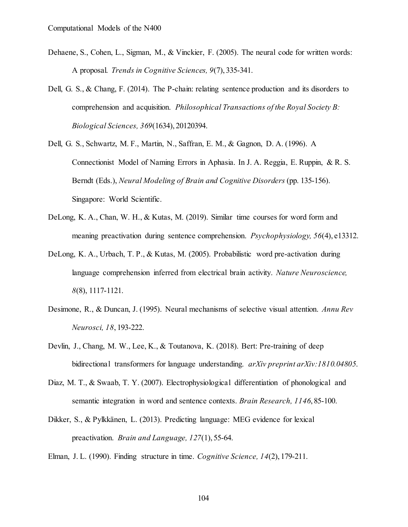- Dehaene, S., Cohen, L., Sigman, M., & Vinckier, F. (2005). The neural code for written words: A proposal. *Trends in Cognitive Sciences, 9*(7), 335-341.
- Dell, G. S., & Chang, F. (2014). The P-chain: relating sentence production and its disorders to comprehension and acquisition. *Philosophical Transactions of the Royal Society B: Biological Sciences, 369*(1634), 20120394.

Dell, G. S., Schwartz, M. F., Martin, N., Saffran, E. M., & Gagnon, D. A. (1996). A Connectionist Model of Naming Errors in Aphasia. In J. A. Reggia, E. Ruppin, & R. S. Berndt (Eds.), *Neural Modeling of Brain and Cognitive Disorders* (pp. 135-156). Singapore: World Scientific.

- DeLong, K. A., Chan, W. H., & Kutas, M. (2019). Similar time courses for word form and meaning preactivation during sentence comprehension. *Psychophysiology, 56*(4), e13312.
- DeLong, K. A., Urbach, T. P., & Kutas, M. (2005). Probabilistic word pre-activation during language comprehension inferred from electrical brain activity. *Nature Neuroscience, 8*(8), 1117-1121.
- Desimone, R., & Duncan, J. (1995). Neural mechanisms of selective visual attention. *Annu Rev Neurosci, 18*, 193-222.
- Devlin, J., Chang, M. W., Lee, K., & Toutanova, K. (2018). Bert: Pre-training of deep bidirectional transformers for language understanding. *arXiv preprint arXiv:1810.04805*.
- Diaz, M. T., & Swaab, T. Y. (2007). Electrophysiological differentiation of phonological and semantic integration in word and sentence contexts. *Brain Research, 1146*, 85-100.
- Dikker, S., & Pylkkänen, L. (2013). Predicting language: MEG evidence for lexical preactivation. *Brain and Language, 127*(1), 55-64.
- Elman, J. L. (1990). Finding structure in time. *Cognitive Science, 14*(2), 179-211.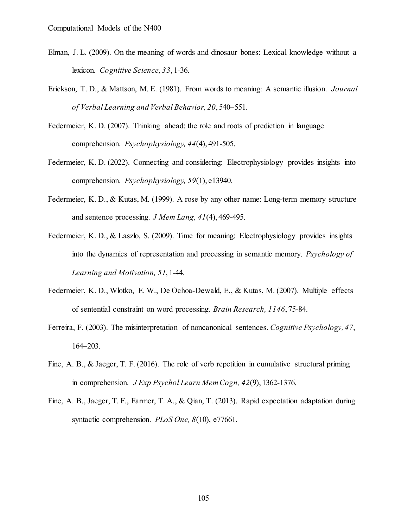- Elman, J. L. (2009). On the meaning of words and dinosaur bones: Lexical knowledge without a lexicon. *Cognitive Science, 33*, 1-36.
- Erickson, T. D., & Mattson, M. E. (1981). From words to meaning: A semantic illusion. *Journal of Verbal Learning and Verbal Behavior, 20*, 540–551.
- Federmeier, K. D. (2007). Thinking ahead: the role and roots of prediction in language comprehension. *Psychophysiology, 44*(4), 491-505.
- Federmeier, K. D. (2022). Connecting and considering: Electrophysiology provides insights into comprehension. *Psychophysiology, 59*(1), e13940.
- Federmeier, K. D., & Kutas, M. (1999). A rose by any other name: Long-term memory structure and sentence processing. *J Mem Lang, 41*(4), 469-495.
- Federmeier, K. D., & Laszlo, S. (2009). Time for meaning: Electrophysiology provides insights into the dynamics of representation and processing in semantic memory. *Psychology of Learning and Motivation, 51*, 1-44.
- Federmeier, K. D., Wlotko, E. W., De Ochoa-Dewald, E., & Kutas, M. (2007). Multiple effects of sentential constraint on word processing. *Brain Research, 1146*, 75-84.
- Ferreira, F. (2003). The misinterpretation of noncanonical sentences. *Cognitive Psychology, 47*, 164–203.
- Fine, A. B., & Jaeger, T. F. (2016). The role of verb repetition in cumulative structural priming in comprehension. *J Exp Psychol Learn Mem Cogn, 42*(9), 1362-1376.
- Fine, A. B., Jaeger, T. F., Farmer, T. A., & Qian, T. (2013). Rapid expectation adaptation during syntactic comprehension. *PLoS One, 8*(10), e77661.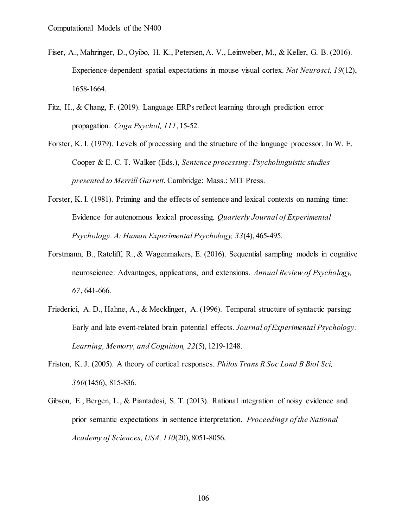- Fiser, A., Mahringer, D., Oyibo, H. K., Petersen, A. V., Leinweber, M., & Keller, G. B. (2016). Experience-dependent spatial expectations in mouse visual cortex. *Nat Neurosci, 19*(12), 1658-1664.
- Fitz, H., & Chang, F. (2019). Language ERPs reflect learning through prediction error propagation. *Cogn Psychol, 111*, 15-52.
- Forster, K. I. (1979). Levels of processing and the structure of the language processor. In W. E. Cooper & E. C. T. Walker (Eds.), *Sentence processing: Psycholinguistic studies presented to Merrill Garrett*. Cambridge: Mass.: MIT Press.
- Forster, K. I. (1981). Priming and the effects of sentence and lexical contexts on naming time: Evidence for autonomous lexical processing. *Quarterly Journal of Experimental Psychology. A: Human Experimental Psychology, 33*(4), 465-495.
- Forstmann, B., Ratcliff, R., & Wagenmakers, E. (2016). Sequential sampling models in cognitive neuroscience: Advantages, applications, and extensions. *Annual Review of Psychology, 67*, 641-666.
- Friederici, A. D., Hahne, A., & Mecklinger, A. (1996). Temporal structure of syntactic parsing: Early and late event-related brain potential effects. *Journal of Experimental Psychology: Learning, Memory, and Cognition, 22*(5), 1219-1248.
- Friston, K. J. (2005). A theory of cortical responses. *Philos Trans R Soc Lond B Biol Sci, 360*(1456), 815-836.
- Gibson, E., Bergen, L., & Piantadosi, S. T. (2013). Rational integration of noisy evidence and prior semantic expectations in sentence interpretation. *Proceedings of the National Academy of Sciences, USA, 110*(20), 8051-8056.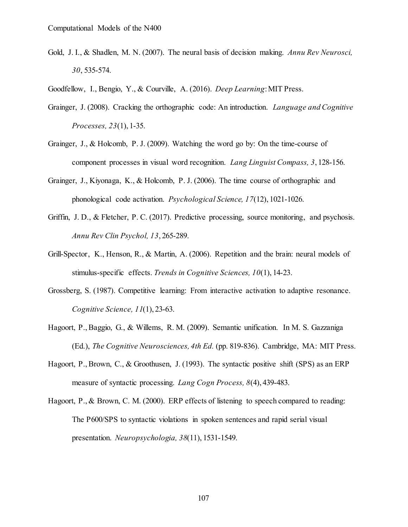- Gold, J. I., & Shadlen, M. N. (2007). The neural basis of decision making. *Annu Rev Neurosci, 30*, 535-574.
- Goodfellow, I., Bengio, Y., & Courville, A. (2016). *Deep Learning*: MIT Press.
- Grainger, J. (2008). Cracking the orthographic code: An introduction. *Language and Cognitive Processes, 23*(1), 1-35.
- Grainger, J., & Holcomb, P. J. (2009). Watching the word go by: On the time-course of component processes in visual word recognition. *Lang Linguist Compass, 3*, 128-156.
- Grainger, J., Kiyonaga, K., & Holcomb, P. J. (2006). The time course of orthographic and phonological code activation. *Psychological Science, 17*(12), 1021-1026.
- Griffin, J. D., & Fletcher, P. C. (2017). Predictive processing, source monitoring, and psychosis. *Annu Rev Clin Psychol, 13*, 265-289.
- Grill-Spector, K., Henson, R., & Martin, A. (2006). Repetition and the brain: neural models of stimulus-specific effects. *Trends in Cognitive Sciences, 10*(1), 14-23.
- Grossberg, S. (1987). Competitive learning: From interactive activation to adaptive resonance. *Cognitive Science, 11*(1), 23-63.
- Hagoort, P., Baggio, G., & Willems, R. M. (2009). Semantic unification. In M. S. Gazzaniga (Ed.), *The Cognitive Neurosciences, 4th Ed.* (pp. 819-836). Cambridge, MA: MIT Press.
- Hagoort, P., Brown, C., & Groothusen, J. (1993). The syntactic positive shift (SPS) as an ERP measure of syntactic processing. *Lang Cogn Process, 8*(4), 439-483.
- Hagoort, P., & Brown, C. M. (2000). ERP effects of listening to speech compared to reading: The P600/SPS to syntactic violations in spoken sentences and rapid serial visual presentation. *Neuropsychologia, 38*(11), 1531-1549.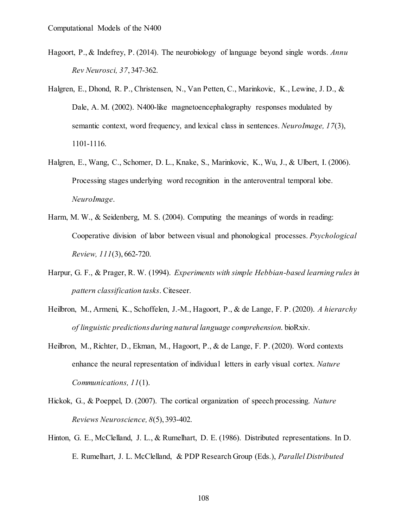- Hagoort, P., & Indefrey, P. (2014). The neurobiology of language beyond single words. *Annu Rev Neurosci, 37*, 347-362.
- Halgren, E., Dhond, R. P., Christensen, N., Van Petten, C., Marinkovic, K., Lewine, J. D., & Dale, A. M. (2002). N400-like magnetoencephalography responses modulated by semantic context, word frequency, and lexical class in sentences. *NeuroImage, 17*(3), 1101-1116.
- Halgren, E., Wang, C., Schomer, D. L., Knake, S., Marinkovic, K., Wu, J., & Ulbert, I. (2006). Processing stages underlying word recognition in the anteroventral temporal lobe. *NeuroImage*.
- Harm, M. W., & Seidenberg, M. S. (2004). Computing the meanings of words in reading: Cooperative division of labor between visual and phonological processes. *Psychological Review, 111*(3), 662-720.
- Harpur, G. F., & Prager, R. W. (1994). *Experiments with simple Hebbian-based learning rules in pattern classification tasks*. Citeseer.
- Heilbron, M., Armeni, K., Schoffelen, J.-M., Hagoort, P., & de Lange, F. P. (2020). *A hierarchy of linguistic predictions during natural language comprehension*. bioRxiv.
- Heilbron, M., Richter, D., Ekman, M., Hagoort, P., & de Lange, F. P. (2020). Word contexts enhance the neural representation of individual letters in early visual cortex. *Nature Communications, 11*(1).
- Hickok, G., & Poeppel, D. (2007). The cortical organization of speech processing. *Nature Reviews Neuroscience, 8*(5), 393-402.
- Hinton, G. E., McClelland, J. L., & Rumelhart, D. E. (1986). Distributed representations. In D. E. Rumelhart, J. L. McClelland, & PDP Research Group (Eds.), *Parallel Distributed*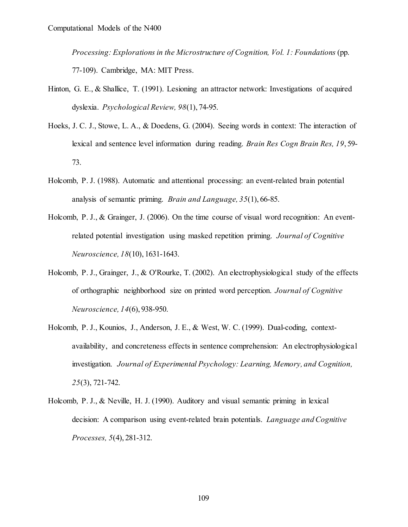*Processing: Explorations in the Microstructure of Cognition, Vol. 1: Foundations* (pp. 77-109). Cambridge, MA: MIT Press.

- Hinton, G. E., & Shallice, T. (1991). Lesioning an attractor network: Investigations of acquired dyslexia. *Psychological Review, 98*(1), 74-95.
- Hoeks, J. C. J., Stowe, L. A., & Doedens, G. (2004). Seeing words in context: The interaction of lexical and sentence level information during reading. *Brain Res Cogn Brain Res, 19*, 59- 73.
- Holcomb, P. J. (1988). Automatic and attentional processing: an event-related brain potential analysis of semantic priming. *Brain and Language, 35*(1), 66-85.
- Holcomb, P. J., & Grainger, J. (2006). On the time course of visual word recognition: An eventrelated potential investigation using masked repetition priming. *Journal of Cognitive Neuroscience, 18*(10), 1631-1643.
- Holcomb, P. J., Grainger, J., & O'Rourke, T. (2002). An electrophysiological study of the effects of orthographic neighborhood size on printed word perception. *Journal of Cognitive Neuroscience, 14*(6), 938-950.
- Holcomb, P. J., Kounios, J., Anderson, J. E., & West, W. C. (1999). Dual-coding, contextavailability, and concreteness effects in sentence comprehension: An electrophysiological investigation. *Journal of Experimental Psychology: Learning, Memory, and Cognition, 25*(3), 721-742.
- Holcomb, P. J., & Neville, H. J. (1990). Auditory and visual semantic priming in lexical decision: A comparison using event-related brain potentials. *Language and Cognitive Processes, 5*(4), 281-312.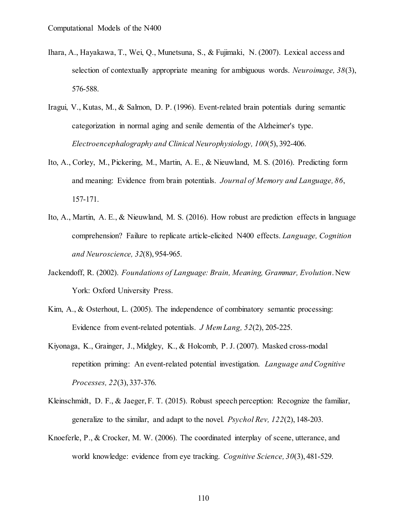- Ihara, A., Hayakawa, T., Wei, Q., Munetsuna, S., & Fujimaki, N. (2007). Lexical access and selection of contextually appropriate meaning for ambiguous words. *Neuroimage, 38*(3), 576-588.
- Iragui, V., Kutas, M., & Salmon, D. P. (1996). Event-related brain potentials during semantic categorization in normal aging and senile dementia of the Alzheimer's type. *Electroencephalography and Clinical Neurophysiology, 100*(5), 392-406.
- Ito, A., Corley, M., Pickering, M., Martin, A. E., & Nieuwland, M. S. (2016). Predicting form and meaning: Evidence from brain potentials. *Journal of Memory and Language, 86*, 157-171.
- Ito, A., Martin, A. E., & Nieuwland, M. S. (2016). How robust are prediction effects in language comprehension? Failure to replicate article-elicited N400 effects. *Language, Cognition and Neuroscience, 32*(8), 954-965.
- Jackendoff, R. (2002). *Foundations of Language: Brain, Meaning, Grammar, Evolution*. New York: Oxford University Press.
- Kim, A., & Osterhout, L. (2005). The independence of combinatory semantic processing: Evidence from event-related potentials. *J Mem Lang, 52*(2), 205-225.
- Kiyonaga, K., Grainger, J., Midgley, K., & Holcomb, P. J. (2007). Masked cross-modal repetition priming: An event-related potential investigation. *Language and Cognitive Processes, 22*(3), 337-376.
- Kleinschmidt, D. F., & Jaeger, F. T. (2015). Robust speech perception: Recognize the familiar, generalize to the similar, and adapt to the novel. *Psychol Rev, 122*(2), 148-203.
- Knoeferle, P., & Crocker, M. W. (2006). The coordinated interplay of scene, utterance, and world knowledge: evidence from eye tracking. *Cognitive Science, 30*(3), 481-529.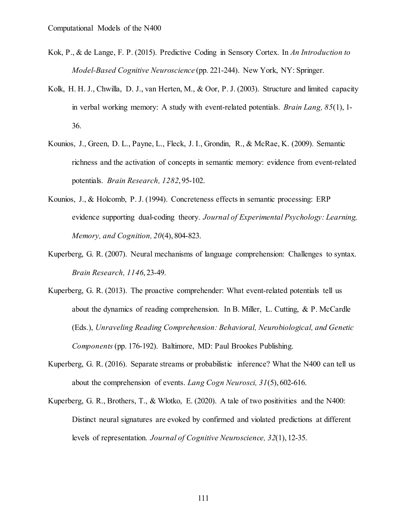- Kok, P., & de Lange, F. P. (2015). Predictive Coding in Sensory Cortex. In *An Introduction to Model-Based Cognitive Neuroscience* (pp. 221-244). New York, NY: Springer.
- Kolk, H. H. J., Chwilla, D. J., van Herten, M., & Oor, P. J. (2003). Structure and limited capacity in verbal working memory: A study with event-related potentials. *Brain Lang, 85*(1), 1- 36.
- Kounios, J., Green, D. L., Payne, L., Fleck, J. I., Grondin, R., & McRae, K. (2009). Semantic richness and the activation of concepts in semantic memory: evidence from event-related potentials. *Brain Research, 1282*, 95-102.
- Kounios, J., & Holcomb, P. J. (1994). Concreteness effects in semantic processing: ERP evidence supporting dual-coding theory. *Journal of Experimental Psychology: Learning, Memory, and Cognition, 20*(4), 804-823.
- Kuperberg, G. R. (2007). Neural mechanisms of language comprehension: Challenges to syntax. *Brain Research, 1146*, 23-49.
- Kuperberg, G. R. (2013). The proactive comprehender: What event-related potentials tell us about the dynamics of reading comprehension. In B. Miller, L. Cutting, & P. McCardle (Eds.), *Unraveling Reading Comprehension: Behavioral, Neurobiological, and Genetic Components* (pp. 176-192). Baltimore, MD: Paul Brookes Publishing.
- Kuperberg, G. R. (2016). Separate streams or probabilistic inference? What the N400 can tell us about the comprehension of events. *Lang Cogn Neurosci, 31*(5), 602-616.
- Kuperberg, G. R., Brothers, T., & Wlotko, E. (2020). A tale of two positivities and the N400: Distinct neural signatures are evoked by confirmed and violated predictions at different levels of representation. *Journal of Cognitive Neuroscience, 32*(1), 12-35.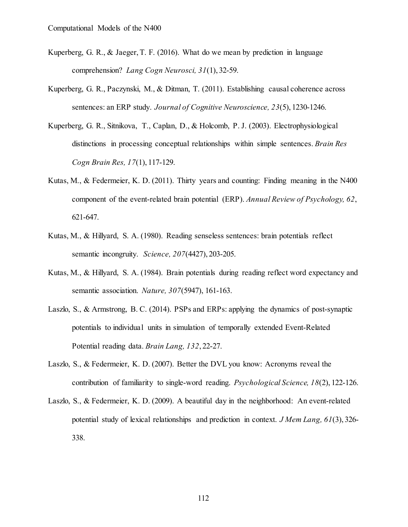- Kuperberg, G. R., & Jaeger, T. F. (2016). What do we mean by prediction in language comprehension? *Lang Cogn Neurosci, 31*(1), 32-59.
- Kuperberg, G. R., Paczynski, M., & Ditman, T. (2011). Establishing causal coherence across sentences: an ERP study. *Journal of Cognitive Neuroscience, 23*(5), 1230-1246.
- Kuperberg, G. R., Sitnikova, T., Caplan, D., & Holcomb, P. J. (2003). Electrophysiological distinctions in processing conceptual relationships within simple sentences. *Brain Res Cogn Brain Res, 17*(1), 117-129.
- Kutas, M., & Federmeier, K. D. (2011). Thirty years and counting: Finding meaning in the N400 component of the event-related brain potential (ERP). *Annual Review of Psychology, 62*, 621-647.
- Kutas, M., & Hillyard, S. A. (1980). Reading senseless sentences: brain potentials reflect semantic incongruity. *Science, 207*(4427), 203-205.
- Kutas, M., & Hillyard, S. A. (1984). Brain potentials during reading reflect word expectancy and semantic association. *Nature, 307*(5947), 161-163.
- Laszlo, S., & Armstrong, B. C. (2014). PSPs and ERPs: applying the dynamics of post-synaptic potentials to individual units in simulation of temporally extended Event-Related Potential reading data. *Brain Lang, 132*, 22-27.
- Laszlo, S., & Federmeier, K. D. (2007). Better the DVL you know: Acronyms reveal the contribution of familiarity to single-word reading. *Psychological Science, 18*(2), 122-126.
- Laszlo, S., & Federmeier, K. D. (2009). A beautiful day in the neighborhood: An event-related potential study of lexical relationships and prediction in context. *J Mem Lang, 61*(3), 326- 338.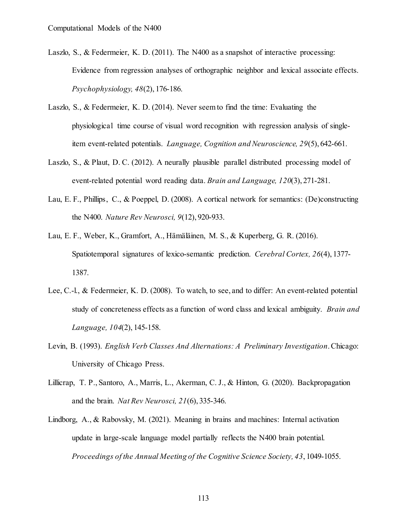- Laszlo, S., & Federmeier, K. D. (2011). The N400 as a snapshot of interactive processing: Evidence from regression analyses of orthographic neighbor and lexical associate effects. *Psychophysiology, 48*(2), 176-186.
- Laszlo, S., & Federmeier, K. D. (2014). Never seem to find the time: Evaluating the physiological time course of visual word recognition with regression analysis of singleitem event-related potentials. *Language, Cognition and Neuroscience, 29*(5), 642-661.
- Laszlo, S., & Plaut, D. C. (2012). A neurally plausible parallel distributed processing model of event-related potential word reading data. *Brain and Language, 120*(3), 271-281.
- Lau, E. F., Phillips, C., & Poeppel, D. (2008). A cortical network for semantics: (De)constructing the N400. *Nature Rev Neurosci, 9*(12), 920-933.
- Lau, E. F., Weber, K., Gramfort, A., Hämäläinen, M. S., & Kuperberg, G. R. (2016). Spatiotemporal signatures of lexico-semantic prediction. *Cerebral Cortex, 26*(4), 1377- 1387.
- Lee, C.-l., & Federmeier, K. D. (2008). To watch, to see, and to differ: An event-related potential study of concreteness effects as a function of word class and lexical ambiguity. *Brain and Language, 104*(2), 145-158.
- Levin, B. (1993). *English Verb Classes And Alternations: A Preliminary Investigation*. Chicago: University of Chicago Press.
- Lillicrap, T. P., Santoro, A., Marris, L., Akerman, C. J., & Hinton, G. (2020). Backpropagation and the brain. *Nat Rev Neurosci, 21*(6), 335-346.
- Lindborg, A., & Rabovsky, M. (2021). Meaning in brains and machines: Internal activation update in large-scale language model partially reflects the N400 brain potential. *Proceedings of the Annual Meeting of the Cognitive Science Society, 43*, 1049-1055.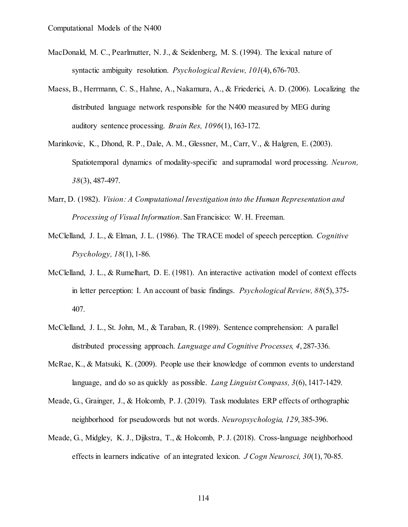- MacDonald, M. C., Pearlmutter, N. J., & Seidenberg, M. S. (1994). The lexical nature of syntactic ambiguity resolution. *Psychological Review, 101*(4), 676-703.
- Maess, B., Herrmann, C. S., Hahne, A., Nakamura, A., & Friederici, A. D. (2006). Localizing the distributed language network responsible for the N400 measured by MEG during auditory sentence processing. *Brain Res, 1096*(1), 163-172.
- Marinkovic, K., Dhond, R. P., Dale, A. M., Glessner, M., Carr, V., & Halgren, E. (2003). Spatiotemporal dynamics of modality-specific and supramodal word processing. *Neuron, 38*(3), 487-497.
- Marr, D. (1982). *Vision: A Computational Investigation into the Human Representation and Processing of Visual Information*. San Francisico: W. H. Freeman.
- McClelland, J. L., & Elman, J. L. (1986). The TRACE model of speech perception. *Cognitive Psychology, 18*(1), 1-86.
- McClelland, J. L., & Rumelhart, D. E. (1981). An interactive activation model of context effects in letter perception: I. An account of basic findings. *Psychological Review, 88*(5), 375- 407.
- McClelland, J. L., St. John, M., & Taraban, R. (1989). Sentence comprehension: A parallel distributed processing approach. *Language and Cognitive Processes, 4*, 287-336.
- McRae, K., & Matsuki, K. (2009). People use their knowledge of common events to understand language, and do so as quickly as possible. *Lang Linguist Compass, 3*(6), 1417-1429.
- Meade, G., Grainger, J., & Holcomb, P. J. (2019). Task modulates ERP effects of orthographic neighborhood for pseudowords but not words. *Neuropsychologia, 129*, 385-396.
- Meade, G., Midgley, K. J., Dijkstra, T., & Holcomb, P. J. (2018). Cross-language neighborhood effects in learners indicative of an integrated lexicon. *J Cogn Neurosci, 30*(1), 70-85.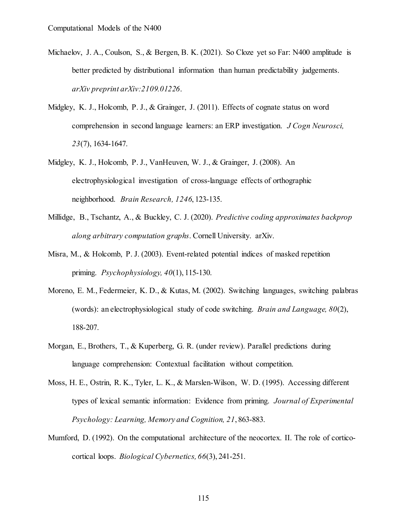- Michaelov, J. A., Coulson, S., & Bergen, B. K. (2021). So Cloze yet so Far: N400 amplitude is better predicted by distributional information than human predictability judgements. *arXiv preprint arXiv:2109.01226*.
- Midgley, K. J., Holcomb, P. J., & Grainger, J. (2011). Effects of cognate status on word comprehension in second language learners: an ERP investigation. *J Cogn Neurosci, 23*(7), 1634-1647.
- Midgley, K. J., Holcomb, P. J., VanHeuven, W. J., & Grainger, J. (2008). An electrophysiological investigation of cross-language effects of orthographic neighborhood. *Brain Research, 1246*, 123-135.
- Millidge, B., Tschantz, A., & Buckley, C. J. (2020). *Predictive coding approximates backprop along arbitrary computation graphs*. Cornell University. arXiv.
- Misra, M., & Holcomb, P. J. (2003). Event-related potential indices of masked repetition priming. *Psychophysiology, 40*(1), 115-130.
- Moreno, E. M., Federmeier, K. D., & Kutas, M. (2002). Switching languages, switching palabras (words): an electrophysiological study of code switching. *Brain and Language, 80*(2), 188-207.
- Morgan, E., Brothers, T., & Kuperberg, G. R. (under review). Parallel predictions during language comprehension: Contextual facilitation without competition.
- Moss, H. E., Ostrin, R. K., Tyler, L. K., & Marslen-Wilson, W. D. (1995). Accessing different types of lexical semantic information: Evidence from priming. *Journal of Experimental Psychology: Learning, Memory and Cognition, 21*, 863-883.
- Mumford, D. (1992). On the computational architecture of the neocortex. II. The role of corticocortical loops. *Biological Cybernetics, 66*(3), 241-251.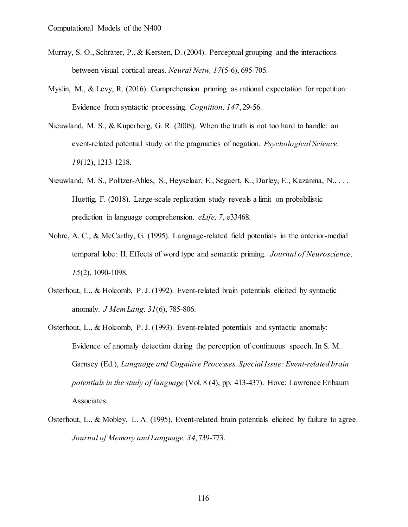- Murray, S. O., Schrater, P., & Kersten, D. (2004). Perceptual grouping and the interactions between visual cortical areas. *Neural Netw, 17*(5-6), 695-705.
- Myslin, M., & Levy, R. (2016). Comprehension priming as rational expectation for repetition: Evidence from syntactic processing. *Cognition, 147*, 29-56.
- Nieuwland, M. S., & Kuperberg, G. R. (2008). When the truth is not too hard to handle: an event-related potential study on the pragmatics of negation. *Psychological Science, 19*(12), 1213-1218.
- Nieuwland, M. S., Politzer-Ahles, S., Heyselaar, E., Segaert, K., Darley, E., Kazanina, N., . . . Huettig, F. (2018). Large-scale replication study reveals a limit on probabilistic prediction in language comprehension. *eLife, 7*, e33468.
- Nobre, A. C., & McCarthy, G. (1995). Language-related field potentials in the anterior-medial temporal lobe: II. Effects of word type and semantic priming. *Journal of Neuroscience, 15*(2), 1090-1098.
- Osterhout, L., & Holcomb, P. J. (1992). Event-related brain potentials elicited by syntactic anomaly. *J Mem Lang, 31*(6), 785-806.
- Osterhout, L., & Holcomb, P. J. (1993). Event-related potentials and syntactic anomaly: Evidence of anomaly detection during the perception of continuous speech. In S. M. Garnsey (Ed.), *Language and Cognitive Processes. Special Issue: Event-related brain potentials in the study of language* (Vol. 8 (4), pp. 413-437). Hove: Lawrence Erlbaum Associates.
- Osterhout, L., & Mobley, L. A. (1995). Event-related brain potentials elicited by failure to agree. *Journal of Memory and Language, 34*, 739-773.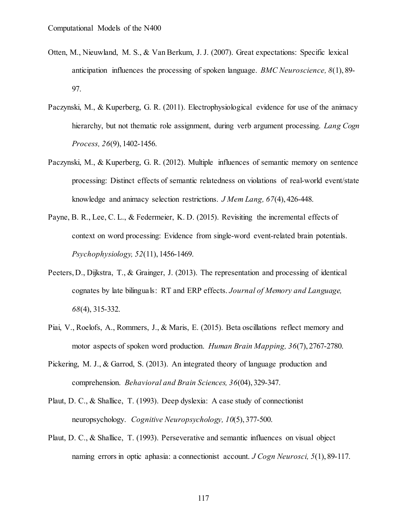- Otten, M., Nieuwland, M. S., & Van Berkum, J. J. (2007). Great expectations: Specific lexical anticipation influences the processing of spoken language. *BMC Neuroscience, 8*(1), 89- 97.
- Paczynski, M., & Kuperberg, G. R. (2011). Electrophysiological evidence for use of the animacy hierarchy, but not thematic role assignment, during verb argument processing. *Lang Cogn Process, 26*(9), 1402-1456.
- Paczynski, M., & Kuperberg, G. R. (2012). Multiple influences of semantic memory on sentence processing: Distinct effects of semantic relatedness on violations of real-world event/state knowledge and animacy selection restrictions. *J Mem Lang, 67*(4), 426-448.
- Payne, B. R., Lee, C. L., & Federmeier, K. D. (2015). Revisiting the incremental effects of context on word processing: Evidence from single-word event-related brain potentials. *Psychophysiology, 52*(11), 1456-1469.
- Peeters, D., Dijkstra, T., & Grainger, J. (2013). The representation and processing of identical cognates by late bilinguals: RT and ERP effects. *Journal of Memory and Language, 68*(4), 315-332.
- Piai, V., Roelofs, A., Rommers, J., & Maris, E. (2015). Beta oscillations reflect memory and motor aspects of spoken word production. *Human Brain Mapping, 36*(7), 2767-2780.
- Pickering, M. J., & Garrod, S. (2013). An integrated theory of language production and comprehension. *Behavioral and Brain Sciences, 36*(04), 329-347.
- Plaut, D. C., & Shallice, T. (1993). Deep dyslexia: A case study of connectionist neuropsychology. *Cognitive Neuropsychology, 10*(5), 377-500.
- Plaut, D. C., & Shallice, T. (1993). Perseverative and semantic influences on visual object naming errors in optic aphasia: a connectionist account. *J Cogn Neurosci, 5*(1), 89-117.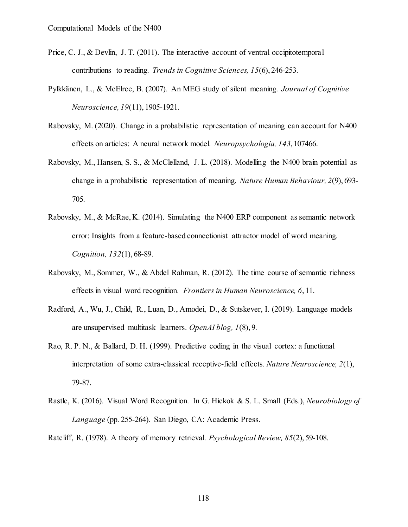- Price, C. J., & Devlin, J. T. (2011). The interactive account of ventral occipitotemporal contributions to reading. *Trends in Cognitive Sciences, 15*(6), 246-253.
- Pylkkänen, L., & McElree, B. (2007). An MEG study of silent meaning. *Journal of Cognitive Neuroscience, 19*(11), 1905-1921.
- Rabovsky, M. (2020). Change in a probabilistic representation of meaning can account for N400 effects on articles: A neural network model. *Neuropsychologia, 143*, 107466.
- Rabovsky, M., Hansen, S. S., & McClelland, J. L. (2018). Modelling the N400 brain potential as change in a probabilistic representation of meaning. *Nature Human Behaviour, 2*(9), 693- 705.
- Rabovsky, M., & McRae, K. (2014). Simulating the N400 ERP component as semantic network error: Insights from a feature-based connectionist attractor model of word meaning. *Cognition, 132*(1), 68-89.
- Rabovsky, M., Sommer, W., & Abdel Rahman, R. (2012). The time course of semantic richness effects in visual word recognition. *Frontiers in Human Neuroscience, 6*, 11.
- Radford, A., Wu, J., Child, R., Luan, D., Amodei, D., & Sutskever, I. (2019). Language models are unsupervised multitask learners. *OpenAI blog, 1*(8), 9.
- Rao, R. P. N., & Ballard, D. H. (1999). Predictive coding in the visual cortex: a functional interpretation of some extra-classical receptive-field effects. *Nature Neuroscience, 2*(1), 79-87.
- Rastle, K. (2016). Visual Word Recognition. In G. Hickok & S. L. Small (Eds.), *Neurobiology of Language* (pp. 255-264). San Diego, CA: Academic Press.

Ratcliff, R. (1978). A theory of memory retrieval. *Psychological Review, 85*(2), 59-108.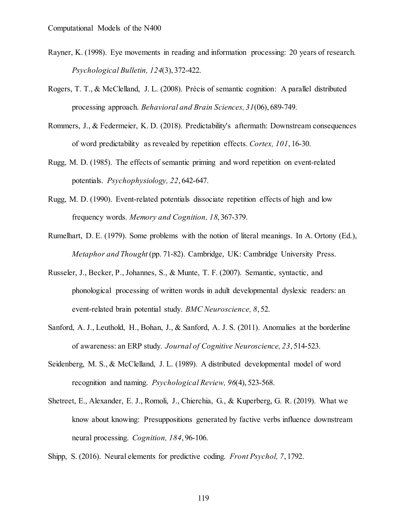- Rayner, K. (1998). Eye movements in reading and information processing: 20 years of research. *Psychological Bulletin, 124*(3), 372-422.
- Rogers, T. T., & McClelland, J. L. (2008). Précis of semantic cognition: A parallel distributed processing approach. *Behavioral and Brain Sciences, 31*(06), 689-749.
- Rommers, J., & Federmeier, K. D. (2018). Predictability's aftermath: Downstream consequences of word predictability as revealed by repetition effects. *Cortex, 101*, 16-30.
- Rugg, M. D. (1985). The effects of semantic priming and word repetition on event-related potentials. *Psychophysiology, 22*, 642-647.
- Rugg, M. D. (1990). Event-related potentials dissociate repetition effects of high and low frequency words. *Memory and Cognition, 18*, 367-379.
- Rumelhart, D. E. (1979). Some problems with the notion of literal meanings. In A. Ortony (Ed.), *Metaphor and Thought* (pp. 71-82). Cambridge, UK: Cambridge University Press.
- Russeler, J., Becker, P., Johannes, S., & Munte, T. F. (2007). Semantic, syntactic, and phonological processing of written words in adult developmental dyslexic readers: an event-related brain potential study. *BMC Neuroscience, 8*, 52.
- Sanford, A. J., Leuthold, H., Bohan, J., & Sanford, A. J. S. (2011). Anomalies at the borderline of awareness: an ERP study. *Journal of Cognitive Neuroscience, 23*, 514-523.
- Seidenberg, M. S., & McClelland, J. L. (1989). A distributed developmental model of word recognition and naming. *Psychological Review, 96*(4), 523-568.
- Shetreet, E., Alexander, E. J., Romoli, J., Chierchia, G., & Kuperberg, G. R. (2019). What we know about knowing: Presuppositions generated by factive verbs influence downstream neural processing. *Cognition, 184*, 96-106.
- Shipp, S. (2016). Neural elements for predictive coding. *Front Psychol, 7*, 1792.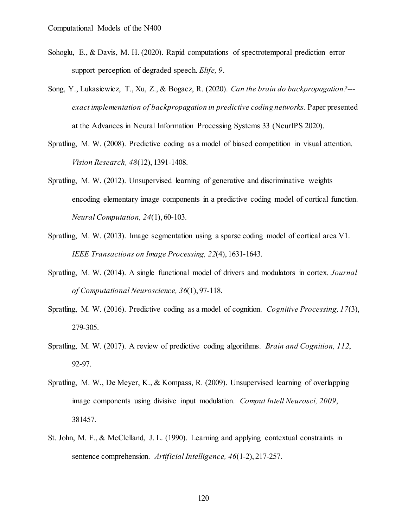- Sohoglu, E., & Davis, M. H. (2020). Rapid computations of spectrotemporal prediction error support perception of degraded speech. *Elife, 9*.
- Song, Y., Lukasiewicz, T., Xu, Z., & Bogacz, R. (2020). *Can the brain do backpropagation?-- exact implementation of backpropagation in predictive coding networks.* Paper presented at the Advances in Neural Information Processing Systems 33 (NeurIPS 2020).
- Spratling, M. W. (2008). Predictive coding as a model of biased competition in visual attention. *Vision Research, 48*(12), 1391-1408.
- Spratling, M. W. (2012). Unsupervised learning of generative and discriminative weights encoding elementary image components in a predictive coding model of cortical function. *Neural Computation, 24*(1), 60-103.
- Spratling, M. W. (2013). Image segmentation using a sparse coding model of cortical area V1. *IEEE Transactions on Image Processing, 22*(4), 1631-1643.
- Spratling, M. W. (2014). A single functional model of drivers and modulators in cortex. *Journal of Computational Neuroscience, 36*(1), 97-118.
- Spratling, M. W. (2016). Predictive coding as a model of cognition. *Cognitive Processing, 17*(3), 279-305.
- Spratling, M. W. (2017). A review of predictive coding algorithms. *Brain and Cognition, 112*, 92-97.
- Spratling, M. W., De Meyer, K., & Kompass, R. (2009). Unsupervised learning of overlapping image components using divisive input modulation. *Comput Intell Neurosci, 2009*, 381457.
- St. John, M. F., & McClelland, J. L. (1990). Learning and applying contextual constraints in sentence comprehension. *Artificial Intelligence, 46*(1-2), 217-257.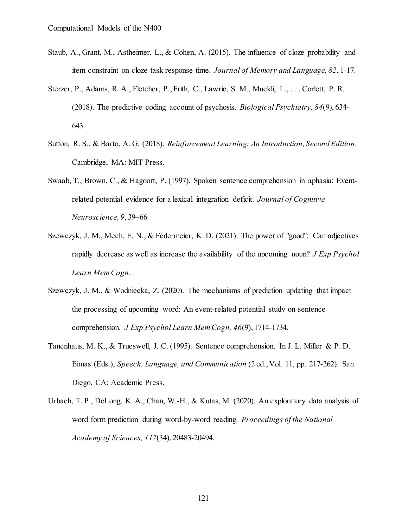- Staub, A., Grant, M., Astheimer, L., & Cohen, A. (2015). The influence of cloze probability and item constraint on cloze task response time. *Journal of Memory and Language, 82*, 1-17.
- Sterzer, P., Adams, R. A., Fletcher, P., Frith, C., Lawrie, S. M., Muckli, L., . . . Corlett, P. R. (2018). The predictive coding account of psychosis. *Biological Psychiatry, 84*(9), 634- 643.
- Sutton, R. S., & Barto, A. G. (2018). *Reinforcement Learning: An Introduction, Second Edition*. Cambridge, MA: MIT Press.
- Swaab, T., Brown, C., & Hagoort, P. (1997). Spoken sentence comprehension in aphasia: Eventrelated potential evidence for a lexical integration deficit. *Journal of Cognitive Neuroscience, 9*, 39–66.
- Szewczyk, J. M., Mech, E. N., & Federmeier, K. D. (2021). The power of "good": Can adjectives rapidly decrease as well as increase the availability of the upcoming noun? *J Exp Psychol Learn Mem Cogn*.
- Szewczyk, J. M., & Wodniecka, Z. (2020). The mechanisms of prediction updating that impact the processing of upcoming word: An event-related potential study on sentence comprehension. *J Exp Psychol Learn Mem Cogn, 46*(9), 1714-1734.
- Tanenhaus, M. K., & Trueswell, J. C. (1995). Sentence comprehension. In J. L. Miller & P. D. Eimas (Eds.), *Speech, Language, and Communication* (2 ed., Vol. 11, pp. 217-262). San Diego, CA: Academic Press.
- Urbach, T. P., DeLong, K. A., Chan, W.-H., & Kutas, M. (2020). An exploratory data analysis of word form prediction during word-by-word reading. *Proceedings of the National Academy of Sciences, 117*(34), 20483-20494.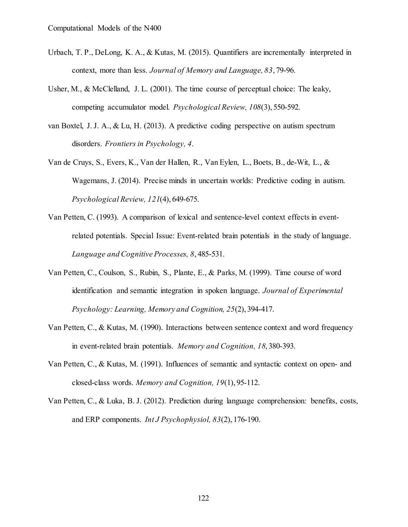- Urbach, T. P., DeLong, K. A., & Kutas, M. (2015). Quantifiers are incrementally interpreted in context, more than less. *Journal of Memory and Language, 83*, 79-96.
- Usher, M., & McClelland, J. L. (2001). The time course of perceptual choice: The leaky, competing accumulator model. *Psychological Review, 108*(3), 550-592.
- van Boxtel, J. J. A., & Lu, H. (2013). A predictive coding perspective on autism spectrum disorders. *Frontiers in Psychology, 4*.
- Van de Cruys, S., Evers, K., Van der Hallen, R., Van Eylen, L., Boets, B., de-Wit, L., & Wagemans, J. (2014). Precise minds in uncertain worlds: Predictive coding in autism. *Psychological Review, 121*(4), 649-675.
- Van Petten, C. (1993). A comparison of lexical and sentence-level context effects in eventrelated potentials. Special Issue: Event-related brain potentials in the study of language. *Language and Cognitive Processes, 8*, 485-531.
- Van Petten, C., Coulson, S., Rubin, S., Plante, E., & Parks, M. (1999). Time course of word identification and semantic integration in spoken language. *Journal of Experimental Psychology: Learning, Memory and Cognition, 25*(2), 394-417.
- Van Petten, C., & Kutas, M. (1990). Interactions between sentence context and word frequency in event-related brain potentials. *Memory and Cognition, 18*, 380-393.
- Van Petten, C., & Kutas, M. (1991). Influences of semantic and syntactic context on open- and closed-class words. *Memory and Cognition, 19*(1), 95-112.
- Van Petten, C., & Luka, B. J. (2012). Prediction during language comprehension: benefits, costs, and ERP components. *Int J Psychophysiol, 83*(2), 176-190.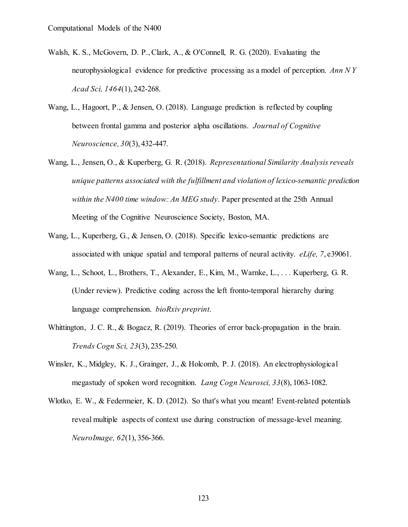- Walsh, K. S., McGovern, D. P., Clark, A., & O'Connell, R. G. (2020). Evaluating the neurophysiological evidence for predictive processing as a model of perception. *Ann N Y Acad Sci, 1464*(1), 242-268.
- Wang, L., Hagoort, P., & Jensen, O. (2018). Language prediction is reflected by coupling between frontal gamma and posterior alpha oscillations. *Journal of Cognitive Neuroscience, 30*(3), 432-447.
- Wang, L., Jensen, O., & Kuperberg, G. R. (2018). *Representational Similarity Analysis reveals unique patterns associated with the fulfillment and violation of lexico-semantic prediction within the N400 time window: An MEG study.* Paper presented at the 25th Annual Meeting of the Cognitive Neuroscience Society, Boston, MA.
- Wang, L., Kuperberg, G., & Jensen, O. (2018). Specific lexico-semantic predictions are associated with unique spatial and temporal patterns of neural activity. *eLife, 7*, e39061.
- Wang, L., Schoot, L., Brothers, T., Alexander, E., Kim, M., Warnke, L., . . . Kuperberg, G. R. (Under review). Predictive coding across the left fronto-temporal hierarchy during language comprehension. *bioRxiv preprint*.
- Whittington, J. C. R., & Bogacz, R. (2019). Theories of error back-propagation in the brain. *Trends Cogn Sci, 23*(3), 235-250.
- Winsler, K., Midgley, K. J., Grainger, J., & Holcomb, P. J. (2018). An electrophysiological megastudy of spoken word recognition. *Lang Cogn Neurosci, 33*(8), 1063-1082.
- Wlotko, E. W., & Federmeier, K. D. (2012). So that's what you meant! Event-related potentials reveal multiple aspects of context use during construction of message-level meaning. *NeuroImage, 62*(1), 356-366.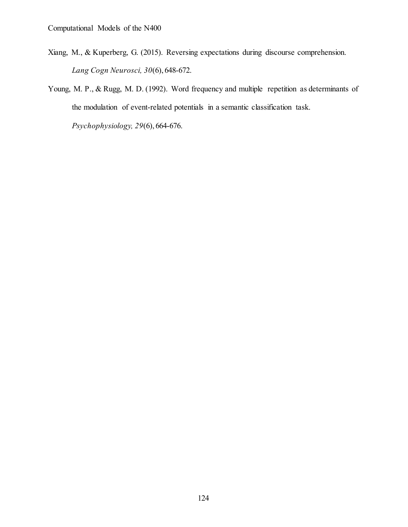- Xiang, M., & Kuperberg, G. (2015). Reversing expectations during discourse comprehension. *Lang Cogn Neurosci, 30*(6), 648-672.
- Young, M. P., & Rugg, M. D. (1992). Word frequency and multiple repetition as determinants of the modulation of event-related potentials in a semantic classification task.

*Psychophysiology, 29*(6), 664-676.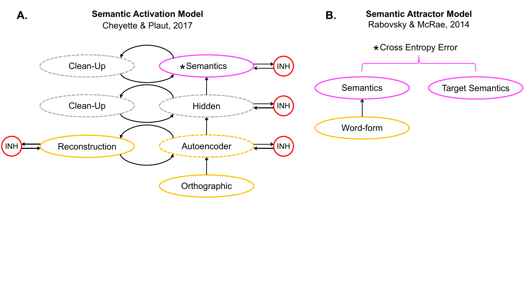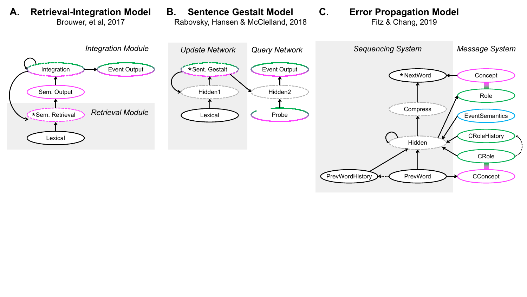

Brouwer, et al, 2017

A. Retrieval-Integration Model B. Sentence Gestalt Model C. **Sentence Gestalt Model** Rabovsky, Hansen & McClelland, 2018

## **Error Propagation Model**

Fitz & Chang, 2019